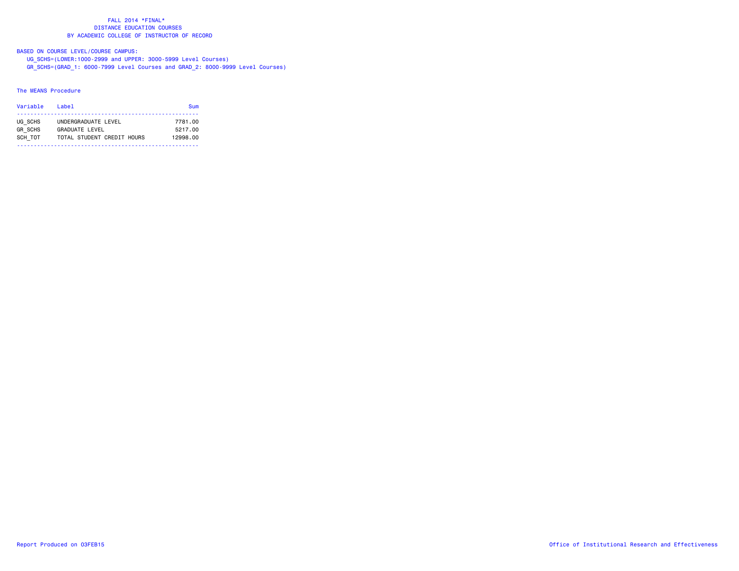BASED ON COURSE LEVEL/COURSE CAMPUS:

- UG\_SCHS=(LOWER:1000-2999 and UPPER: 3000-5999 Level Courses)
- GR\_SCHS=(GRAD\_1: 6000-7999 Level Courses and GRAD\_2: 8000-9999 Level Courses)

### The MEANS Procedure

| Variable       | Label                      | Sum      |
|----------------|----------------------------|----------|
| UG SCHS        | UNDERGRADUATE LEVEL        | 7781.00  |
| <b>GR SCHS</b> | GRADUATE LEVEL             | 5217.00  |
| SCH TOT        | TOTAL STUDENT CREDIT HOURS | 12998.00 |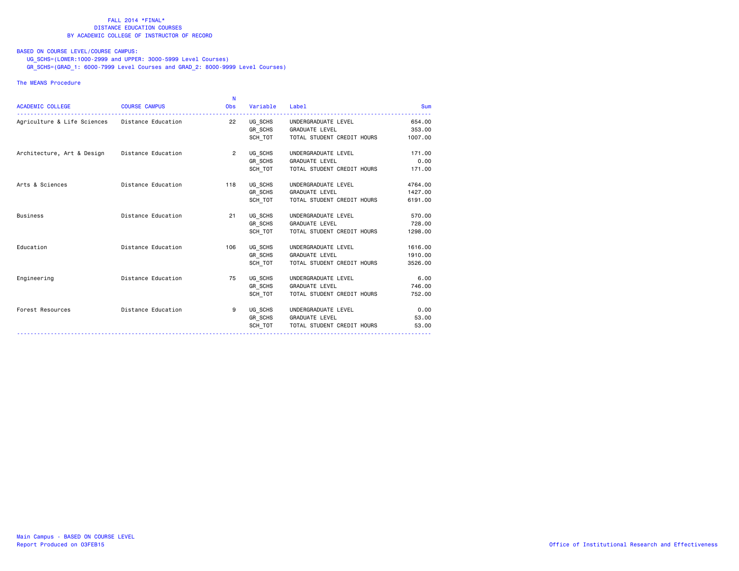### BASED ON COURSE LEVEL/COURSE CAMPUS:

UG\_SCHS=(LOWER:1000-2999 and UPPER: 3000-5999 Level Courses)

GR\_SCHS=(GRAD\_1: 6000-7999 Level Courses and GRAD\_2: 8000-9999 Level Courses)

### The MEANS Procedure

| <b>ACADEMIC COLLEGE</b>                        | <b>COURSE CAMPUS</b> | N<br><b>Obs</b> | Variable | Label                      | <b>Sum</b> |
|------------------------------------------------|----------------------|-----------------|----------|----------------------------|------------|
| Agriculture & Life Sciences Distance Education |                      | 22              | UG SCHS  | UNDERGRADUATE LEVEL        | 654.00     |
|                                                |                      |                 | GR SCHS  | <b>GRADUATE LEVEL</b>      | 353.00     |
|                                                |                      |                 | SCH_TOT  | TOTAL STUDENT CREDIT HOURS | 1007.00    |
| Architecture, Art & Design Distance Education  |                      | $\overline{2}$  | UG SCHS  | UNDERGRADUATE LEVEL        | 171.00     |
|                                                |                      |                 | GR SCHS  | <b>GRADUATE LEVEL</b>      | 0.00       |
|                                                |                      |                 | SCH TOT  | TOTAL STUDENT CREDIT HOURS | 171.00     |
| Arts & Sciences                                | Distance Education   | 118             | UG SCHS  | UNDERGRADUATE LEVEL        | 4764.00    |
|                                                |                      |                 | GR_SCHS  | <b>GRADUATE LEVEL</b>      | 1427.00    |
|                                                |                      |                 | SCH TOT  | TOTAL STUDENT CREDIT HOURS | 6191.00    |
| Business                                       | Distance Education   | 21              | UG SCHS  | UNDERGRADUATE LEVEL        | 570.00     |
|                                                |                      |                 | GR SCHS  | <b>GRADUATE LEVEL</b>      | 728.00     |
|                                                |                      |                 | SCH TOT  | TOTAL STUDENT CREDIT HOURS | 1298.00    |
| Education                                      | Distance Education   | 106             | UG_SCHS  | UNDERGRADUATE LEVEL        | 1616.00    |
|                                                |                      |                 | GR SCHS  | <b>GRADUATE LEVEL</b>      | 1910.00    |
|                                                |                      |                 | SCH TOT  | TOTAL STUDENT CREDIT HOURS | 3526.00    |
| Engineering                                    | Distance Education   | 75              | UG SCHS  | UNDERGRADUATE LEVEL        | 6.00       |
|                                                |                      |                 | GR_SCHS  | <b>GRADUATE LEVEL</b>      | 746.00     |
|                                                |                      |                 | SCH TOT  | TOTAL STUDENT CREDIT HOURS | 752.00     |
| Forest Resources                               | Distance Education   | 9               | UG_SCHS  | UNDERGRADUATE LEVEL        | 0.00       |
|                                                |                      |                 |          | GR_SCHS GRADUATE LEVEL     | 53.00      |
|                                                |                      |                 | SCH TOT  | TOTAL STUDENT CREDIT HOURS | 53.00      |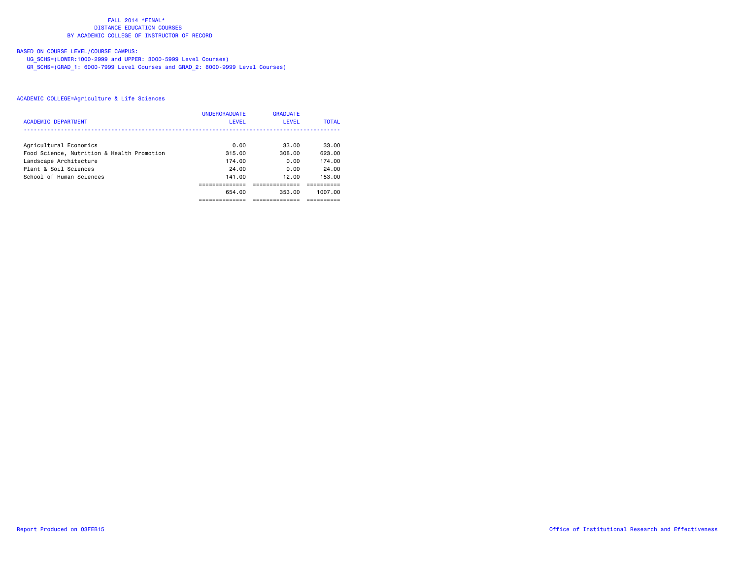# BASED ON COURSE LEVEL/COURSE CAMPUS:

UG\_SCHS=(LOWER:1000-2999 and UPPER: 3000-5999 Level Courses)

GR\_SCHS=(GRAD\_1: 6000-7999 Level Courses and GRAD\_2: 8000-9999 Level Courses)

|                                            | <b>UNDERGRADUATE</b> | <b>GRADUATE</b> |              |
|--------------------------------------------|----------------------|-----------------|--------------|
| <b>ACADEMIC DEPARTMENT</b>                 | LEVEL                | <b>LEVEL</b>    | <b>TOTAL</b> |
|                                            |                      |                 |              |
| Agricultural Economics                     | 0.00                 | 33.00           | 33.00        |
| Food Science, Nutrition & Health Promotion | 315.00               | 308.00          | 623.00       |
| Landscape Architecture                     | 174.00               | 0.00            | 174.00       |
| Plant & Soil Sciences                      | 24.00                | 0.00            | 24.00        |
| School of Human Sciences                   | 141.00               | 12.00           | 153.00       |
|                                            |                      |                 |              |
|                                            | 654.00               | 353.00          | 1007.00      |
|                                            |                      |                 |              |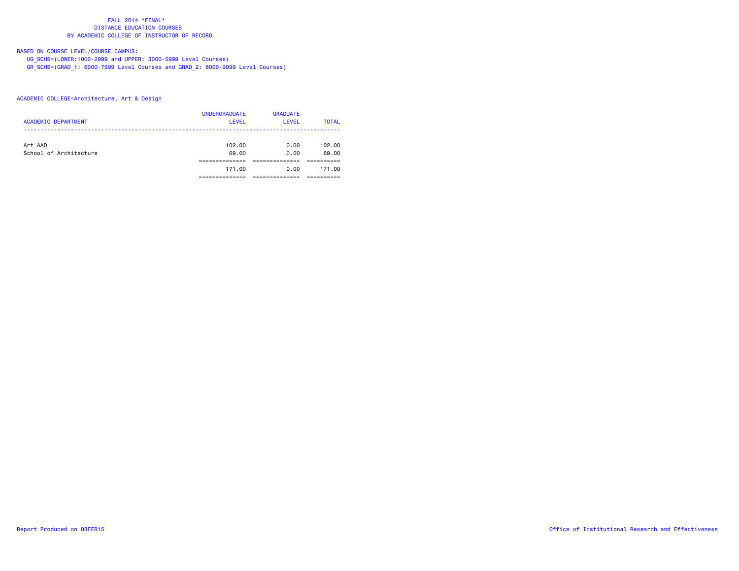# BASED ON COURSE LEVEL/COURSE CAMPUS:

UG\_SCHS=(LOWER:1000-2999 and UPPER: 3000-5999 Level Courses)

GR\_SCHS=(GRAD\_1: 6000-7999 Level Courses and GRAD\_2: 8000-9999 Level Courses)

## ACADEMIC COLLEGE=Architecture, Art & Design

| <b>ACADEMIC DEPARTMENT</b>        | <b>UNDERGRADUATE</b><br><b>LEVEL</b> | <b>GRADUATE</b><br>LEVEL | <b>TOTAL</b>    |
|-----------------------------------|--------------------------------------|--------------------------|-----------------|
| Art AAD<br>School of Architecture | 102.00<br>69.00                      | 0.00<br>0.00             | 102.00<br>69.00 |
|                                   | 171.00                               | 0.00                     | 171.00          |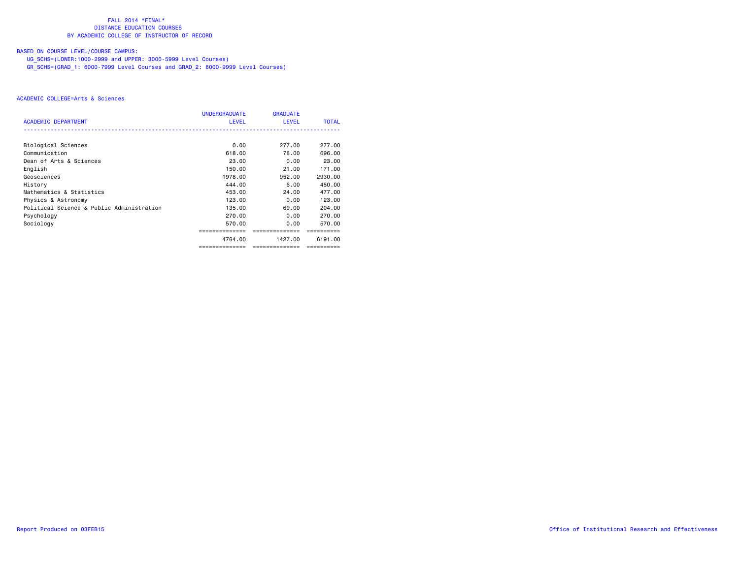# BASED ON COURSE LEVEL/COURSE CAMPUS:

UG\_SCHS=(LOWER:1000-2999 and UPPER: 3000-5999 Level Courses)

GR\_SCHS=(GRAD\_1: 6000-7999 Level Courses and GRAD\_2: 8000-9999 Level Courses)

|                                           | <b>UNDERGRADUATE</b> | <b>GRADUATE</b> |              |
|-------------------------------------------|----------------------|-----------------|--------------|
| <b>ACADEMIC DEPARTMENT</b>                | <b>LEVEL</b>         | LEVEL           | <b>TOTAL</b> |
|                                           |                      |                 |              |
| Biological Sciences                       | 0.00                 | 277.00          | 277,00       |
| Communication                             | 618.00               | 78.00           | 696,00       |
| Dean of Arts & Sciences                   | 23,00                | 0.00            | 23,00        |
| English                                   | 150.00               | 21.00           | 171.00       |
| Geosciences                               | 1978.00              | 952.00          | 2930.00      |
| History                                   | 444.00               | 6.00            | 450.00       |
| Mathematics & Statistics                  | 453.00               | 24.00           | 477.00       |
| Physics & Astronomy                       | 123.00               | 0.00            | 123.00       |
| Political Science & Public Administration | 135.00               | 69.00           | 204.00       |
| Psychology                                | 270.00               | 0.00            | 270.00       |
| Sociology                                 | 570.00               | 0.00            | 570.00       |
|                                           |                      |                 |              |
|                                           | 4764.00              | 1427.00         | 6191.00      |
|                                           | ==============       | ==============  | ==========   |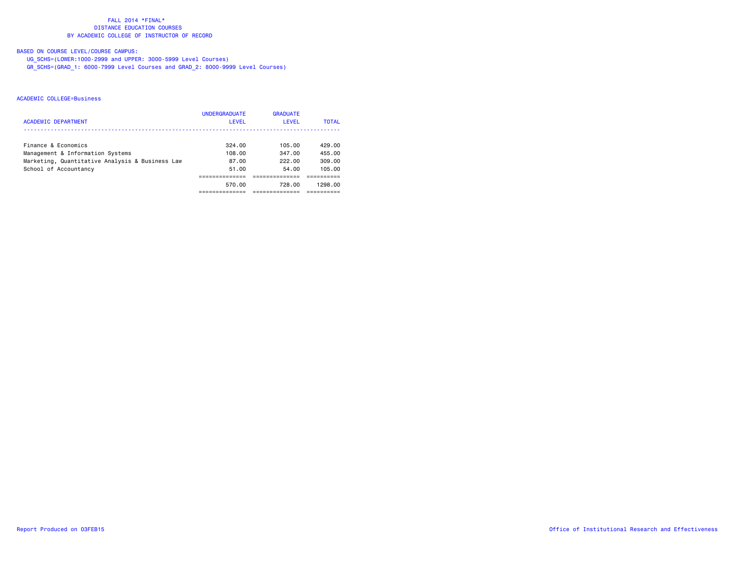# BASED ON COURSE LEVEL/COURSE CAMPUS:

UG\_SCHS=(LOWER:1000-2999 and UPPER: 3000-5999 Level Courses)

GR\_SCHS=(GRAD\_1: 6000-7999 Level Courses and GRAD\_2: 8000-9999 Level Courses)

| <b>ACADEMIC DEPARTMENT</b>                                                                                                          | <b>UNDERGRADUATE</b><br>LEVEL      | <b>GRADUATE</b><br>LEVEL            | <b>TOTAL</b>                         |
|-------------------------------------------------------------------------------------------------------------------------------------|------------------------------------|-------------------------------------|--------------------------------------|
| Finance & Economics<br>Management & Information Systems<br>Marketing, Quantitative Analysis & Business Law<br>School of Accountancy | 324.00<br>108.00<br>87.00<br>51.00 | 105.00<br>347.00<br>222.00<br>54.00 | 429.00<br>455.00<br>309.00<br>105.00 |
|                                                                                                                                     | 570.00                             | 728.00                              | 1298.00                              |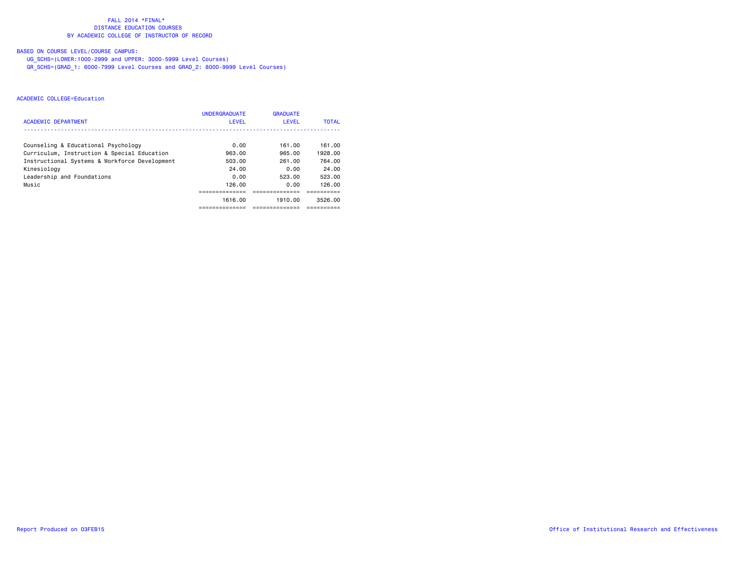# BASED ON COURSE LEVEL/COURSE CAMPUS:

UG\_SCHS=(LOWER:1000-2999 and UPPER: 3000-5999 Level Courses)

GR\_SCHS=(GRAD\_1: 6000-7999 Level Courses and GRAD\_2: 8000-9999 Level Courses)

|                                               | <b>UNDERGRADUATE</b> | <b>GRADUATE</b> |              |
|-----------------------------------------------|----------------------|-----------------|--------------|
| <b>ACADEMIC DEPARTMENT</b>                    | LEVEL                | LEVEL           | <b>TOTAL</b> |
|                                               |                      |                 |              |
| Counseling & Educational Psychology           | 0.00                 | 161.00          | 161.00       |
| Curriculum, Instruction & Special Education   | 963.00               | 965.00          | 1928.00      |
| Instructional Systems & Workforce Development | 503.00               | 261.00          | 764.00       |
| Kinesiology                                   | 24.00                | 0.00            | 24.00        |
| Leadership and Foundations                    | 0.00                 | 523.00          | 523.00       |
| Music                                         | 126.00               | 0.00            | 126.00       |
|                                               |                      |                 |              |
|                                               | 1616.00              | 1910.00         | 3526.00      |
|                                               | ----------           | ---------       |              |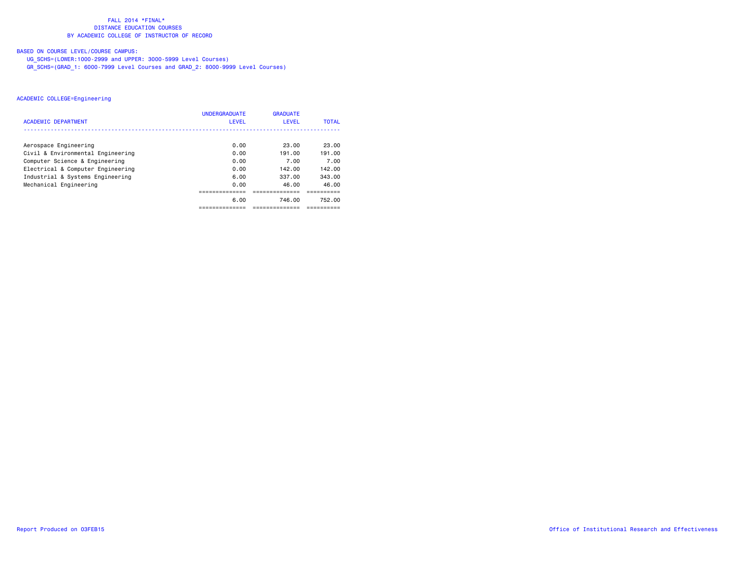# BASED ON COURSE LEVEL/COURSE CAMPUS:

UG\_SCHS=(LOWER:1000-2999 and UPPER: 3000-5999 Level Courses)

GR\_SCHS=(GRAD\_1: 6000-7999 Level Courses and GRAD\_2: 8000-9999 Level Courses)

|                                   | <b>UNDERGRADUATE</b> | <b>GRADUATE</b> |              |
|-----------------------------------|----------------------|-----------------|--------------|
| <b>ACADEMIC DEPARTMENT</b>        | LEVEL                | LEVEL           | <b>TOTAL</b> |
| Aerospace Engineering             | 0.00                 | 23.00           | 23.00        |
| Civil & Environmental Engineering | 0.00                 | 191.00          | 191.00       |
| Computer Science & Engineering    | 0.00                 | 7.00            | 7.00         |
| Electrical & Computer Engineering | 0.00                 | 142.00          | 142.00       |
| Industrial & Systems Engineering  | 6.00                 | 337.00          | 343.00       |
| Mechanical Engineering            | 0.00                 | 46.00           | 46.00        |
|                                   |                      |                 |              |
|                                   | 6.00                 | 746.00          | 752.00       |
|                                   |                      |                 |              |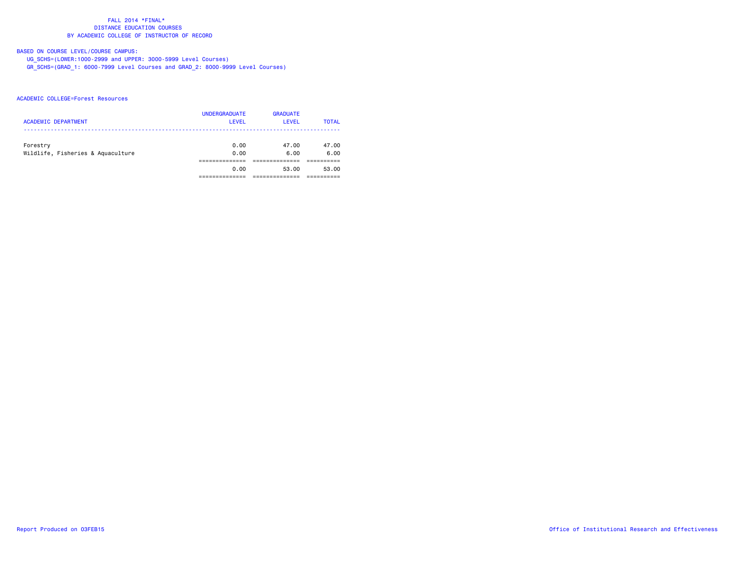# BASED ON COURSE LEVEL/COURSE CAMPUS:

UG\_SCHS=(LOWER:1000-2999 and UPPER: 3000-5999 Level Courses)

GR\_SCHS=(GRAD\_1: 6000-7999 Level Courses and GRAD\_2: 8000-9999 Level Courses)

## ACADEMIC COLLEGE=Forest Resources

| <b>ACADEMIC DEPARTMENT</b>                    | <b>UNDERGRADUATE</b><br><b>LEVEL</b> | <b>GRADUATE</b><br><b>LEVEL</b> | <b>TOTAL</b>  |
|-----------------------------------------------|--------------------------------------|---------------------------------|---------------|
| Forestry<br>Wildlife, Fisheries & Aquaculture | 0.00<br>0.00                         | 47.00<br>6.00                   | 47.00<br>6.00 |
|                                               |                                      |                                 |               |
|                                               | 0.00                                 | 53.00                           | 53.00         |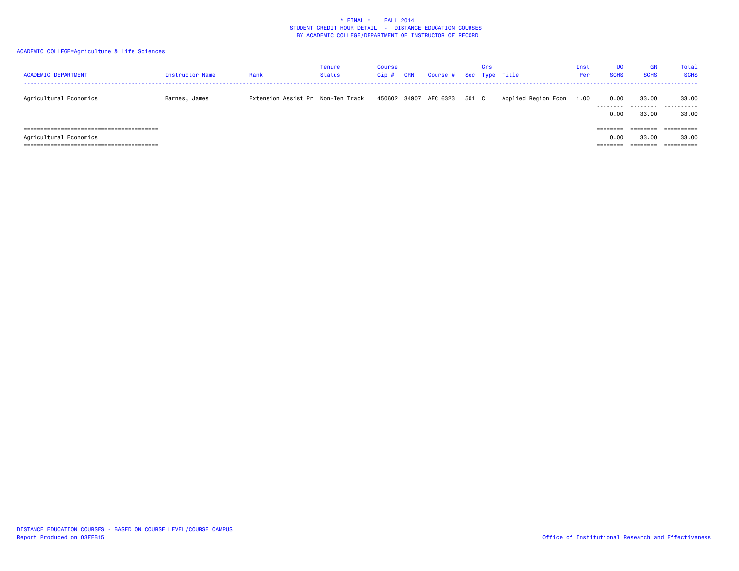| <b>ACADEMIC DEPARTMENT</b> | <b>Instructor Name</b> | Rank                              | <b>Tenure</b><br>Status | Course<br>$Cip$ # | <b>CRN</b> | Course # Sec Type Title |       | Crs |                     | Inst<br>Per | <b>UG</b><br><b>SCHS</b>    | <b>GR</b><br><b>SCHS</b> | Total<br><b>SCHS</b> |
|----------------------------|------------------------|-----------------------------------|-------------------------|-------------------|------------|-------------------------|-------|-----|---------------------|-------------|-----------------------------|--------------------------|----------------------|
| Agricultural Economics     | Barnes, James          | Extension Assist Pr Non-Ten Track |                         |                   |            | 450602 34907 AEC 6323   | 501 C |     | Applied Region Econ | 1.00        | 0.00<br>.<br>0.00           | 33.00<br>.<br>33.00      | 33.00<br>.<br>33.00  |
| Agricultural Economics     |                        |                                   |                         |                   |            |                         |       |     |                     |             | ========<br>0.00<br>======= | ========<br>33.00        | ==========<br>33.00  |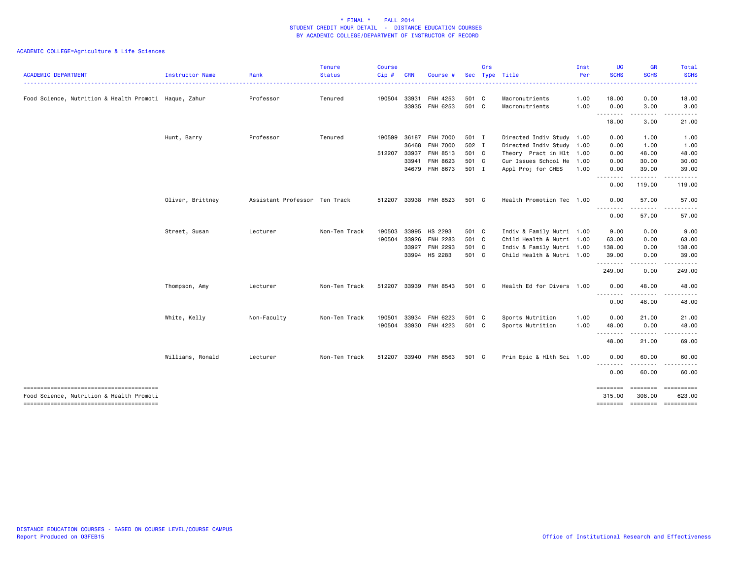| <b>ACADEMIC DEPARTMENT</b>                            | Instructor Name  | Rank                          | <b>Tenure</b><br><b>Status</b> | <b>Course</b><br>Cip# | <b>CRN</b> | Course #              |       | Crs | Sec Type Title            | Inst<br>Per | UG<br><b>SCHS</b> | <b>GR</b><br><b>SCHS</b>            | Total<br><b>SCHS</b> |
|-------------------------------------------------------|------------------|-------------------------------|--------------------------------|-----------------------|------------|-----------------------|-------|-----|---------------------------|-------------|-------------------|-------------------------------------|----------------------|
|                                                       |                  |                               |                                |                       |            |                       |       |     |                           |             |                   |                                     |                      |
| Food Science, Nutrition & Health Promoti Haque, Zahur |                  | Professor                     | Tenured                        | 190504                | 33931      | FNH 4253              | 501 C |     | Macronutrients            | 1.00        | 18.00             | 0.00                                | 18.00                |
|                                                       |                  |                               |                                |                       |            | 33935 FNH 6253        | 501 C |     | Macronutrients            | 1.00        | 0.00<br>.         | 3.00                                | 3.00                 |
|                                                       |                  |                               |                                |                       |            |                       |       |     |                           |             | 18.00             | 3.00                                | 21.00                |
|                                                       | Hunt, Barry      | Professor                     | Tenured                        | 190599                | 36187      | <b>FNH 7000</b>       | 501 I |     | Directed Indiv Study 1.00 |             | 0.00              | 1.00                                | 1.00                 |
|                                                       |                  |                               |                                |                       | 36468      | <b>FNH 7000</b>       | 502 I |     | Directed Indiv Study 1.00 |             | 0.00              | 1.00                                | 1.00                 |
|                                                       |                  |                               |                                | 512207 33937          |            | FNH 8513              | 501 C |     | Theory Pract in Hlt 1.00  |             | 0.00              | 48.00                               | 48.00                |
|                                                       |                  |                               |                                |                       | 33941      | FNH 8623              | 501 C |     | Cur Issues School He 1.00 |             | 0.00              | 30.00                               | 30.00                |
|                                                       |                  |                               |                                |                       |            | 34679 FNH 8673        | 501 I |     | Appl Proj for CHES        | 1.00        | 0.00<br>.         | 39.00                               | 39.00                |
|                                                       |                  |                               |                                |                       |            |                       |       |     |                           |             | 0.00              | 119.00                              | 119.00               |
|                                                       | Oliver, Brittney | Assistant Professor Ten Track |                                | 512207                |            | 33938 FNH 8523        | 501 C |     | Health Promotion Tec 1.00 |             | 0.00              | 57.00                               | 57.00                |
|                                                       |                  |                               |                                |                       |            |                       |       |     |                           |             | <u>.</u><br>0.00  | .<br>57.00                          | 57.00                |
|                                                       | Street, Susan    | Lecturer                      | Non-Ten Track                  | 190503                |            | 33995 HS 2293         | 501 C |     | Indiv & Family Nutri 1.00 |             | 9.00              | 0.00                                | 9.00                 |
|                                                       |                  |                               |                                | 190504                |            | 33926 FNH 2283        | 501 C |     | Child Health & Nutri 1.00 |             | 63.00             | 0.00                                | 63.00                |
|                                                       |                  |                               |                                |                       |            | 33927 FNH 2293        | 501 C |     | Indiv & Family Nutri 1.00 |             | 138.00            | 0.00                                | 138.00               |
|                                                       |                  |                               |                                |                       |            | 33994 HS 2283         | 501 C |     | Child Health & Nutri 1.00 |             | 39.00             | 0.00                                | 39.00                |
|                                                       |                  |                               |                                |                       |            |                       |       |     |                           |             | .<br>249.00       | . <u>.</u> .<br>0.00                | 249.00               |
|                                                       | Thompson, Amy    | Lecturer                      | Non-Ten Track                  | 512207                |            | 33939 FNH 8543        | 501 C |     | Health Ed for Divers 1.00 |             | 0.00              | 48.00                               | 48.00                |
|                                                       |                  |                               |                                |                       |            |                       |       |     |                           |             | <u>.</u><br>0.00  | 48.00                               | 48.00                |
|                                                       | White, Kelly     | Non-Faculty                   | Non-Ten Track                  | 190501                | 33934      | FNH 6223              | 501 C |     | Sports Nutrition          | 1.00        | 0.00              | 21.00                               | 21.00                |
|                                                       |                  |                               |                                |                       |            | 190504 33930 FNH 4223 | 501 C |     | Sports Nutrition          | 1.00        | 48.00             | 0.00                                | 48.00                |
|                                                       |                  |                               |                                |                       |            |                       |       |     |                           |             | 48.00             | 21.00                               | 69.00                |
|                                                       | Williams, Ronald | Lecturer                      | Non-Ten Track                  | 512207                |            | 33940 FNH 8563        | 501 C |     | Prin Epic & Hlth Sci 1.00 |             | 0.00              | 60.00                               | 60.00                |
|                                                       |                  |                               |                                |                       |            |                       |       |     |                           |             | --------<br>0.00  | 60.00                               | 60.00                |
|                                                       |                  |                               |                                |                       |            |                       |       |     |                           |             | ========          |                                     | ========= ========== |
| Food Science, Nutrition & Health Promoti              |                  |                               |                                |                       |            |                       |       |     |                           |             | 315.00            | 308,00<br>-------- ------- -------- | 623.00               |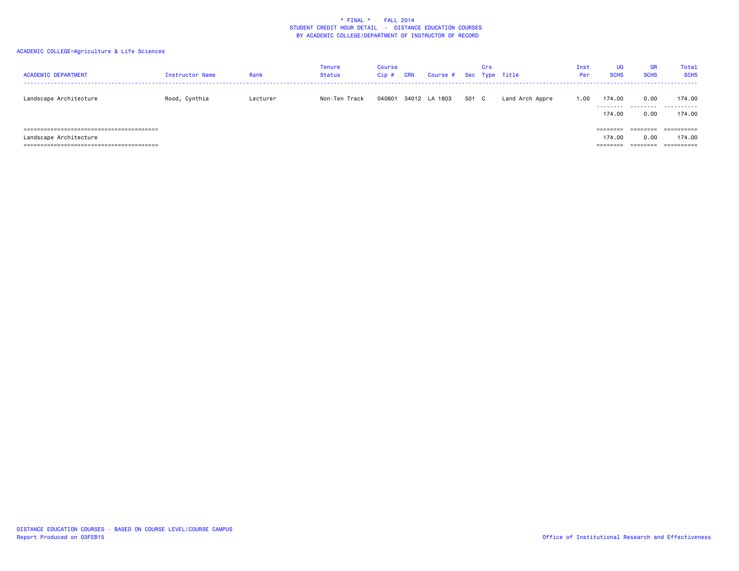| <b>ACADEMIC DEPARTMENT</b> | <b>Instructor Name</b> | Rank     | <b>Tenure</b><br><b>Status</b> | Course<br>$Cip$ # | <b>CRN</b> | Course # Sec Type Title |       | Crs |                 | Inst<br>Per | UG<br><b>SCHS</b> | <b>GR</b><br><b>SCHS</b> | Total<br><b>SCHS</b> |
|----------------------------|------------------------|----------|--------------------------------|-------------------|------------|-------------------------|-------|-----|-----------------|-------------|-------------------|--------------------------|----------------------|
| Landscape Architecture     | Rood, Cynthia          | Lecturer | Non-Ten Track                  | 040601            |            | 34012 LA 1803           | 501 C |     | Land Arch Appre | 1.00        | 174.00            | 0.00                     | 174.00<br>           |
|                            |                        |          |                                |                   |            |                         |       |     |                 |             | 174.00            | 0.00                     | 174.00               |
|                            |                        |          |                                |                   |            |                         |       |     |                 |             | ========          | ========                 | ==========           |
| Landscape Architecture     |                        |          |                                |                   |            |                         |       |     |                 |             | 174.00            | 0.00                     | 174.00               |
|                            |                        |          |                                |                   |            |                         |       |     |                 |             | =======           | ========                 |                      |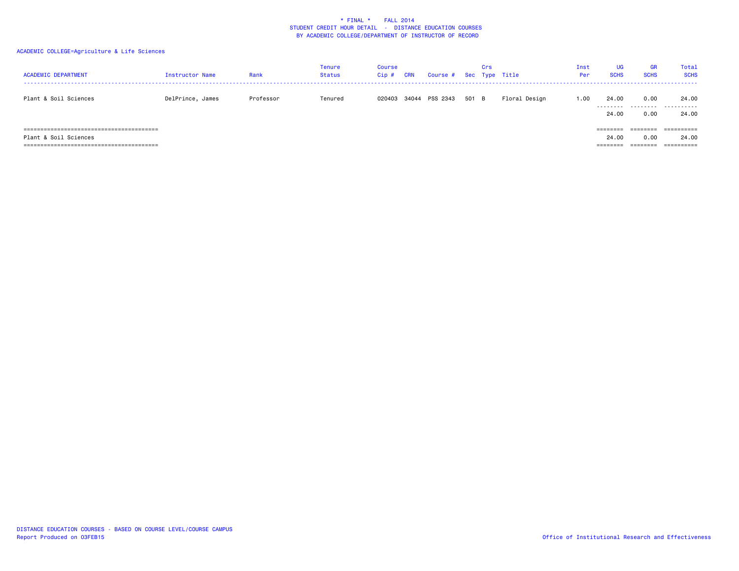| <b>ACADEMIC DEPARTMENT</b>         | Instructor Name  | Rank      | <b>Tenure</b><br><b>Status</b> | <b>Course</b><br>Cip# | <b>CRN</b> | Course # Sec Type Title |       | Crs |               | Inst<br>Per | UG<br><b>SCHS</b> | <b>GR</b><br><b>SCHS</b> | Total<br><b>SCHS</b> |
|------------------------------------|------------------|-----------|--------------------------------|-----------------------|------------|-------------------------|-------|-----|---------------|-------------|-------------------|--------------------------|----------------------|
| Plant & Soil Sciences              | DelPrince, James | Professor | Tenured                        | 020403                |            | 34044 PSS 2343          | 501 B |     | Floral Design | 1.00        | 24.00<br>.        | 0.00<br>.                | 24.00<br>.           |
|                                    |                  |           |                                |                       |            |                         |       |     |               |             | 24.00             | 0.00                     | 24.00                |
|                                    |                  |           |                                |                       |            |                         |       |     |               |             | ========          | ========                 | ==========           |
| Plant & Soil Sciences              |                  |           |                                |                       |            |                         |       |     |               |             | 24,00             | 0.00                     | 24.00                |
| -------------------------<br>===== |                  |           |                                |                       |            |                         |       |     |               |             | ======            |                          | ==========           |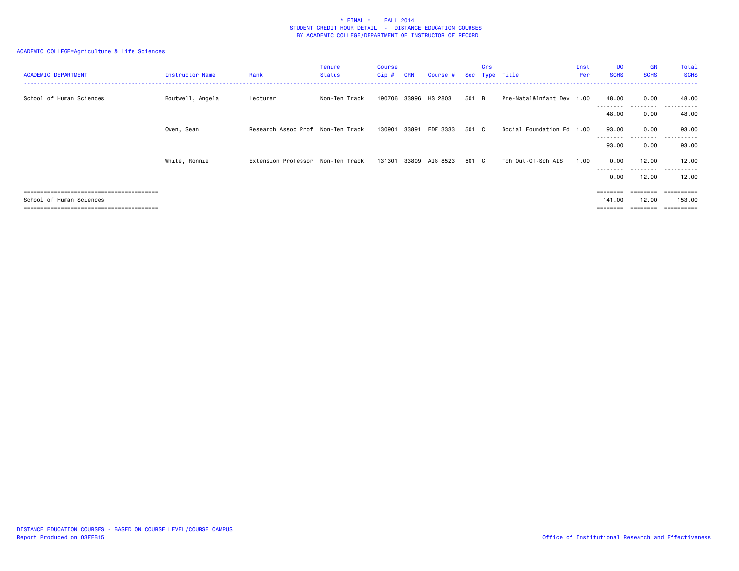| <b>ACADEMIC DEPARTMENT</b> | Instructor Name  | Rank                              | <b>Tenure</b><br>Status | <b>Course</b><br>Cip# | <b>CRN</b> | Course #      |       | Crs | Sec Type Title            | Inst<br>Per | <b>UG</b><br><b>SCHS</b> | <b>GR</b><br><b>SCHS</b>   | Total<br><b>SCHS</b>              |
|----------------------------|------------------|-----------------------------------|-------------------------|-----------------------|------------|---------------|-------|-----|---------------------------|-------------|--------------------------|----------------------------|-----------------------------------|
| School of Human Sciences   | Boutwell, Angela | Lecturer                          | Non-Ten Track           | 190706                |            | 33996 HS 2803 | 501 B |     | Pre-Natal&Infant Dev 1.00 |             | 48.00<br>---------       | 0.00<br>---------          | 48.00<br>.                        |
|                            |                  |                                   |                         |                       |            |               |       |     |                           |             | 48.00                    | 0.00                       | 48.00                             |
|                            | Owen, Sean       | Research Assoc Prof Non-Ten Track |                         | 130901                | 33891      | EDF 3333      | 501 C |     | Social Foundation Ed 1.00 |             | 93.00                    | 0.00                       | 93.00                             |
|                            |                  |                                   |                         |                       |            |               |       |     |                           |             | ---------<br>93.00       | - - - - -<br>0.00          | ----------<br>93.00               |
|                            | White, Ronnie    | Extension Professor Non-Ten Track |                         | 131301                | 33809      | AIS 8523      | 501 C |     | Tch Out-Of-Sch AIS        | 1.00        | 0.00                     | 12.00                      | 12.00                             |
|                            |                  |                                   |                         |                       |            |               |       |     |                           |             | --------<br>0.00         | - - - - - - - - -<br>12.00 | $\cdots$<br>. <u>.</u> .<br>12.00 |
|                            |                  |                                   |                         |                       |            |               |       |     |                           |             |                          | ========                   | ==========                        |
| School of Human Sciences   |                  |                                   |                         |                       |            |               |       |     |                           |             | 141.00                   | 12.00                      | 153.00<br>==========              |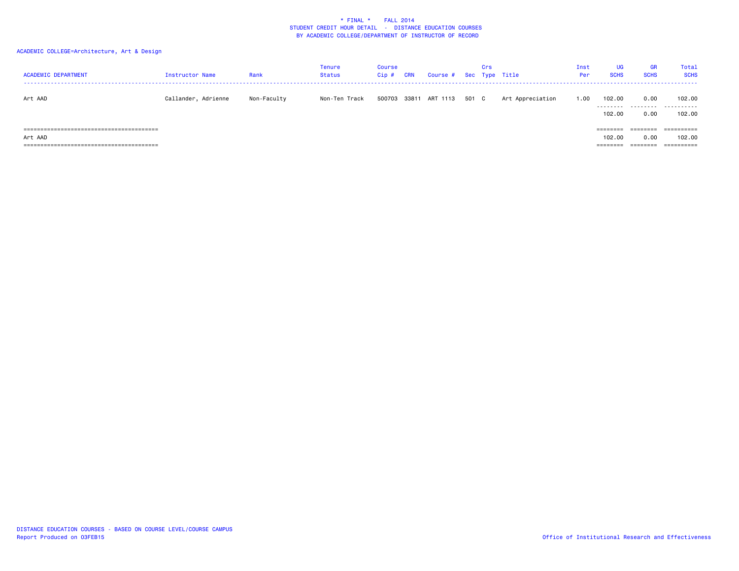# ACADEMIC COLLEGE=Architecture, Art & Design

| <b>ACADEMIC DEPARTMENT</b> | <b>Instructor Name</b> | Rank        | <b>Tenure</b><br>Status | Course<br>$Cip$ # | <b>CRN</b> | Course # Sec Type Title |       | Crs |                  | Inst<br>Per | <b>UG</b><br><b>SCHS</b>      | <b>GR</b><br><b>SCHS</b> | Total<br><b>SCHS</b>  |
|----------------------------|------------------------|-------------|-------------------------|-------------------|------------|-------------------------|-------|-----|------------------|-------------|-------------------------------|--------------------------|-----------------------|
| Art AAD                    | Callander, Adrienne    | Non-Faculty | Non-Ten Track           |                   |            | 500703 33811 ART 1113   | 501 C |     | Art Appreciation | 1.00        | 102.00<br>.<br>102,00         | 0.00<br>.<br>0.00        | 102.00<br>.<br>102.00 |
| Art AAD<br>===========     |                        |             |                         |                   |            |                         |       |     |                  |             | ========<br>102.00<br>------- | ========<br>0.00         | ==========<br>102.00  |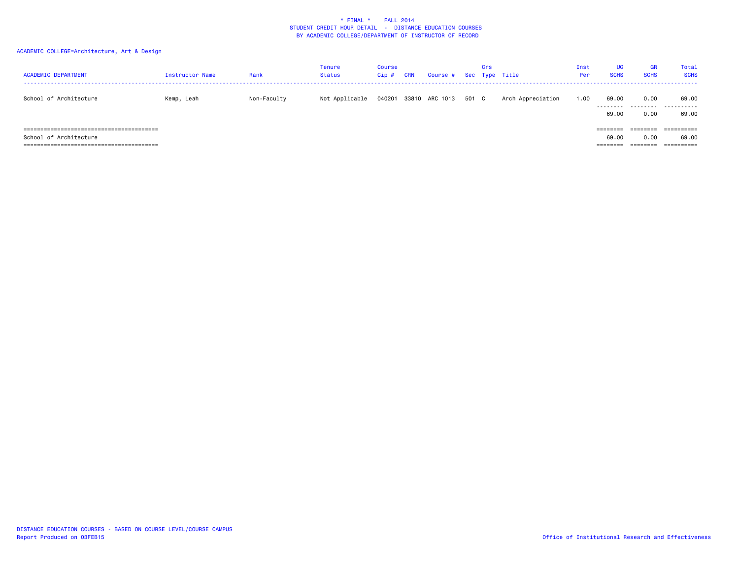# ACADEMIC COLLEGE=Architecture, Art & Design

| <b>ACADEMIC DEPARTMENT</b> | Instructor Name | Rank        | Tenure<br>Status | Course<br>Cip# | <b>CRN</b> | Course # Sec Type Title |       | Crs |                   | Inst<br>Per | <b>UG</b><br><b>SCHS</b>      | <b>GR</b><br><b>SCHS</b>    | Total<br><b>SCHS</b> |
|----------------------------|-----------------|-------------|------------------|----------------|------------|-------------------------|-------|-----|-------------------|-------------|-------------------------------|-----------------------------|----------------------|
| School of Architecture     | Kemp, Leah      | Non-Faculty | Not Applicable   |                |            | 040201 33810 ARC 1013   | 501 C |     | Arch Appreciation | 1.00        | 69.00<br>.<br>69.00           | 0.00<br>0.00                | 69.00<br><br>69.00   |
| School of Architecture     |                 |             |                  |                |            |                         |       |     |                   |             | ---------<br>69.00<br>======= | --------<br>0.00<br>======= | 69.00<br>==========  |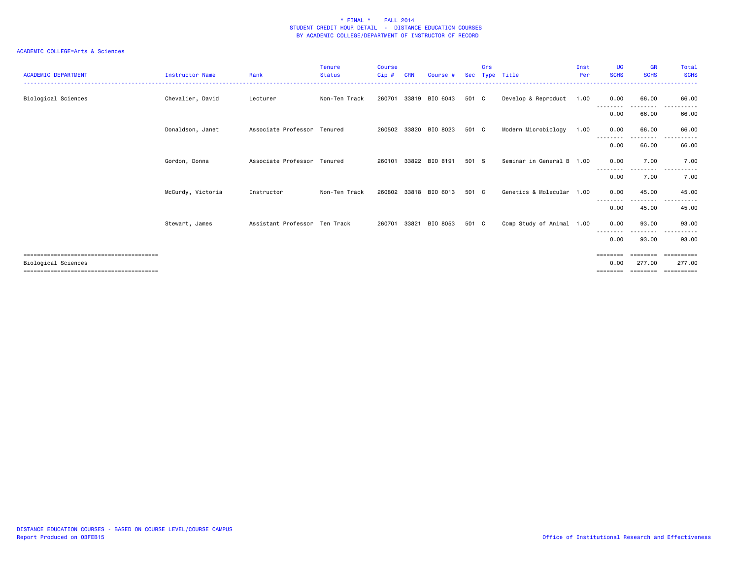| <b>ACADEMIC DEPARTMENT</b> | Instructor Name   | Rank                          | <b>Tenure</b><br><b>Status</b> | <b>Course</b><br>Cip# | <b>CRN</b> | Course #       | <b>Sec</b> | Crs | Type Title                | Inst<br>Per | <b>UG</b><br><b>SCHS</b>     | <b>GR</b><br><b>SCHS</b>       | <b>Total</b><br><b>SCHS</b> |
|----------------------------|-------------------|-------------------------------|--------------------------------|-----------------------|------------|----------------|------------|-----|---------------------------|-------------|------------------------------|--------------------------------|-----------------------------|
| Biological Sciences        | Chevalier, David  | Lecturer                      | Non-Ten Track                  | 260701                | 33819      | BIO 6043       | 501 C      |     | Develop & Reproduct       | 1.00        | 0.00                         | 66.00<br>.                     | 66.00                       |
|                            |                   |                               |                                |                       |            |                |            |     |                           |             | 0.00                         | 66.00                          | 66.00                       |
|                            | Donaldson, Janet  | Associate Professor Tenured   |                                | 260502 33820          |            | BIO 8023       | 501 C      |     | Modern Microbiology       | 1.00        | 0.00<br>--------             | 66.00<br>- - - - - - - - -     | 66.00                       |
|                            |                   |                               |                                |                       |            |                |            |     |                           |             | 0.00                         | 66.00                          | 66.00                       |
|                            | Gordon, Donna     | Associate Professor           | Tenured                        | 260101                | 33822      | BIO 8191       | 501 S      |     | Seminar in General B 1.00 |             | 0.00                         | 7.00                           | 7.00                        |
|                            |                   |                               |                                |                       |            |                |            |     |                           |             | --------<br>0.00             | .<br>7.00                      | $  -$<br>7.00               |
|                            | McCurdy, Victoria | Instructor                    | Non-Ten Track                  | 260802                |            | 33818 BIO 6013 | 501 C      |     | Genetics & Molecular      | 1.00        | 0.00                         | 45.00                          | 45.00                       |
|                            |                   |                               |                                |                       |            |                |            |     |                           |             | 0.00                         | -------<br>45.00               | 45.00                       |
|                            | Stewart, James    | Assistant Professor Ten Track |                                | 260701                | 33821      | BIO 8053       | 501 C      |     | Comp Study of Animal 1.00 |             | 0.00<br>--------             | 93,00                          | 93.00                       |
|                            |                   |                               |                                |                       |            |                |            |     |                           |             | 0.00                         | 93.00                          | 93.00                       |
| Biological Sciences        |                   |                               |                                |                       |            |                |            |     |                           |             | ========<br>0.00<br>======== | ========<br>277,00<br>======== | ==========<br>277,00        |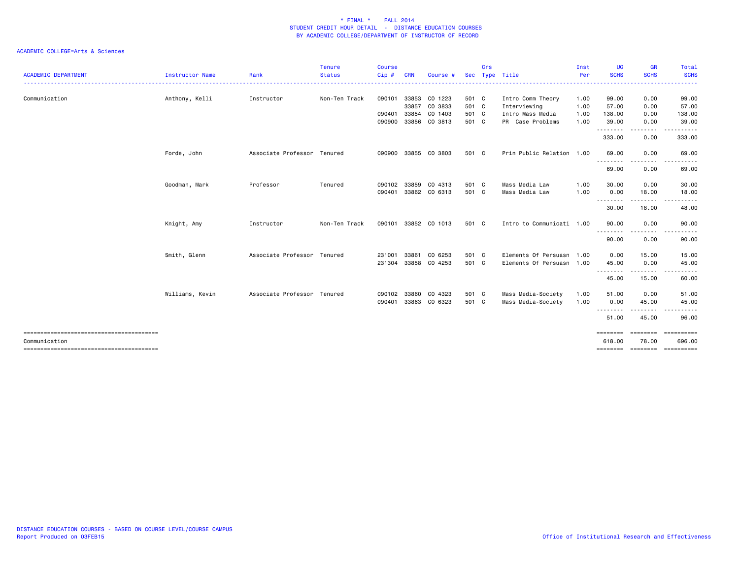|                            |                        |                             | <b>Tenure</b> | Course |            |               |            | Crs |                           | Inst | UG                  | <b>GR</b>   | <b>Total</b>                             |
|----------------------------|------------------------|-----------------------------|---------------|--------|------------|---------------|------------|-----|---------------------------|------|---------------------|-------------|------------------------------------------|
| <b>ACADEMIC DEPARTMENT</b> | <b>Instructor Name</b> | Rank                        | <b>Status</b> | Cip#   | <b>CRN</b> | Course        | <b>Sec</b> |     | Type Title                | Per  | <b>SCHS</b>         | <b>SCHS</b> | <b>SCHS</b>                              |
| Communication              | Anthony, Kelli         | Instructor                  | Non-Ten Track | 090101 | 33853      | CO 1223       | 501 C      |     | Intro Comm Theory         | 1.00 | 99.00               | 0.00        | 99.00                                    |
|                            |                        |                             |               |        | 33857      | CO 3833       | 501 C      |     | Interviewing              | 1.00 | 57.00               | 0.00        | 57.00                                    |
|                            |                        |                             |               | 090401 | 33854      | CO 1403       | 501 C      |     | Intro Mass Media          | 1.00 | 138.00              | 0.00        | 138.00                                   |
|                            |                        |                             |               | 090900 |            | 33856 CO 3813 | 501 C      |     | PR Case Problems          | 1.00 | 39.00<br>.          | 0.00        | 39.00                                    |
|                            |                        |                             |               |        |            |               |            |     |                           |      | 333.00              | 0.00        | 333.00                                   |
|                            | Forde, John            | Associate Professor Tenured |               | 090900 |            | 33855 CO 3803 | 501 C      |     | Prin Public Relation 1.00 |      | 69.00               | 0.00        | 69.00                                    |
|                            |                        |                             |               |        |            |               |            |     |                           |      | .<br>69.00          | .<br>0.00   | 69.00                                    |
|                            | Goodman, Mark          | Professor                   | Tenured       | 090102 | 33859      | CO 4313       | 501 C      |     | Mass Media Law            | 1.00 | 30.00               | 0.00        | 30.00                                    |
|                            |                        |                             |               | 090401 |            | 33862 CO 6313 | 501 C      |     | Mass Media Law            | 1.00 | 0.00                | 18.00       | 18.00                                    |
|                            |                        |                             |               |        |            |               |            |     |                           |      | <u>.</u> .<br>30.00 | .<br>18.00  | 48.00                                    |
|                            | Knight, Amy            | Instructor                  | Non-Ten Track | 090101 |            | 33852 CO 1013 | 501 C      |     | Intro to Communicati 1.00 |      | 90.00               | 0.00        | 90.00                                    |
|                            |                        |                             |               |        |            |               |            |     |                           |      | .<br>90.00          | 0.00        | 90.00                                    |
|                            | Smith, Glenn           | Associate Professor Tenured |               | 231001 | 33861      | CO 6253       | 501 C      |     | Elements Of Persuasn 1.00 |      | 0.00                | 15.00       | 15.00                                    |
|                            |                        |                             |               | 231304 |            | 33858 CO 4253 | 501 C      |     | Elements Of Persuasn 1.00 |      | 45.00               | 0.00        | 45.00                                    |
|                            |                        |                             |               |        |            |               |            |     |                           |      | .<br>45.00          | 15.00       | 60.00                                    |
|                            | Williams, Kevin        | Associate Professor Tenured |               | 090102 | 33860      | CO 4323       | 501 C      |     | Mass Media-Society        | 1.00 | 51.00               | 0.00        | 51.00                                    |
|                            |                        |                             |               | 090401 |            | 33863 CO 6323 | 501 C      |     | Mass Media-Society        | 1.00 | 0.00                | 45.00       | 45.00                                    |
|                            |                        |                             |               |        |            |               |            |     |                           |      | .<br>51.00          | 45.00       | 96.00                                    |
|                            |                        |                             |               |        |            |               |            |     |                           |      | ========            | ========    | ==========                               |
| Communication              |                        |                             |               |        |            |               |            |     |                           |      | 618.00              | 78.00       | 696.00<br>============================== |
|                            |                        |                             |               |        |            |               |            |     |                           |      |                     |             |                                          |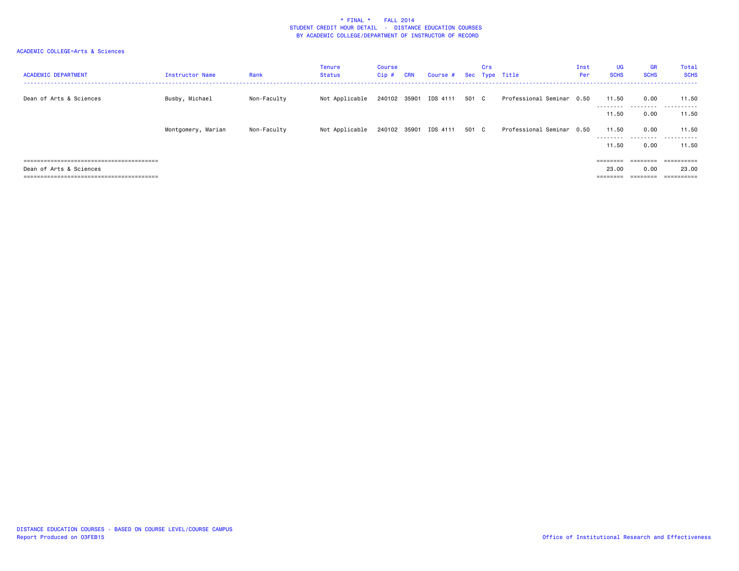| <b>ACADEMIC DEPARTMENT</b> | Instructor Name    | Rank        | Tenure<br><b>Status</b> | Course<br>$Cip$ # | <b>CRN</b> | Course #              |       | Crs | Sec Type Title            | Inst<br>Per | <b>UG</b><br><b>SCHS</b> | <b>GR</b><br><b>SCHS</b> | Total<br><b>SCHS</b> |
|----------------------------|--------------------|-------------|-------------------------|-------------------|------------|-----------------------|-------|-----|---------------------------|-------------|--------------------------|--------------------------|----------------------|
| Dean of Arts & Sciences    | Busby, Michael     | Non-Faculty | Not Applicable          | 240102            | 35901      | IDS 4111              | 501 C |     | Professional Seminar 0.50 |             | 11.50<br>.               | 0.00                     | 11.50<br>            |
|                            |                    |             |                         |                   |            |                       |       |     |                           |             | 11.50                    | 0.00                     | 11.50                |
|                            | Montgomery, Marian | Non-Faculty | Not Applicable          |                   |            | 240102 35901 IDS 4111 | 501 C |     | Professional Seminar 0.50 |             | 11.50<br>---------       | 0.00                     | 11.50<br>            |
|                            |                    |             |                         |                   |            |                       |       |     |                           |             | 11.50                    | 0.00                     | 11.50                |
|                            |                    |             |                         |                   |            |                       |       |     |                           |             | ========                 | ========                 | ==========           |
| Dean of Arts & Sciences    |                    |             |                         |                   |            |                       |       |     |                           |             | 23,00                    | 0.00                     | 23,00                |
|                            |                    |             |                         |                   |            |                       |       |     |                           |             | ========                 | ________<br>-------      |                      |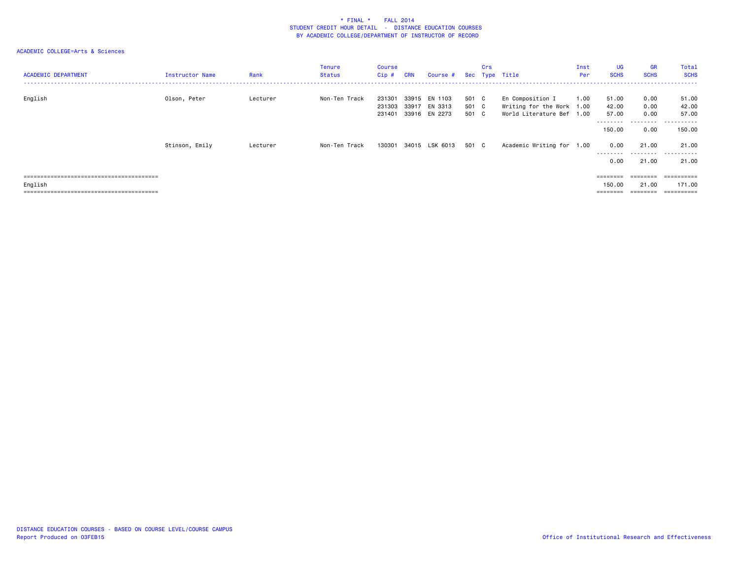| <b>ACADEMIC DEPARTMENT</b> | Instructor Name | Rank     | <b>Tenure</b><br><b>Status</b> | Course<br>$Cip$ #          | <b>CRN</b>     | Course #                            |                         | Crs | Sec Type Title                                                             | Inst<br>Per | <b>UG</b><br><b>SCHS</b>                | <b>GR</b><br><b>SCHS</b>                                                                     | Total<br><b>SCHS</b>          |
|----------------------------|-----------------|----------|--------------------------------|----------------------------|----------------|-------------------------------------|-------------------------|-----|----------------------------------------------------------------------------|-------------|-----------------------------------------|----------------------------------------------------------------------------------------------|-------------------------------|
| English                    | Olson, Peter    | Lecturer | Non-Ten Track                  | 231301<br>231303<br>231401 | 33915<br>33917 | EN 1103<br>EN 3313<br>33916 EN 2273 | 501 C<br>501 C<br>501 C |     | En Composition I<br>Writing for the Work 1.00<br>World Literature Bef 1.00 | 1.00        | 51.00<br>42.00<br>57.00<br>---------    | 0.00<br>0.00<br>0.00                                                                         | 51.00<br>42.00<br>57.00<br>.  |
|                            | Stinson, Emily  | Lecturer | Non-Ten Track                  | 130301                     |                | 34015 LSK 6013                      | 501 C                   |     | Academic Writing for 1.00                                                  |             | 150.00<br>0.00<br>---------<br>0.00     | 0.00<br>21.00<br>---------<br>21.00                                                          | 150.00<br>21.00<br>.<br>21.00 |
| English                    |                 |          |                                |                            |                |                                     |                         |     |                                                                            |             | $=$ = = = = = = =<br>150.00<br>======== | $\qquad \qquad \equiv \equiv \equiv \equiv \equiv \equiv \equiv \equiv$<br>21.00<br>======== | 171.00<br>==========          |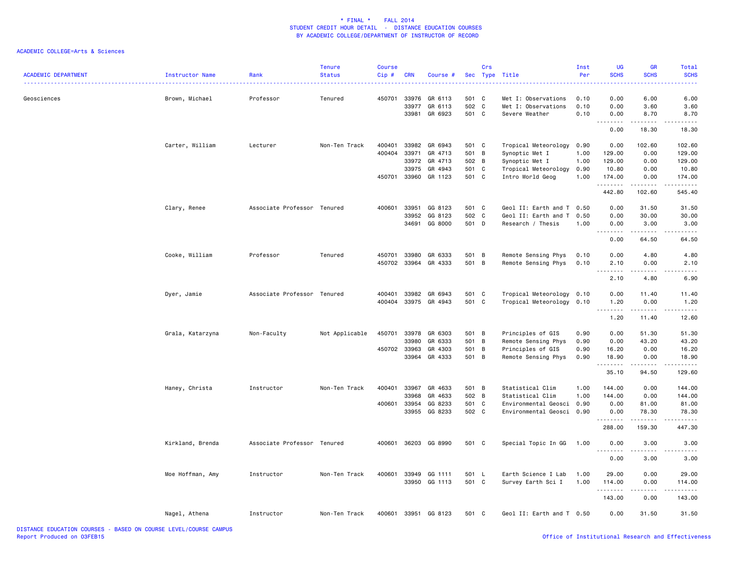| <b>ACADEMIC DEPARTMENT</b>                                        | Instructor Name  | Rank                        | <b>Tenure</b><br><b>Status</b> | <b>Course</b><br>Cip# | <b>CRN</b>     | Course #             | Sec        | Crs    | Type Title                                 | Inst<br>Per  | UG<br><b>SCHS</b>   | GR<br><b>SCHS</b>   | Total<br><b>SCHS</b> |
|-------------------------------------------------------------------|------------------|-----------------------------|--------------------------------|-----------------------|----------------|----------------------|------------|--------|--------------------------------------------|--------------|---------------------|---------------------|----------------------|
| Geosciences                                                       | Brown, Michael   | Professor                   | Tenured                        | 450701                | 33976<br>33977 | GR 6113<br>GR 6113   | 501<br>502 | C<br>C | Met I: Observations<br>Met I: Observations | 0.10<br>0.10 | 0.00<br>0.00        | 6.00<br>3.60        | 6.00<br>3.60         |
|                                                                   |                  |                             |                                |                       | 33981          | GR 6923              | 501 C      |        | Severe Weather                             | 0.10         | 0.00                | 8.70                | 8.70                 |
|                                                                   |                  |                             |                                |                       |                |                      |            |        |                                            |              | 0.00                | 18.30               | 18.30                |
|                                                                   | Carter, William  | Lecturer                    | Non-Ten Track                  | 400401                | 33982          | GR 6943              | 501 C      |        | Tropical Meteorology                       | 0.90         | 0.00                | 102.60              | 102.60               |
|                                                                   |                  |                             |                                | 400404                | 33971          | GR 4713              | 501 B      |        | Synoptic Met I                             | 1.00         | 129.00              | 0.00                | 129.00               |
|                                                                   |                  |                             |                                |                       | 33972          | GR 4713              | 502 B      |        | Synoptic Met I                             | 1.00         | 129.00              | 0.00                | 129.00               |
|                                                                   |                  |                             |                                |                       | 33975          | GR 4943              | 501 C      |        | Tropical Meteorology                       | 0.90         | 10.80               | 0.00                | 10.80                |
|                                                                   |                  |                             |                                | 450701                |                | 33960 GR 1123        | 501 C      |        | Intro World Geog                           | 1.00         | 174.00<br>.         | 0.00                | 174.00               |
|                                                                   |                  |                             |                                |                       |                |                      |            |        |                                            |              | 442.80              | 102.60              | 545.40               |
|                                                                   | Clary, Renee     | Associate Professor Tenured |                                | 400601                | 33951          | GG 8123              | 501 C      |        | Geol II: Earth and T 0.50                  |              | 0.00                | 31.50               | 31.50                |
|                                                                   |                  |                             |                                |                       | 33952          | GG 8123              | 502 C      |        | Geol II: Earth and T                       | 0.50         | 0.00                | 30.00               | 30.00                |
|                                                                   |                  |                             |                                |                       | 34691          | GG 8000              | 501 D      |        | Research / Thesis                          | 1.00         | 0.00<br>.           | 3.00                | 3.00                 |
|                                                                   |                  |                             |                                |                       |                |                      |            |        |                                            |              | 0.00                | 64.50               | 64.50                |
|                                                                   | Cooke, William   | Professor                   | Tenured                        | 450701                | 33980          | GR 6333              | 501 B      |        | Remote Sensing Phys                        | 0.10         | 0.00                | 4.80                | 4.80                 |
|                                                                   |                  |                             |                                | 450702                |                | 33964 GR 4333        | 501 B      |        | Remote Sensing Phys                        | 0.10         | 2.10                | 0.00                | 2.10                 |
|                                                                   |                  |                             |                                |                       |                |                      |            |        |                                            |              | $- - - - -$<br>2.10 | 4.80                | $- - - -$<br>6.90    |
|                                                                   | Dyer, Jamie      | Associate Professor Tenured |                                | 400401                | 33982          | GR 6943              | 501 C      |        | Tropical Meteorology 0.10                  |              | 0.00                | 11.40               | 11.40                |
|                                                                   |                  |                             |                                | 400404                |                | 33975 GR 4943        | 501 C      |        | Tropical Meteorology 0.10                  |              | 1.20                | 0.00                | 1.20                 |
|                                                                   |                  |                             |                                |                       |                |                      |            |        |                                            |              | .                   | .                   | .                    |
|                                                                   |                  |                             |                                |                       |                |                      |            |        |                                            |              | 1.20                | 11.40               | 12.60                |
|                                                                   | Grala, Katarzyna | Non-Faculty                 | Not Applicable                 | 450701                |                | 33978 GR 6303        | 501 B      |        | Principles of GIS                          | 0.90         | 0.00                | 51.30               | 51.30                |
|                                                                   |                  |                             |                                |                       | 33980          | GR 6333              | 501        | B      | Remote Sensing Phys                        | 0.90         | 0.00                | 43.20               | 43.20                |
|                                                                   |                  |                             |                                | 450702                | 33963          | GR 4303              | 501        | B      | Principles of GIS                          | 0.90         | 16.20               | 0.00                | 16.20                |
|                                                                   |                  |                             |                                |                       | 33964          | GR 4333              | 501 B      |        | Remote Sensing Phys                        | 0.90         | 18.90<br>.          | 0.00<br>$- - - - -$ | 18.90<br>.           |
|                                                                   |                  |                             |                                |                       |                |                      |            |        |                                            |              | 35.10               | 94.50               | 129.60               |
|                                                                   | Haney, Christa   | Instructor                  | Non-Ten Track                  | 400401                | 33967          | GR 4633              | 501 B      |        | Statistical Clim                           | 1.00         | 144.00              | 0.00                | 144.00               |
|                                                                   |                  |                             |                                |                       | 33968          | GR 4633              | 502 B      |        | Statistical Clim                           | 1.00         | 144.00              | 0.00                | 144.00               |
|                                                                   |                  |                             |                                | 400601                | 33954          | GG 8233              | 501        | C      | Environmental Geosci                       | 0.90         | 0.00                | 81.00               | 81.00                |
|                                                                   |                  |                             |                                |                       | 33955          | GG 8233              | 502 C      |        | Environmental Geosci 0.90                  |              | 0.00<br>.           | 78.30               | 78.30                |
|                                                                   |                  |                             |                                |                       |                |                      |            |        |                                            |              | 288.00              | 159.30              | 447.30               |
|                                                                   | Kirkland, Brenda | Associate Professor Tenured |                                | 400601                |                | 36203 GG 8990        | 501 C      |        | Special Topic In GG                        | 1.00         | 0.00                | 3.00                | 3.00                 |
|                                                                   |                  |                             |                                |                       |                |                      |            |        |                                            |              | 0.00                | 3.00                | 3.00                 |
|                                                                   | Moe Hoffman, Amy | Instructor                  | Non-Ten Track                  | 400601                | 33949          | GG 1111              | 501 L      |        | Earth Science I Lab                        | 1.00         | 29.00               | 0.00                | 29.00                |
|                                                                   |                  |                             |                                |                       |                | 33950 GG 1113        | 501 C      |        | Survey Earth Sci I                         | 1.00         | 114.00              | 0.00                | 114.00               |
|                                                                   |                  |                             |                                |                       |                |                      |            |        |                                            |              | .<br>143.00         | د د د د<br>0.00     | .<br>143.00          |
|                                                                   |                  |                             |                                |                       |                |                      |            |        |                                            |              |                     |                     |                      |
|                                                                   | Nagel, Athena    | Instructor                  | Non-Ten Track                  |                       |                | 400601 33951 GG 8123 | 501 C      |        | Geol II: Earth and T 0.50                  |              | 0.00                | 31.50               | 31.50                |
| BISTANCE EDUCATION COURSES - BASED ON COURSE LEVEL LOQUBOE CANDUS |                  |                             |                                |                       |                |                      |            |        |                                            |              |                     |                     |                      |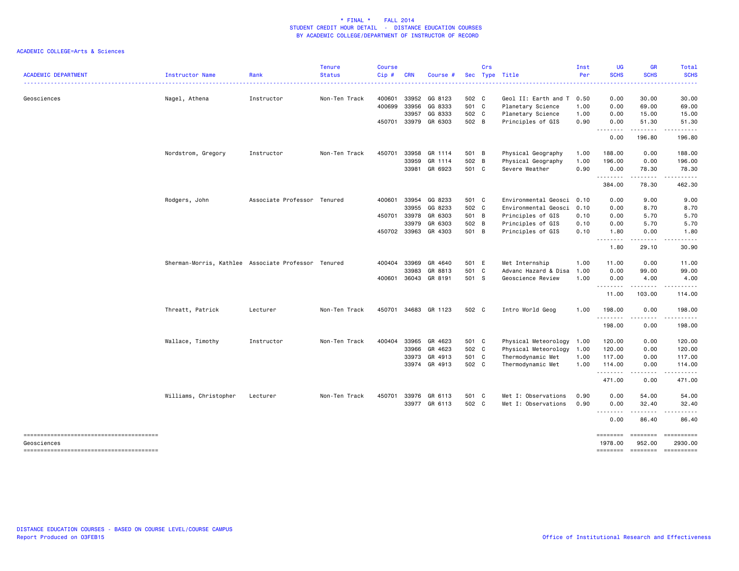| <b>ACADEMIC DEPARTMENT</b> | Instructor Name                                     | Rank                        | <b>Tenure</b><br><b>Status</b> | <b>Course</b><br>$Cip \#$ | <b>CRN</b> | Course #      |       | Crs | Sec Type Title            | Inst<br>Per | UG<br><b>SCHS</b>   | <b>GR</b><br><b>SCHS</b>    | Total<br><b>SCHS</b>  |
|----------------------------|-----------------------------------------------------|-----------------------------|--------------------------------|---------------------------|------------|---------------|-------|-----|---------------------------|-------------|---------------------|-----------------------------|-----------------------|
| Geosciences                | Nagel, Athena                                       | Instructor                  | Non-Ten Track                  | 400601                    | 33952      | GG 8123       | 502 C |     | Geol II: Earth and T      | 0.50        | 0.00                | 30.00                       | 30.00                 |
|                            |                                                     |                             |                                | 400699                    | 33956      | GG 8333       | 501 C |     | Planetary Science         | 1.00        | 0.00                | 69.00                       | 69.00                 |
|                            |                                                     |                             |                                |                           | 33957      | GG 8333       | 502 C |     | Planetary Science         | 1.00        | 0.00                | 15.00                       | 15.00                 |
|                            |                                                     |                             |                                | 450701                    |            | 33979 GR 6303 | 502 B |     | Principles of GIS         | 0.90        | 0.00<br>.           | 51.30<br>.                  | 51.30                 |
|                            |                                                     |                             |                                |                           |            |               |       |     |                           |             | 0.00                | 196.80                      | 196.80                |
|                            | Nordstrom, Gregory                                  | Instructor                  | Non-Ten Track                  | 450701                    | 33958      | GR 1114       | 501 B |     | Physical Geography        | 1.00        | 188.00              | 0.00                        | 188.00                |
|                            |                                                     |                             |                                |                           | 33959      | GR 1114       | 502   | B   | Physical Geography        | 1.00        | 196.00              | 0.00                        | 196.00                |
|                            |                                                     |                             |                                |                           | 33981      | GR 6923       | 501 C |     | Severe Weather            | 0.90        | 0.00<br>.           | 78.30<br>.                  | 78.30<br>.            |
|                            |                                                     |                             |                                |                           |            |               |       |     |                           |             | 384.00              | 78.30                       | 462.30                |
|                            | Rodgers, John                                       | Associate Professor Tenured |                                | 400601                    |            | 33954 GG 8233 | 501 C |     | Environmental Geosci 0.10 |             | 0.00                | 9.00                        | 9.00                  |
|                            |                                                     |                             |                                |                           |            | 33955 GG 8233 | 502 C |     | Environmental Geosci      | 0.10        | 0.00                | 8.70                        | 8.70                  |
|                            |                                                     |                             |                                | 450701                    | 33978      | GR 6303       | 501 B |     | Principles of GIS         | 0.10        | 0.00                | 5.70                        | 5.70                  |
|                            |                                                     |                             |                                |                           | 33979      | GR 6303       | 502 B |     | Principles of GIS         | 0.10        | 0.00                | 5.70                        | 5.70                  |
|                            |                                                     |                             |                                | 450702                    |            | 33963 GR 4303 | 501 B |     | Principles of GIS         | 0.10        | 1.80<br>. <b>.</b>  | 0.00                        | 1.80                  |
|                            |                                                     |                             |                                |                           |            |               |       |     |                           |             | 1.80                | 29.10                       | 30.90                 |
|                            | Sherman-Morris, Kathlee Associate Professor Tenured |                             |                                | 400404                    |            | 33969 GR 4640 | 501 E |     | Met Internship            | 1.00        | 11.00               | 0.00                        | 11.00                 |
|                            |                                                     |                             |                                |                           | 33983      | GR 8813       | 501 C |     | Advanc Hazard & Disa 1.00 |             | 0.00                | 99.00                       | 99.00                 |
|                            |                                                     |                             |                                | 400601                    |            | 36043 GR 8191 | 501 S |     | Geoscience Review         | 1.00        | 0.00<br>--------    | 4.00<br>--------            | 4.00<br>.             |
|                            |                                                     |                             |                                |                           |            |               |       |     |                           |             | 11.00               | 103.00                      | 114.00                |
|                            | Threatt, Patrick                                    | Lecturer                    | Non-Ten Track                  | 450701                    |            | 34683 GR 1123 | 502 C |     | Intro World Geog          | 1.00        | 198.00              | 0.00                        | 198.00                |
|                            |                                                     |                             |                                |                           |            |               |       |     |                           |             | .                   | .                           | .                     |
|                            |                                                     |                             |                                |                           |            |               |       |     |                           |             | 198.00              | 0.00                        | 198.00                |
|                            | Wallace, Timothy                                    | Instructor                  | Non-Ten Track                  | 400404                    | 33965      | GR 4623       | 501 C |     | Physical Meteorology 1.00 |             | 120.00              | 0.00                        | 120.00                |
|                            |                                                     |                             |                                |                           |            | 33966 GR 4623 | 502 C |     | Physical Meteorology      | 1.00        | 120.00              | 0.00                        | 120.00                |
|                            |                                                     |                             |                                |                           |            | 33973 GR 4913 | 501 C |     | Thermodynamic Met         | 1.00        | 117.00              | 0.00                        | 117.00                |
|                            |                                                     |                             |                                |                           |            | 33974 GR 4913 | 502 C |     | Thermodynamic Met         | 1.00        | 114.00<br>.         | 0.00<br>.                   | 114.00                |
|                            |                                                     |                             |                                |                           |            |               |       |     |                           |             | 471.00              | 0.00                        | 471.00                |
|                            | Williams, Christopher                               | Lecturer                    | Non-Ten Track                  | 450701                    |            | 33976 GR 6113 | 501 C |     | Met I: Observations       | 0.90        | 0.00                | 54.00                       | 54.00                 |
|                            |                                                     |                             |                                |                           |            | 33977 GR 6113 | 502 C |     | Met I: Observations       | 0.90        | 0.00<br>--------    | 32.40                       | 32.40                 |
|                            |                                                     |                             |                                |                           |            |               |       |     |                           |             | 0.00                | 86.40                       | 86.40                 |
| Geosciences                |                                                     |                             |                                |                           |            |               |       |     |                           |             | ========<br>1978.00 | $=$ = = = = = = =<br>952.00 | ==========<br>2930.00 |
|                            |                                                     |                             |                                |                           |            |               |       |     |                           |             | ========            | --------- ---------         |                       |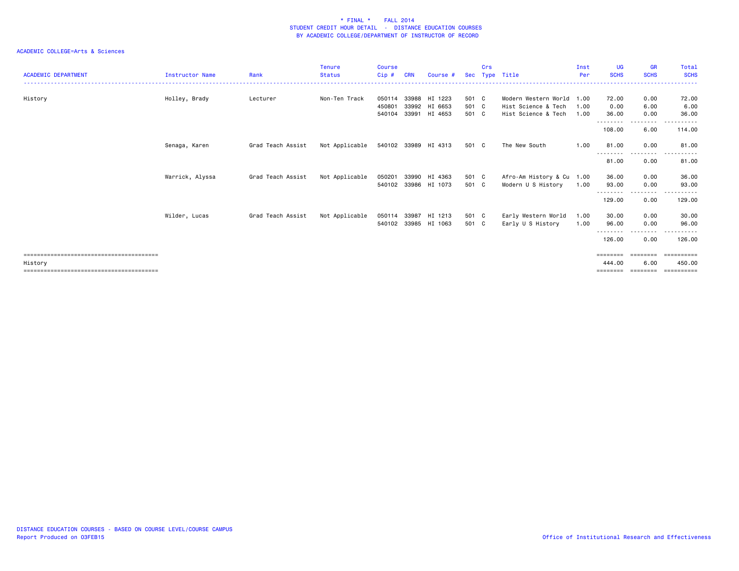| <b>ACADEMIC DEPARTMENT</b> | <b>Instructor Name</b> | Rank              | <b>Tenure</b><br><b>Status</b> | <b>Course</b><br>Cip#      | <b>CRN</b>              | Course #                      | <b>Sec</b>              | Crs | Type Title                                                         | Inst<br>Per          | <b>UG</b><br><b>SCHS</b>       | <b>GR</b><br><b>SCHS</b>                                                                                                | Total<br><b>SCHS</b>                          |
|----------------------------|------------------------|-------------------|--------------------------------|----------------------------|-------------------------|-------------------------------|-------------------------|-----|--------------------------------------------------------------------|----------------------|--------------------------------|-------------------------------------------------------------------------------------------------------------------------|-----------------------------------------------|
| History                    | Holley, Brady          | Lecturer          | Non-Ten Track                  | 050114<br>450801<br>540104 | 33988<br>33992<br>33991 | HI 1223<br>HI 6653<br>HI 4653 | 501 C<br>501 C<br>501 C |     | Modern Western World<br>Hist Science & Tech<br>Hist Science & Tech | 1.00<br>1.00<br>1.00 | 72.00<br>0.00<br>36.00         | 0.00<br>6.00<br>0.00                                                                                                    | 72.00<br>6.00<br>36.00                        |
|                            |                        |                   |                                |                            |                         |                               |                         |     |                                                                    |                      | ---------<br>108.00            | $\begin{array}{cccccccccccccc} \bullet & \bullet & \bullet & \bullet & \bullet & \bullet & \bullet \end{array}$<br>6.00 | .<br>114.00                                   |
|                            | Senaga, Karen          | Grad Teach Assist | Not Applicable                 |                            |                         | 540102 33989 HI 4313          | 501 C                   |     | The New South                                                      | 1.00                 | 81.00                          | 0.00<br>$\cdots$                                                                                                        | 81.00                                         |
|                            |                        |                   |                                |                            |                         |                               |                         |     |                                                                    |                      | 81.00                          | 0.00                                                                                                                    | 81.00                                         |
|                            | Warrick, Alyssa        | Grad Teach Assist | Not Applicable                 | 050201<br>540102           | 33990                   | HI 4363<br>33986 HI 1073      | 501 C<br>501 C          |     | Afro-Am History & Cu 1.00<br>Modern U S History                    | 1.00                 | 36.00<br>93.00<br><u>.</u>     | 0.00<br>0.00<br>.                                                                                                       | 36.00<br>93.00<br>.                           |
|                            |                        |                   |                                |                            |                         |                               |                         |     |                                                                    |                      | 129.00                         | 0.00                                                                                                                    | 129.00                                        |
|                            | Wilder, Lucas          | Grad Teach Assist | Not Applicable                 | 050114<br>540102           | 33987<br>33985          | HI 1213<br>HI 1063            | 501 C<br>501 C          |     | Early Western World<br>Early U S History                           | 1.00<br>1.00         | 30.00<br>96.00<br>--------     | 0.00<br>0.00                                                                                                            | 30.00<br>96.00                                |
|                            |                        |                   |                                |                            |                         |                               |                         |     |                                                                    |                      | 126.00                         | 0.00                                                                                                                    | 126.00                                        |
| History                    |                        |                   |                                |                            |                         |                               |                         |     |                                                                    |                      | ========<br>444.00<br>======== | ========<br>6.00<br>========                                                                                            | ==========<br>450.00<br>$=$ = = = = = = = = = |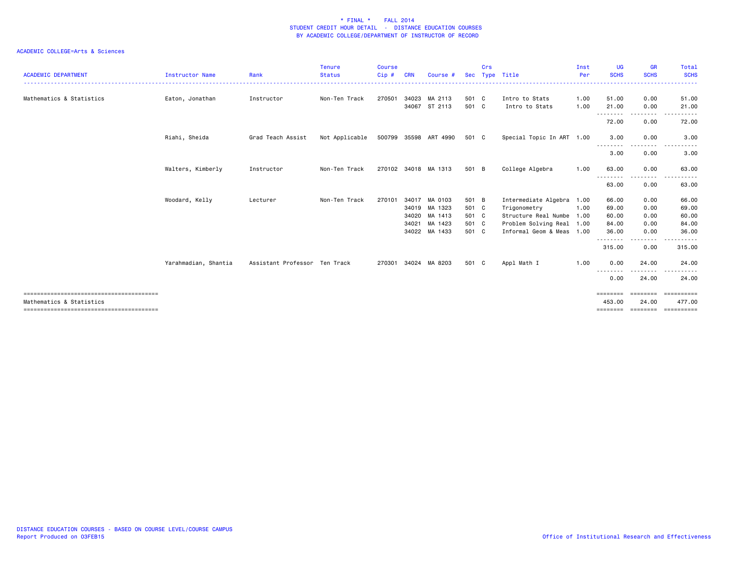| <b>ACADEMIC DEPARTMENT</b> | <b>Instructor Name</b> | Rank                          | <b>Tenure</b><br><b>Status</b> | <b>Course</b><br>Cip# | CRN   | Course #                                                                    |                                           | Crs | Sec Type Title                                                                                                                   | Inst<br>Per  | <b>UG</b><br><b>SCHS</b>                                 | <b>GR</b><br><b>SCHS</b>                              | Total<br><b>SCHS</b><br><u>.</u>                              |
|----------------------------|------------------------|-------------------------------|--------------------------------|-----------------------|-------|-----------------------------------------------------------------------------|-------------------------------------------|-----|----------------------------------------------------------------------------------------------------------------------------------|--------------|----------------------------------------------------------|-------------------------------------------------------|---------------------------------------------------------------|
| Mathematics & Statistics   | Eaton, Jonathan        | Instructor                    | Non-Ten Track                  | 270501                |       | 34023 MA 2113<br>34067 ST 2113                                              | 501 C<br>501 C                            |     | Intro to Stats<br>Intro to Stats                                                                                                 | 1.00<br>1.00 | 51.00<br>21.00                                           | 0.00<br>0.00                                          | 51.00<br>21.00                                                |
|                            |                        |                               |                                |                       |       |                                                                             |                                           |     |                                                                                                                                  |              | . <u>.</u><br>72.00                                      | - - - - - - - -<br>0.00                               | 72.00                                                         |
|                            | Riahi, Sheida          | Grad Teach Assist             | Not Applicable                 |                       |       | 500799 35598 ART 4990                                                       | 501 C                                     |     | Special Topic In ART 1.00                                                                                                        |              | 3.00                                                     | 0.00                                                  | 3.00                                                          |
|                            |                        |                               |                                |                       |       |                                                                             |                                           |     |                                                                                                                                  |              | --------<br>3.00                                         | .<br>0.00                                             | 3.00                                                          |
|                            | Walters, Kimberly      | Instructor                    | Non-Ten Track                  |                       |       | 270102 34018 MA 1313                                                        | 501 B                                     |     | College Algebra                                                                                                                  | 1.00         | 63.00<br>. <u>.</u>                                      | 0.00                                                  | 63.00                                                         |
|                            |                        |                               |                                |                       |       |                                                                             |                                           |     |                                                                                                                                  |              | 63.00                                                    | 0.00                                                  | 63.00                                                         |
|                            | Woodard, Kelly         | Lecturer                      | Non-Ten Track                  | 270101                | 34021 | 34017 MA 0103<br>34019 MA 1323<br>34020 MA 1413<br>MA 1423<br>34022 MA 1433 | 501 B<br>501 C<br>501 C<br>501 C<br>501 C |     | Intermediate Algebra 1.00<br>Trigonometry<br>Structure Real Numbe 1.00<br>Problem Solving Real 1.00<br>Informal Geom & Meas 1.00 | 1.00         | 66.00<br>69.00<br>60.00<br>84.00<br>36.00<br>.<br>315.00 | 0.00<br>0.00<br>0.00<br>0.00<br>0.00<br>-----<br>0.00 | 66.00<br>69.00<br>60.00<br>84.00<br>36.00<br>------<br>315.00 |
|                            | Yarahmadian, Shantia   | Assistant Professor Ten Track |                                | 270301                |       | 34024 MA 8203                                                               | 501 C                                     |     | Appl Math I                                                                                                                      | 1.00         | 0.00<br>- - - - - - - -                                  | 24.00<br>- - - - -                                    | 24.00                                                         |
|                            |                        |                               |                                |                       |       |                                                                             |                                           |     |                                                                                                                                  |              | 0.00                                                     | 24.00                                                 | 24.00                                                         |
| Mathematics & Statistics   |                        |                               |                                |                       |       |                                                                             |                                           |     |                                                                                                                                  |              | ========<br>453,00                                       | ========<br>24.00                                     | ==========<br>477.00<br>======== ======== =========           |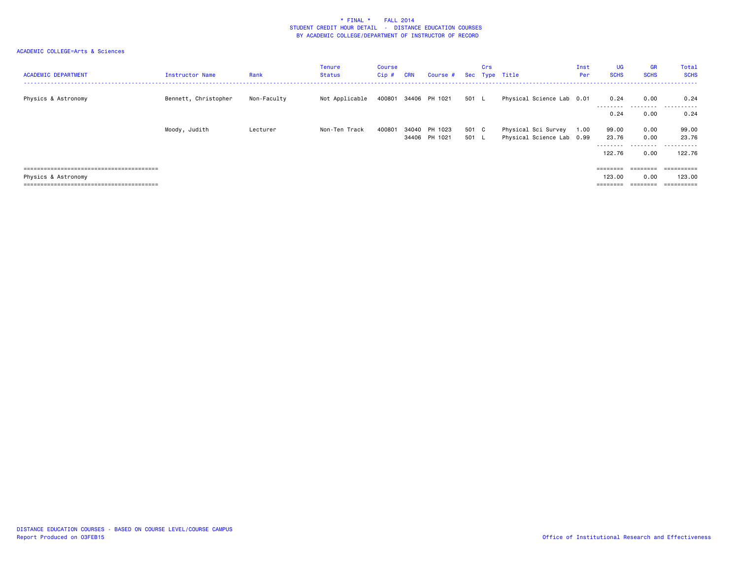| <b>ACADEMIC DEPARTMENT</b> | Instructor Name      | Rank        | <b>Tenure</b><br><b>Status</b> | Course<br>$Cip$ # | <b>CRN</b> | Course #             |       | Crs | Sec Type Title            | Inst<br>Per | <b>UG</b><br><b>SCHS</b> | <b>GR</b><br><b>SCHS</b>                                                | Total<br><b>SCHS</b> |
|----------------------------|----------------------|-------------|--------------------------------|-------------------|------------|----------------------|-------|-----|---------------------------|-------------|--------------------------|-------------------------------------------------------------------------|----------------------|
| Physics & Astronomy        | Bennett, Christopher | Non-Faculty | Not Applicable                 |                   |            | 400801 34406 PH 1021 | 501 L |     | Physical Science Lab 0.01 |             | 0.24<br>---------        | 0.00<br>.                                                               | 0.24<br>.            |
|                            |                      |             |                                |                   |            |                      |       |     |                           |             | 0.24                     | 0.00                                                                    | 0.24                 |
|                            | Moody, Judith        | Lecturer    | Non-Ten Track                  | 400801            |            | 34040 PH 1023        | 501 C |     | Physical Sci Survey       | 1.00        | 99.00                    | 0.00                                                                    | 99.00                |
|                            |                      |             |                                |                   |            | 34406 PH 1021        | 501 L |     | Physical Science Lab 0.99 |             | 23.76                    | 0.00                                                                    | 23.76                |
|                            |                      |             |                                |                   |            |                      |       |     |                           |             | ---------<br>122.76      | .<br>0.00                                                               | .<br>122.76          |
|                            |                      |             |                                |                   |            |                      |       |     |                           |             | $=$ = = = = = = =        | $\qquad \qquad \equiv \equiv \equiv \equiv \equiv \equiv \equiv \equiv$ |                      |
| Physics & Astronomy        |                      |             |                                |                   |            |                      |       |     |                           |             | 123.00                   | 0.00                                                                    | 123,00               |
|                            |                      |             |                                |                   |            |                      |       |     |                           |             | $=$ = = = = = = =        | ========                                                                |                      |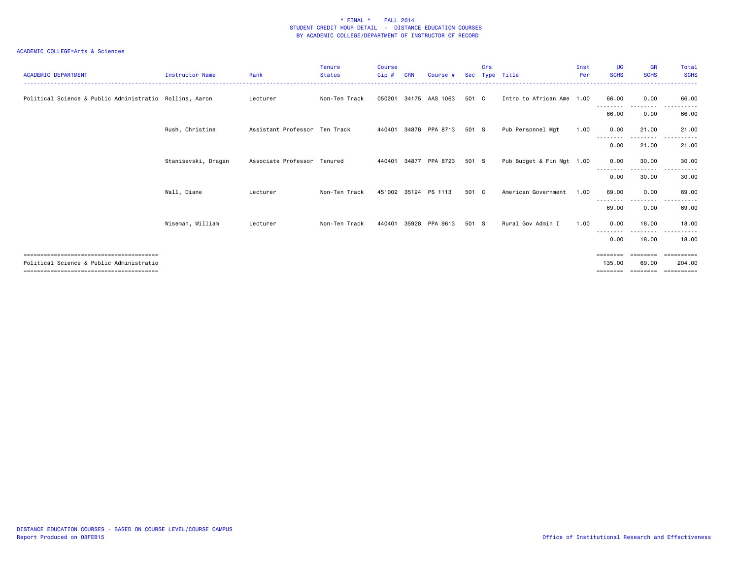| <b>ACADEMIC DEPARTMENT</b>                              | <b>Instructor Name</b> | Rank                          | <b>Tenure</b><br><b>Status</b> | <b>Course</b><br>Cip# | <b>CRN</b> | Course #              | Sec   | Crs | Type Title                | Inst<br>Per | UG<br><b>SCHS</b>  | <b>GR</b><br><b>SCHS</b> | <b>Total</b><br><b>SCHS</b> |
|---------------------------------------------------------|------------------------|-------------------------------|--------------------------------|-----------------------|------------|-----------------------|-------|-----|---------------------------|-------------|--------------------|--------------------------|-----------------------------|
| Political Science & Public Administratio Rollins, Aaron |                        | Lecturer                      | Non-Ten Track                  | 050201                |            | 34175 AAS 1063        | 501 C |     | Intro to African Ame 1.00 |             | 66.00<br>--------  | 0.00                     | 66.00                       |
|                                                         |                        |                               |                                |                       |            |                       |       |     |                           |             | 66.00              | 0.00                     | 66.00                       |
|                                                         | Rush, Christine        | Assistant Professor Ten Track |                                |                       |            | 440401 34878 PPA 8713 | 501 S |     | Pub Personnel Mgt         | 1.00        | 0.00               | 21.00                    | 21.00                       |
|                                                         |                        |                               |                                |                       |            |                       |       |     |                           |             | ---------<br>0.00  | ---------<br>21.00       | .<br>21.00                  |
|                                                         | Stanisevski, Dragan    | Associate Professor Tenured   |                                | 440401                |            | 34877 PPA 8723        | 501 S |     | Pub Budget & Fin Mgt 1.00 |             | 0.00               | 30.00                    | 30.00                       |
|                                                         |                        |                               |                                |                       |            |                       |       |     |                           |             | ---------<br>0.00  | .<br>30.00               | .<br>30.00                  |
|                                                         | Wall, Diane            | Lecturer                      | Non-Ten Track                  |                       |            | 451002 35124 PS 1113  | 501 C |     | American Government       | 1.00        | 69.00              | 0.00                     | 69.00                       |
|                                                         |                        |                               |                                |                       |            |                       |       |     |                           |             | --------<br>69.00  | - - - - - - - -<br>0.00  | .<br>69.00                  |
|                                                         | Wiseman, William       | Lecturer                      | Non-Ten Track                  | 440401                | 35928      | PPA 9613              | 501 S |     | Rural Gov Admin I         | 1.00        | 0.00               | 18.00                    | 18,00                       |
|                                                         |                        |                               |                                |                       |            |                       |       |     |                           |             | 0.00               | .<br>18.00               | .<br>18.00                  |
|                                                         |                        |                               |                                |                       |            |                       |       |     |                           |             |                    |                          | ==========                  |
| Political Science & Public Administratio                |                        |                               |                                |                       |            |                       |       |     |                           |             | 135.00<br>======== | 69.00<br>--------        | 204,00                      |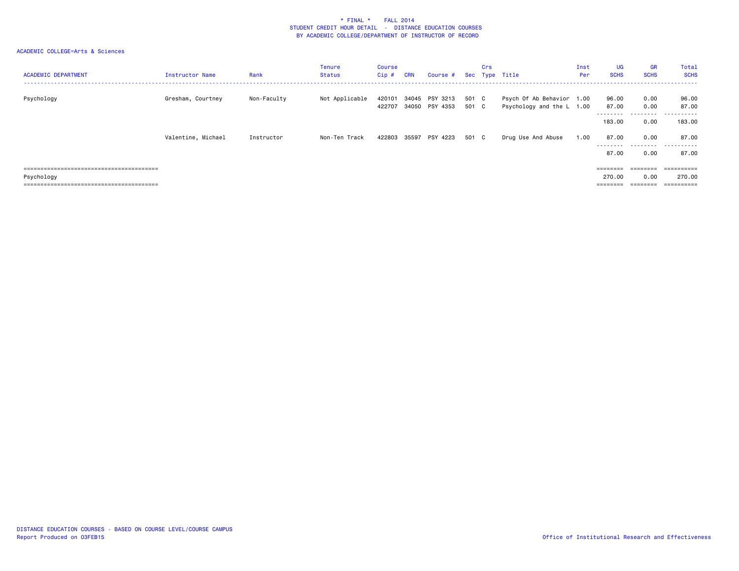| <b>ACADEMIC DEPARTMENT</b> | Instructor Name    | Rank        | <b>Tenure</b><br><b>Status</b> | Course<br>$Cip$ # | <b>CRN</b> | Course #                   |                | Crs | Sec Type Title                                         | Inst<br>Per | UG<br><b>SCHS</b>          | <b>GR</b><br><b>SCHS</b> | Total<br><b>SCHS</b>                        |
|----------------------------|--------------------|-------------|--------------------------------|-------------------|------------|----------------------------|----------------|-----|--------------------------------------------------------|-------------|----------------------------|--------------------------|---------------------------------------------|
| Psychology                 | Gresham, Courtney  | Non-Faculty | Not Applicable                 | 420101<br>422707  | 34045      | PSY 3213<br>34050 PSY 4353 | 501 C<br>501 C |     | Psych Of Ab Behavior 1.00<br>Psychology and the L 1.00 |             | 96.00<br>87.00<br>-------- | 0.00<br>0.00<br>.        | 96.00<br>87.00<br>- - - - - - <b>-</b><br>. |
|                            |                    |             |                                |                   |            |                            |                |     |                                                        |             | 183.00                     | 0.00                     | 183.00                                      |
|                            | Valentine, Michael | Instructor  | Non-Ten Track                  | 422803            |            | 35597 PSY 4223             | 501 C          |     | Drug Use And Abuse                                     | 1.00        | 87.00<br>---------         | 0.00                     | 87.00                                       |
|                            |                    |             |                                |                   |            |                            |                |     |                                                        |             | 87.00                      | 0.00                     | 87.00                                       |
|                            |                    |             |                                |                   |            |                            |                |     |                                                        |             | ========                   | --------                 | =========                                   |
| Psychology                 |                    |             |                                |                   |            |                            |                |     |                                                        |             | 270.00                     | 0.00                     | 270.00                                      |
|                            |                    |             |                                |                   |            |                            |                |     |                                                        |             | $=$ = = = = = = =          | ________<br>--------     |                                             |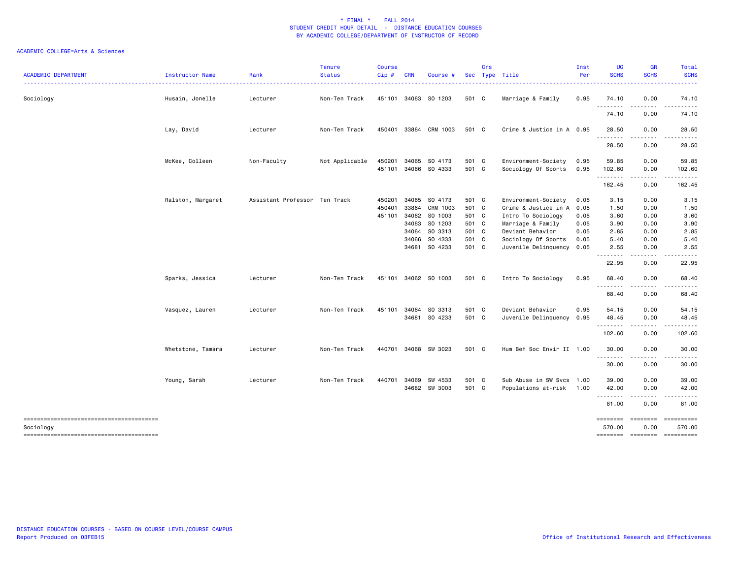| <b>ACADEMIC DEPARTMENT</b> | Instructor Name   | Rank                          | <b>Tenure</b><br><b>Status</b> | <b>Course</b><br>Cip# | <b>CRN</b> | Course #                       |                | Crs | Sec Type Title                             | Inst<br>Per  | <b>UG</b><br><b>SCHS</b>                | <b>GR</b><br><b>SCHS</b> | <b>Total</b><br><b>SCHS</b> |
|----------------------------|-------------------|-------------------------------|--------------------------------|-----------------------|------------|--------------------------------|----------------|-----|--------------------------------------------|--------------|-----------------------------------------|--------------------------|-----------------------------|
| Sociology                  | Husain, Jonelle   | Lecturer                      | Non-Ten Track                  |                       |            | 451101 34063 SO 1203           | 501 C          |     | Marriage & Family                          | 0.95         | 74.10                                   | 0.00                     | 74.10                       |
|                            |                   |                               |                                |                       |            |                                |                |     |                                            |              | 74.10                                   | 0.00                     | 74.10                       |
|                            | Lay, David        | Lecturer                      | Non-Ten Track                  | 450401                |            | 33864 CRM 1003                 | 501 C          |     | Crime & Justice in A 0.95                  |              | 28.50                                   | 0.00                     | 28.50                       |
|                            |                   |                               |                                |                       |            |                                |                |     |                                            |              | 28.50                                   | 0.00                     | 28.50                       |
|                            | McKee, Colleen    | Non-Faculty                   | Not Applicable                 | 450201<br>451101      |            | 34065 SO 4173<br>34066 SO 4333 | 501 C<br>501 C |     | Environment-Society<br>Sociology Of Sports | 0.95<br>0.95 | 59.85<br>102.60                         | 0.00<br>0.00             | 59.85<br>102.60             |
|                            |                   |                               |                                |                       |            |                                |                |     |                                            |              | .<br>162.45                             | $\frac{1}{2}$<br>0.00    | 162.45                      |
|                            | Ralston, Margaret | Assistant Professor Ten Track |                                | 450201                |            | 34065 SO 4173                  | 501 C          |     | Environment-Society                        | 0.05         | 3.15                                    | 0.00                     | 3.15                        |
|                            |                   |                               |                                | 450401                | 33864      | CRM 1003                       | 501 C          |     | Crime & Justice in A                       | 0.05         | 1.50                                    | 0.00                     | 1.50                        |
|                            |                   |                               |                                | 451101                | 34062      | SO 1003                        | 501 C          |     | Intro To Sociology                         | 0.05         | 3.60                                    | 0.00                     | 3.60                        |
|                            |                   |                               |                                |                       |            | 34063 SO 1203                  | 501 C          |     | Marriage & Family                          |              |                                         | 0.00                     | 3.90                        |
|                            |                   |                               |                                |                       |            |                                |                |     |                                            | 0.05         | 3.90                                    |                          |                             |
|                            |                   |                               |                                |                       |            | 34064 SO 3313                  | 501 C          |     | Deviant Behavior                           | 0.05         | 2.85                                    | 0.00                     | 2.85                        |
|                            |                   |                               |                                |                       |            | 34066 SO 4333                  | 501 C          |     | Sociology Of Sports                        | 0.05         | 5.40                                    | 0.00                     | 5.40                        |
|                            |                   |                               |                                |                       |            | 34681 SO 4233                  | 501 C          |     | Juvenile Delinquency 0.05                  |              | 2.55                                    | 0.00                     | 2.55                        |
|                            |                   |                               |                                |                       |            |                                |                |     |                                            |              | 22.95                                   | 0.00                     | 22.95                       |
|                            | Sparks, Jessica   | Lecturer                      | Non-Ten Track                  |                       |            | 451101 34062 SO 1003           | 501 C          |     | Intro To Sociology                         | 0.95         | 68.40<br>.                              | 0.00<br>.                | 68.40                       |
|                            |                   |                               |                                |                       |            |                                |                |     |                                            |              | 68.40                                   | 0.00                     | 68.40                       |
|                            | Vasquez, Lauren   | Lecturer                      | Non-Ten Track                  | 451101                |            | 34064 SO 3313                  | 501 C          |     | Deviant Behavior                           | 0.95         | 54.15                                   | 0.00                     | 54.15                       |
|                            |                   |                               |                                |                       |            | 34681 SO 4233                  | 501 C          |     | Juvenile Delinquency 0.95                  |              | 48.45                                   | 0.00                     | 48.45                       |
|                            |                   |                               |                                |                       |            |                                |                |     |                                            |              | .<br>102.60                             | . <b>.</b><br>0.00       | 102.60                      |
|                            | Whetstone, Tamara | Lecturer                      | Non-Ten Track                  | 440701                |            | 34068 SW 3023                  | 501 C          |     | Hum Beh Soc Envir II 1.00                  |              | 30.00                                   | 0.00                     | 30.00                       |
|                            |                   |                               |                                |                       |            |                                |                |     |                                            |              | .<br>30.00                              | .<br>0.00                | 30.00                       |
|                            | Young, Sarah      | Lecturer                      | Non-Ten Track                  | 440701                |            | 34069 SW 4533                  | 501 C          |     | Sub Abuse in SW Svcs 1.00                  |              | 39.00                                   | 0.00                     | 39.00                       |
|                            |                   |                               |                                |                       |            | 34682 SW 3003                  | 501 C          |     | Populations at-risk 1.00                   |              | 42.00<br><u>.</u>                       | 0.00<br>. <b>.</b>       | 42.00                       |
|                            |                   |                               |                                |                       |            |                                |                |     |                                            |              | 81.00                                   | 0.00                     | 81.00                       |
| Sociology                  |                   |                               |                                |                       |            |                                |                |     |                                            |              | ========= ======== ==========<br>570.00 | 0.00                     | 570.00                      |
|                            |                   |                               |                                |                       |            |                                |                |     |                                            |              | ======== ======== =========             |                          |                             |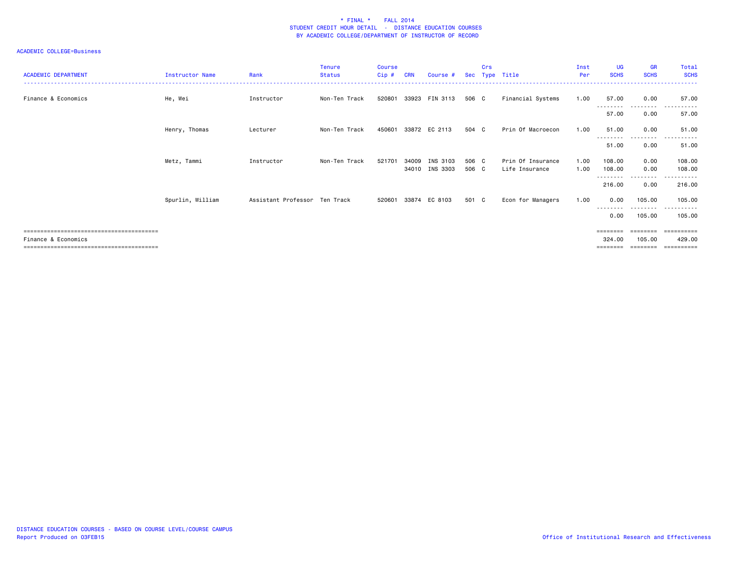| <b>ACADEMIC DEPARTMENT</b> | <b>Instructor Name</b> | Rank                          | <b>Tenure</b><br><b>Status</b> | <b>Course</b><br>Cip# | <b>CRN</b> | Course #                   | <b>Sec</b>     | Crs | Type Title                          | Inst<br>Per  | <b>UG</b><br><b>SCHS</b> | <b>GR</b><br><b>SCHS</b> | Total<br><b>SCHS</b>              |
|----------------------------|------------------------|-------------------------------|--------------------------------|-----------------------|------------|----------------------------|----------------|-----|-------------------------------------|--------------|--------------------------|--------------------------|-----------------------------------|
| Finance & Economics        | He, Wei                | Instructor                    | Non-Ten Track                  | 520801                |            | 33923 FIN 3113             | 506 C          |     | Financial Systems                   | 1.00         | 57.00                    | 0.00                     | 57.00                             |
|                            |                        |                               |                                |                       |            |                            |                |     |                                     |              | <u>.</u><br>57.00        | .<br>0.00                | .<br>57.00                        |
|                            | Henry, Thomas          | Lecturer                      | Non-Ten Track                  | 450601                |            | 33872 EC 2113              | 504 C          |     | Prin Of Macroecon                   | 1.00         | 51.00                    | 0.00                     | 51.00                             |
|                            |                        |                               |                                |                       |            |                            |                |     |                                     |              | 51.00                    | . <b>.</b><br>0.00       | 51.00                             |
|                            | Metz, Tammi            | Instructor                    | Non-Ten Track                  | 521701                | 34009      | INS 3103<br>34010 INS 3303 | 506 C<br>506 C |     | Prin Of Insurance<br>Life Insurance | 1.00<br>1.00 | 108,00<br>108.00         | 0.00<br>0.00             | 108.00<br>108.00                  |
|                            |                        |                               |                                |                       |            |                            |                |     |                                     |              | 216.00                   | . <b>.</b><br>0.00       | 216.00                            |
|                            | Spurlin, William       | Assistant Professor Ten Track |                                | 520601                |            | 33874 EC 8103              | 501 C          |     | Econ for Managers                   | 1.00         | 0.00                     | 105.00                   | 105.00                            |
|                            |                        |                               |                                |                       |            |                            |                |     |                                     |              | 0.00                     | 105.00                   | 105.00                            |
| Finance & Economics        |                        |                               |                                |                       |            |                            |                |     |                                     |              | ========<br>324.00       | ========<br>105,00       | ==========<br>429.00<br>========= |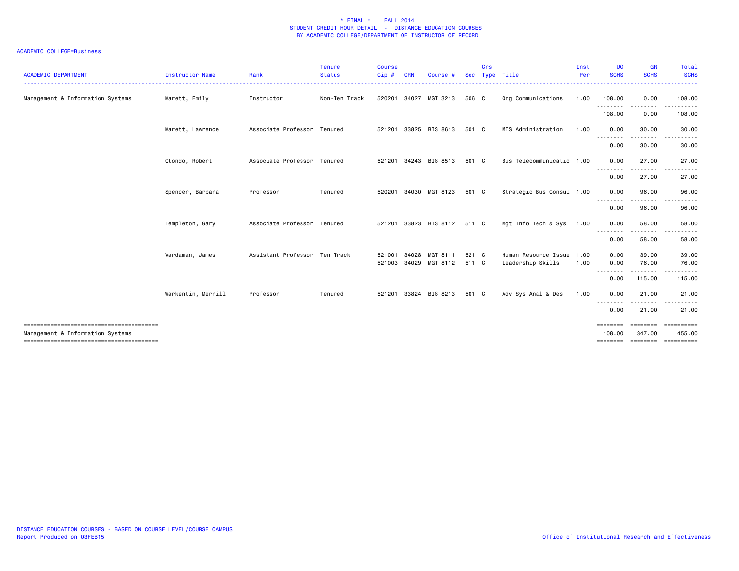| <b>ACADEMIC DEPARTMENT</b>       | Instructor Name    | Rank                          | <b>Tenure</b><br><b>Status</b> | <b>Course</b><br>$Cip$ # | <b>CRN</b> | Course #                    | <b>Sec</b> | Crs | Type Title                | Inst<br>Per<br>. | <b>UG</b><br><b>SCHS</b>         | <b>GR</b><br><b>SCHS</b> | Total<br><b>SCHS</b><br>.                                      |
|----------------------------------|--------------------|-------------------------------|--------------------------------|--------------------------|------------|-----------------------------|------------|-----|---------------------------|------------------|----------------------------------|--------------------------|----------------------------------------------------------------|
| Management & Information Systems | Marett, Emily      | Instructor                    | Non-Ten Track                  |                          |            | 520201 34027 MGT 3213       | 506 C      |     | Org Communications        | 1.00             | 108.00<br>.                      | 0.00                     | 108.00                                                         |
|                                  |                    |                               |                                |                          |            |                             |            |     |                           |                  | 108.00                           | 0.00                     | 108.00                                                         |
|                                  | Marett, Lawrence   | Associate Professor Tenured   |                                | 521201 33825             |            | BIS 8613                    | 501 C      |     | MIS Administration        | 1.00             | 0.00<br>- - - - - - - - <b>-</b> | 30.00<br>. <b>.</b>      | 30.00<br>.                                                     |
|                                  |                    |                               |                                |                          |            |                             |            |     |                           |                  | 0.00                             | 30.00                    | 30.00                                                          |
|                                  | Otondo, Robert     | Associate Professor Tenured   |                                |                          |            | 521201 34243 BIS 8513       | 501 C      |     | Bus Telecommunicatio 1.00 |                  | 0.00<br><u>.</u>                 | 27.00                    | 27.00                                                          |
|                                  |                    |                               |                                |                          |            |                             |            |     |                           |                  | 0.00                             | 27.00                    | 27.00                                                          |
|                                  | Spencer, Barbara   | Professor                     | Tenured                        |                          |            | 520201 34030 MGT 8123       | 501 C      |     | Strategic Bus Consul 1.00 |                  | 0.00<br><u>.</u>                 | 96.00<br><u>.</u>        | 96.00<br>.                                                     |
|                                  |                    |                               |                                |                          |            |                             |            |     |                           |                  | 0.00                             | 96.00                    | 96.00                                                          |
|                                  | Templeton, Gary    | Associate Professor Tenured   |                                |                          |            | 521201 33823 BIS 8112 511 C |            |     | Mgt Info Tech & Sys       | 1.00             | 0.00<br><u>.</u>                 | 58.00                    | 58.00                                                          |
|                                  |                    |                               |                                |                          |            |                             |            |     |                           |                  | 0.00                             | 58.00                    | 58.00                                                          |
|                                  | Vardaman, James    | Assistant Professor Ten Track |                                | 521001                   | 34028      | MGT 8111                    | 521 C      |     | Human Resource Issue 1.00 |                  | 0.00                             | 39.00                    | 39.00                                                          |
|                                  |                    |                               |                                | 521003                   | 34029      | MGT 8112                    | 511 C      |     | Leadership Skills         | 1.00             | 0.00<br>--------                 | 76.00<br>.               | 76.00<br>.                                                     |
|                                  |                    |                               |                                |                          |            |                             |            |     |                           |                  | 0.00                             | 115.00                   | 115.00                                                         |
|                                  | Warkentin, Merrill | Professor                     | Tenured                        |                          |            | 521201 33824 BIS 8213       | 501 C      |     | Adv Sys Anal & Des        | 1.00             | 0.00                             | 21.00                    | 21.00                                                          |
|                                  |                    |                               |                                |                          |            |                             |            |     |                           |                  | 0.00                             | 21.00                    | 21.00                                                          |
| Management & Information Systems |                    |                               |                                |                          |            |                             |            |     |                           |                  | ========<br>108,00               | 347,00                   | ==================<br>455.00<br>============================== |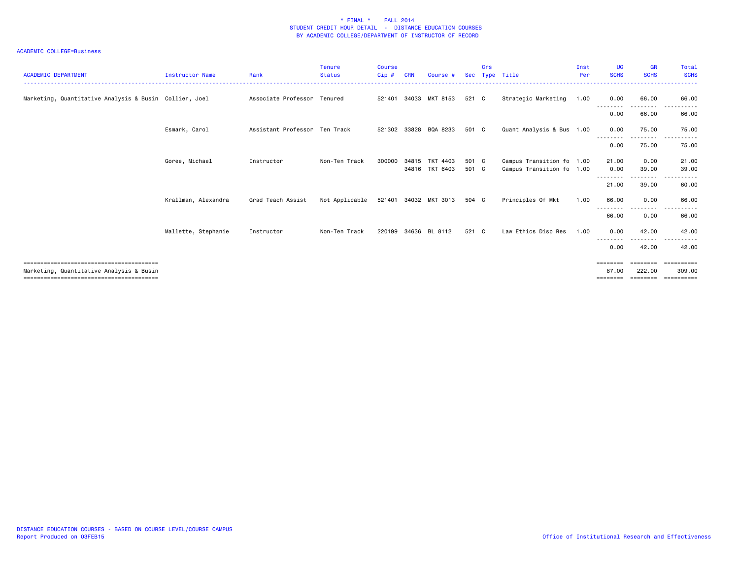| <b>ACADEMIC DEPARTMENT</b>                             | Instructor Name     | Rank                          | <b>Tenure</b><br><b>Status</b> | <b>Course</b><br>$C$ ip $#$ | <b>CRN</b> | Course #       |       | Crs | Sec Type Title            | Inst<br>Per | <b>UG</b><br><b>SCHS</b> | <b>GR</b><br><b>SCHS</b> | Total<br><b>SCHS</b> |
|--------------------------------------------------------|---------------------|-------------------------------|--------------------------------|-----------------------------|------------|----------------|-------|-----|---------------------------|-------------|--------------------------|--------------------------|----------------------|
| Marketing, Quantitative Analysis & Busin Collier, Joel |                     | Associate Professor Tenured   |                                | 521401                      |            | 34033 MKT 8153 | 521 C |     | Strategic Marketing       | 1.00        | 0.00                     | 66.00<br>.               | 66.00<br>$- - -$     |
|                                                        |                     |                               |                                |                             |            |                |       |     |                           |             | 0.00                     | 66.00                    | 66.00                |
|                                                        | Esmark, Carol       | Assistant Professor Ten Track |                                | 521302                      | 33828      | BQA 8233       | 501 C |     | Quant Analysis & Bus 1.00 |             | 0.00                     | 75.00                    | 75.00                |
|                                                        |                     |                               |                                |                             |            |                |       |     |                           |             | 0.00                     | 75.00                    | 75.00                |
|                                                        | Goree, Michael      | Instructor                    | Non-Ten Track                  | 300000                      |            | 34815 TKT 4403 | 501 C |     | Campus Transition fo 1.00 |             | 21.00                    | 0.00                     | 21.00                |
|                                                        |                     |                               |                                |                             |            | 34816 TKT 6403 | 501 C |     | Campus Transition fo 1.00 |             | 0.00                     | 39.00                    | 39.00                |
|                                                        |                     |                               |                                |                             |            |                |       |     |                           |             | 21.00                    | 39.00                    | 60.00                |
|                                                        | Krallman, Alexandra | Grad Teach Assist             | Not Applicable                 | 521401                      |            | 34032 MKT 3013 | 504 C |     | Principles Of Mkt         | 1.00        | 66.00                    | 0.00                     | 66.00                |
|                                                        |                     |                               |                                |                             |            |                |       |     |                           |             | 66.00                    | 0.00                     | 66.00                |
|                                                        | Mallette, Stephanie | Instructor                    | Non-Ten Track                  | 220199                      | 34636      | BL 8112        | 521 C |     | Law Ethics Disp Res       | 1.00        | 0.00                     | 42.00                    | 42.00                |
|                                                        |                     |                               |                                |                             |            |                |       |     |                           |             | --------<br>0.00         | 42.00                    | 42.00                |
|                                                        |                     |                               |                                |                             |            |                |       |     |                           |             | $=$ = = = = = = =        |                          | -----------          |
| Marketing, Quantitative Analysis & Busin               |                     |                               |                                |                             |            |                |       |     |                           |             | 87.00<br>========        | 222.00<br>========       | 309,00<br>========== |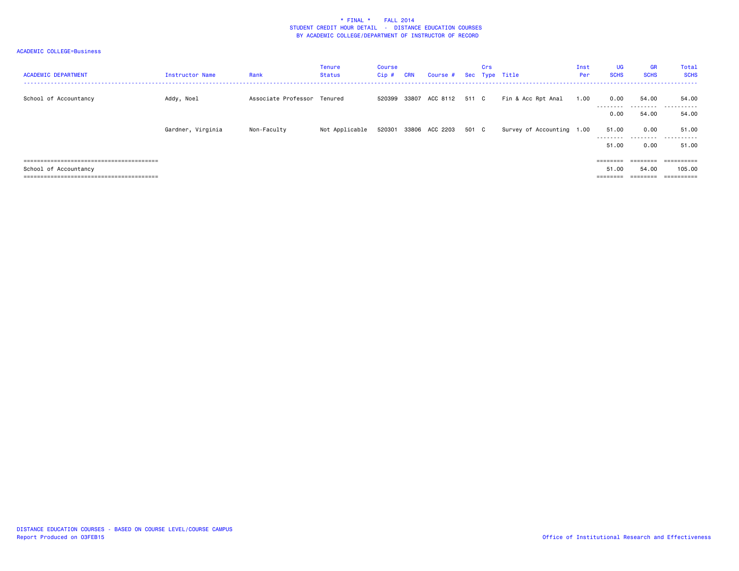| <b>ACADEMIC DEPARTMENT</b> | Instructor Name   | Rank                        | Tenure<br>Status | Course<br>Cip# | <b>CRN</b> | Course #              |       | Crs | Sec Type Title            | Inst<br>Per | <b>UG</b><br><b>SCHS</b> | <b>GR</b><br><b>SCHS</b> | Total<br><b>SCHS</b> |
|----------------------------|-------------------|-----------------------------|------------------|----------------|------------|-----------------------|-------|-----|---------------------------|-------------|--------------------------|--------------------------|----------------------|
| School of Accountancy      | Addy, Noel        | Associate Professor Tenured |                  | 520399         | 33807      | ACC 8112              | 511 C |     | Fin & Acc Rpt Anal        | 1.00        | 0.00<br>---------        | 54.00                    | 54.00<br>.           |
|                            |                   |                             |                  |                |            |                       |       |     |                           |             | 0.00                     | 54.00                    | 54.00                |
|                            | Gardner, Virginia | Non-Faculty                 | Not Applicable   |                |            | 520301 33806 ACC 2203 | 501 C |     | Survey of Accounting 1.00 |             | 51.00<br>---------       | 0.00<br>.                | 51.00<br>.           |
|                            |                   |                             |                  |                |            |                       |       |     |                           |             | 51.00                    | 0.00                     | 51.00                |
|                            |                   |                             |                  |                |            |                       |       |     |                           |             | $=$ = = = = = = =        | ---------                | ==========           |
| School of Accountancy      |                   |                             |                  |                |            |                       |       |     |                           |             | 51.00                    | 54,00                    | 105.00               |
|                            |                   |                             |                  |                |            |                       |       |     |                           |             |                          | --------                 | ==========           |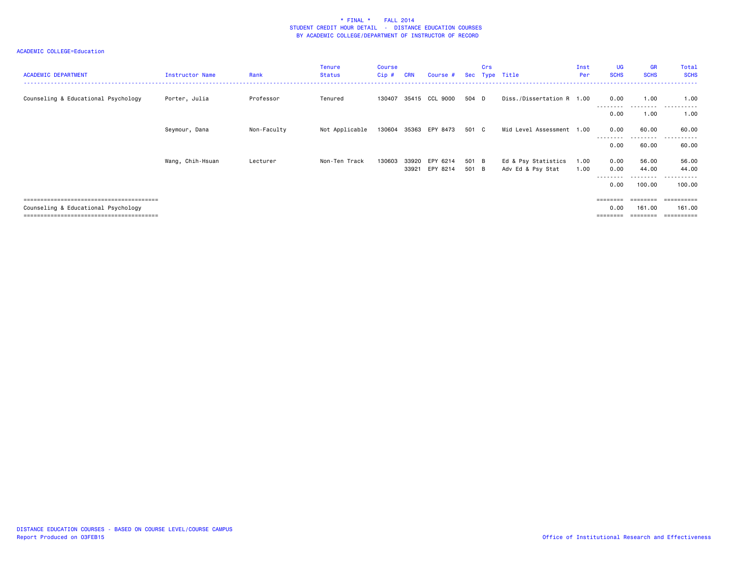| <b>ACADEMIC DEPARTMENT</b>          | Instructor Name  | Rank        | <b>Tenure</b><br><b>Status</b> | <b>Course</b><br>Cip# | <b>CRN</b>     | Course #              |                | Crs | Sec Type Title                           | Inst<br>Per  | <b>UG</b><br><b>SCHS</b>     | <b>GR</b><br><b>SCHS</b> | Total<br><b>SCHS</b>                |
|-------------------------------------|------------------|-------------|--------------------------------|-----------------------|----------------|-----------------------|----------------|-----|------------------------------------------|--------------|------------------------------|--------------------------|-------------------------------------|
| Counseling & Educational Psychology | Porter, Julia    | Professor   | Tenured                        | 130407                |                | 35415 CCL 9000        | 504 D          |     | Diss./Dissertation R 1.00                |              | 0.00<br>---------            | 1.00<br>.                | 1.00<br>.                           |
|                                     |                  |             |                                |                       |                |                       |                |     |                                          |              | 0.00                         | 1.00                     | 1.00                                |
|                                     | Seymour, Dana    | Non-Faculty | Not Applicable                 |                       |                | 130604 35363 EPY 8473 | 501 C          |     | Mid Level Assessment 1.00                |              | 0.00                         | 60.00                    | 60.00                               |
|                                     |                  |             |                                |                       |                |                       |                |     |                                          |              | 0.00                         | 60.00                    | . <b>.</b> .<br>60.00               |
|                                     | Wang, Chih-Hsuan | Lecturer    | Non-Ten Track                  | 130603                | 33920<br>33921 | EPY 6214<br>EPY 8214  | 501 B<br>501 B |     | Ed & Psy Statistics<br>Adv Ed & Psy Stat | 1.00<br>1.00 | 0.00<br>0.00                 | 56.00<br>44.00           | 56.00<br>44.00                      |
|                                     |                  |             |                                |                       |                |                       |                |     |                                          |              | ---------<br>0.00            | ---------<br>100.00      | .<br>-------<br>100.00              |
|                                     |                  |             |                                |                       |                |                       |                |     |                                          |              |                              |                          |                                     |
| Counseling & Educational Psychology |                  |             |                                |                       |                |                       |                |     |                                          |              | ========<br>0.00<br>======== | ========<br>161.00       | -==========<br>161.00<br>========== |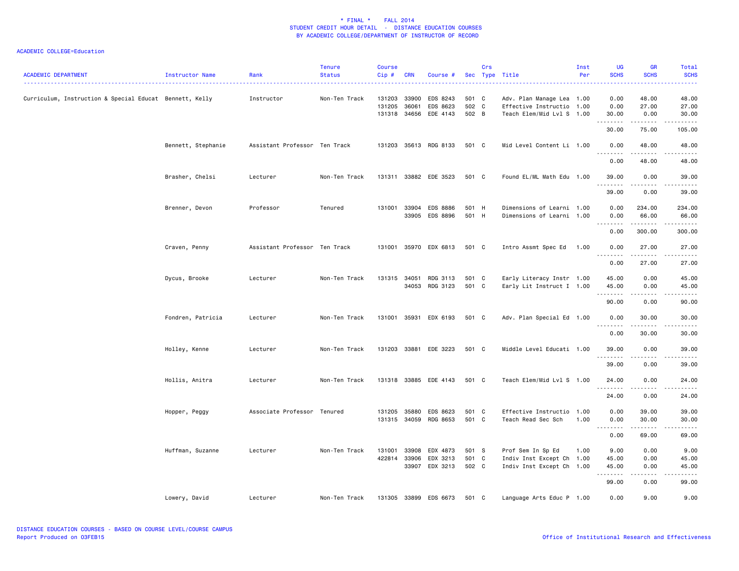| <b>ACADEMIC DEPARTMENT</b>                              | Instructor Name    | Rank                          | <b>Tenure</b><br><b>Status</b> | <b>Course</b><br>Cip#      | <b>CRN</b>              | Course #                          |                         | Crs | Sec Type Title                                                                      | Inst<br>Per | <b>UG</b><br><b>SCHS</b>                                                                                                           | <b>GR</b><br><b>SCHS</b> | Total<br><b>SCHS</b><br>22222                                                                                                                                 |
|---------------------------------------------------------|--------------------|-------------------------------|--------------------------------|----------------------------|-------------------------|-----------------------------------|-------------------------|-----|-------------------------------------------------------------------------------------|-------------|------------------------------------------------------------------------------------------------------------------------------------|--------------------------|---------------------------------------------------------------------------------------------------------------------------------------------------------------|
| Curriculum, Instruction & Special Educat Bennett, Kelly |                    | Instructor                    | Non-Ten Track                  | 131203<br>131205<br>131318 | 33900<br>36061<br>34656 | EDS 8243<br>EDS 8623<br>EDE 4143  | 501 C<br>502 C<br>502 B |     | Adv. Plan Manage Lea 1.00<br>Effective Instructio 1.00<br>Teach Elem/Mid Lvl S 1.00 |             | 0.00<br>0.00<br>30.00                                                                                                              | 48.00<br>27.00<br>0.00   | 48.00<br>27.00<br>30.00                                                                                                                                       |
|                                                         |                    |                               |                                |                            |                         |                                   |                         |     |                                                                                     |             | $\frac{1}{2} \left( \frac{1}{2} \right) \left( \frac{1}{2} \right) \left( \frac{1}{2} \right) \left( \frac{1}{2} \right)$<br>30.00 | 75.00                    | $\sim$ $\sim$ $\sim$ $\sim$ $\sim$<br>105.00                                                                                                                  |
|                                                         | Bennett, Stephanie | Assistant Professor Ten Track |                                | 131203                     |                         | 35613 RDG 8133                    | 501 C                   |     | Mid Level Content Li 1.00                                                           |             | 0.00<br>.                                                                                                                          | 48.00<br>.               | 48.00<br>.                                                                                                                                                    |
|                                                         |                    |                               |                                |                            |                         |                                   |                         |     |                                                                                     |             | 0.00                                                                                                                               | 48.00                    | 48.00                                                                                                                                                         |
|                                                         | Brasher, Chelsi    | Lecturer                      | Non-Ten Track                  |                            |                         | 131311 33882 EDE 3523             | 501 C                   |     | Found EL/ML Math Edu 1.00                                                           |             | 39.00<br>. <u>.</u><br>$\sim$ $\sim$                                                                                               | 0.00<br>. <u>.</u> .     | 39.00<br>.                                                                                                                                                    |
|                                                         |                    |                               |                                |                            |                         |                                   |                         |     |                                                                                     |             | 39.00                                                                                                                              | 0.00                     | 39.00                                                                                                                                                         |
|                                                         | Brenner, Devon     | Professor                     | Tenured                        | 131001                     | 33904<br>33905          | <b>EDS 8886</b><br>EDS 8896       | 501 H<br>501 H          |     | Dimensions of Learni 1.00<br>Dimensions of Learni 1.00                              |             | 0.00<br>0.00                                                                                                                       | 234.00<br>66.00          | 234.00<br>66.00                                                                                                                                               |
|                                                         |                    |                               |                                |                            |                         |                                   |                         |     |                                                                                     |             | <u>.</u><br>0.00                                                                                                                   | .<br>300.00              | .<br>300.00                                                                                                                                                   |
|                                                         | Craven, Penny      | Assistant Professor Ten Track |                                |                            |                         | 131001 35970 EDX 6813             | 501 C                   |     | Intro Assmt Spec Ed                                                                 | 1.00        | 0.00<br>$\sim$ $\sim$<br>.                                                                                                         | 27.00<br>.               | 27.00<br>.                                                                                                                                                    |
|                                                         |                    |                               |                                |                            |                         |                                   |                         |     |                                                                                     |             | 0.00                                                                                                                               | 27.00                    | 27.00                                                                                                                                                         |
|                                                         | Dycus, Brooke      | Lecturer                      | Non-Ten Track                  | 131315                     | 34051<br>34053          | RDG 3113<br>RDG 3123              | 501 C<br>501 C          |     | Early Literacy Instr 1.00<br>Early Lit Instruct I 1.00                              |             | 45.00<br>45.00                                                                                                                     | 0.00<br>0.00             | 45.00<br>45.00                                                                                                                                                |
|                                                         |                    |                               |                                |                            |                         |                                   |                         |     |                                                                                     |             | .<br>90.00                                                                                                                         | .<br>0.00                | $\omega$ is $\omega$ in $\omega$<br>90.00                                                                                                                     |
|                                                         | Fondren, Patricia  | Lecturer                      | Non-Ten Track                  | 131001 35931               |                         | EDX 6193                          | 501 C                   |     | Adv. Plan Special Ed 1.00                                                           |             | 0.00                                                                                                                               | 30.00                    | 30.00                                                                                                                                                         |
|                                                         |                    |                               |                                |                            |                         |                                   |                         |     |                                                                                     |             | $\sim$ $\sim$ $\sim$<br>.<br>0.00                                                                                                  | .<br>30.00               | .<br>30.00                                                                                                                                                    |
|                                                         | Holley, Kenne      | Lecturer                      | Non-Ten Track                  | 131203                     |                         | 33881 EDE 3223                    | 501 C                   |     | Middle Level Educati 1.00                                                           |             | 39.00<br>.                                                                                                                         | 0.00<br>$   -$           | 39.00<br>$\frac{1}{2}$                                                                                                                                        |
|                                                         |                    |                               |                                |                            |                         |                                   |                         |     |                                                                                     |             | 39.00                                                                                                                              | 0.00                     | 39.00                                                                                                                                                         |
|                                                         | Hollis, Anitra     | Lecturer                      | Non-Ten Track                  |                            |                         | 131318 33885 EDE 4143             | 501 C                   |     | Teach Elem/Mid Lvl S 1.00                                                           |             | 24.00<br>.                                                                                                                         | 0.00<br><u>.</u>         | 24.00<br>.                                                                                                                                                    |
|                                                         |                    |                               |                                |                            |                         |                                   |                         |     |                                                                                     |             | 24.00                                                                                                                              | 0.00                     | 24.00                                                                                                                                                         |
|                                                         | Hopper, Peggy      | Associate Professor Tenured   |                                | 131205                     | 35880                   | EDS 8623<br>131315 34059 RDG 8653 | 501 C<br>501 C          |     | Effective Instructio 1.00<br>Teach Read Sec Sch                                     | 1.00        | 0.00<br>0.00                                                                                                                       | 39.00<br>30.00           | 39.00<br>30.00                                                                                                                                                |
|                                                         |                    |                               |                                |                            |                         |                                   |                         |     |                                                                                     |             | .<br>0.00                                                                                                                          | .<br>69.00               | .<br>69.00                                                                                                                                                    |
|                                                         | Huffman, Suzanne   | Lecturer                      | Non-Ten Track                  | 131001<br>422814           | 33908<br>33906<br>33907 | EDX 4873<br>EDX 3213<br>EDX 3213  | 501 S<br>501 C<br>502 C |     | Prof Sem In Sp Ed<br>Indiv Inst Except Ch 1.00<br>Indiv Inst Except Ch 1.00         | 1.00        | 9.00<br>45.00<br>45.00                                                                                                             | 0.00<br>0.00<br>0.00     | 9.00<br>45.00<br>45.00                                                                                                                                        |
|                                                         |                    |                               |                                |                            |                         |                                   |                         |     |                                                                                     |             | .<br>99.00                                                                                                                         | .<br>0.00                | $\frac{1}{2} \left( \frac{1}{2} \right) \left( \frac{1}{2} \right) \left( \frac{1}{2} \right) \left( \frac{1}{2} \right) \left( \frac{1}{2} \right)$<br>99.00 |
|                                                         | Lowery, David      | Lecturer                      | Non-Ten Track                  |                            |                         | 131305 33899 EDS 6673             | 501 C                   |     | Language Arts Educ P 1.00                                                           |             | 0.00                                                                                                                               | 9.00                     | 9.00                                                                                                                                                          |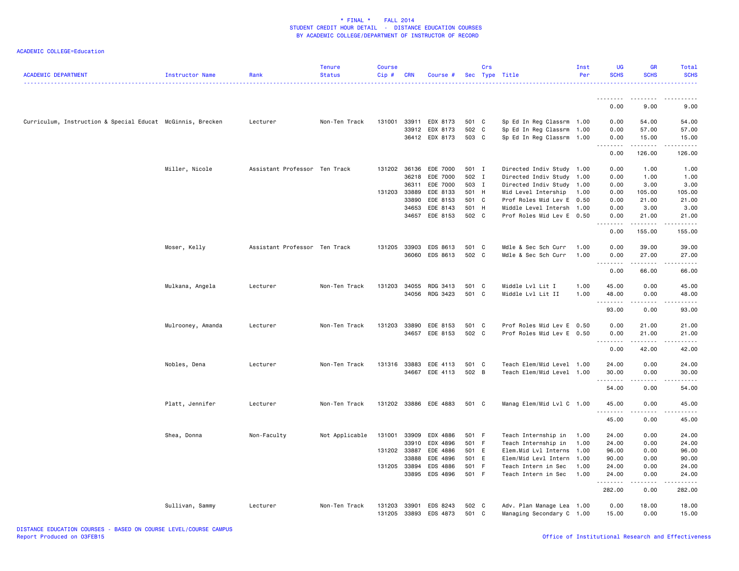| <b>ACADEMIC DEPARTMENT</b>                                 | Instructor Name   | Rank                          | <b>Tenure</b><br><b>Status</b> | <b>Course</b><br>Cip# | <b>CRN</b> | Course #              |       | Crs | Sec Type Title            | Inst<br>Per | <b>UG</b><br><b>SCHS</b>                                                                                                                                      | <b>GR</b><br><b>SCHS</b> | Total<br><b>SCHS</b>   |
|------------------------------------------------------------|-------------------|-------------------------------|--------------------------------|-----------------------|------------|-----------------------|-------|-----|---------------------------|-------------|---------------------------------------------------------------------------------------------------------------------------------------------------------------|--------------------------|------------------------|
|                                                            |                   |                               |                                |                       |            |                       |       |     |                           |             | .<br>0.00                                                                                                                                                     | 9.00                     | 9.00                   |
|                                                            |                   |                               |                                |                       |            |                       |       |     |                           |             |                                                                                                                                                               |                          |                        |
| Curriculum, Instruction & Special Educat McGinnis, Brecken |                   | Lecturer                      | Non-Ten Track                  | 131001                |            | 33911 EDX 8173        | 501 C |     | Sp Ed In Reg Classrm 1.00 |             | 0.00                                                                                                                                                          | 54.00                    | 54.00                  |
|                                                            |                   |                               |                                |                       |            | 33912 EDX 8173        | 502 C |     | Sp Ed In Reg Classrm 1.00 |             | 0.00                                                                                                                                                          | 57.00                    | 57.00                  |
|                                                            |                   |                               |                                |                       |            | 36412 EDX 8173        | 503 C |     | Sp Ed In Reg Classrm 1.00 |             | 0.00<br>.                                                                                                                                                     | 15.00<br>.               | 15.00<br>.             |
|                                                            |                   |                               |                                |                       |            |                       |       |     |                           |             | 0.00                                                                                                                                                          | 126.00                   | 126.00                 |
|                                                            | Miller, Nicole    | Assistant Professor Ten Track |                                |                       |            | 131202 36136 EDE 7000 | 501 I |     | Directed Indiv Study 1.00 |             | 0.00                                                                                                                                                          | 1.00                     | 1.00                   |
|                                                            |                   |                               |                                |                       |            | 36218 EDE 7000        | 502 I |     | Directed Indiv Study 1.00 |             | 0.00                                                                                                                                                          | 1.00                     | 1.00                   |
|                                                            |                   |                               |                                |                       | 36311      | EDE 7000              | 503 I |     | Directed Indiv Study 1.00 |             | 0.00                                                                                                                                                          | 3.00                     | 3.00                   |
|                                                            |                   |                               |                                | 131203 33889          |            | EDE 8133              | 501 H |     | Mid Level Intership       | 1.00        | 0.00                                                                                                                                                          | 105.00                   | 105.00                 |
|                                                            |                   |                               |                                |                       | 33890      | EDE 8153              | 501 C |     | Prof Roles Mid Lev E      | 0.50        | 0.00                                                                                                                                                          | 21.00                    | 21.00                  |
|                                                            |                   |                               |                                |                       | 34653      | EDE 8143              | 501 H |     | Middle Level Intersh 1.00 |             | 0.00                                                                                                                                                          | 3.00                     | 3.00                   |
|                                                            |                   |                               |                                |                       |            | 34657 EDE 8153        | 502 C |     | Prof Roles Mid Lev E 0.50 |             | 0.00                                                                                                                                                          | 21.00                    | 21.00                  |
|                                                            |                   |                               |                                |                       |            |                       |       |     |                           |             | 0.00                                                                                                                                                          | 155.00                   | المالم عامات<br>155.00 |
|                                                            | Moser, Kelly      | Assistant Professor Ten Track |                                | 131205                | 33903      | EDS 8613              | 501 C |     | Mdle & Sec Sch Curr       | 1.00        | 0.00                                                                                                                                                          | 39.00                    | 39.00                  |
|                                                            |                   |                               |                                |                       | 36060      | EDS 8613              | 502 C |     | Mdle & Sec Sch Curr       | 1.00        | 0.00                                                                                                                                                          | 27.00                    | 27.00                  |
|                                                            |                   |                               |                                |                       |            |                       |       |     |                           |             | $\frac{1}{2} \left( \frac{1}{2} \right) \left( \frac{1}{2} \right) \left( \frac{1}{2} \right) \left( \frac{1}{2} \right) \left( \frac{1}{2} \right)$<br>$  -$ | د د د د د                | د د د د د              |
|                                                            |                   |                               |                                |                       |            |                       |       |     |                           |             | 0.00                                                                                                                                                          | 66.00                    | 66.00                  |
|                                                            | Mulkana, Angela   | Lecturer                      | Non-Ten Track                  | 131203                | 34055      | RDG 3413              | 501   | C   | Middle Lvl Lit I          | 1.00        | 45.00                                                                                                                                                         | 0.00                     | 45.00                  |
|                                                            |                   |                               |                                |                       |            | 34056 RDG 3423        | 501 C |     | Middle Lvl Lit II         | 1.00        | 48.00                                                                                                                                                         | 0.00                     | 48.00                  |
|                                                            |                   |                               |                                |                       |            |                       |       |     |                           |             | <u>.</u><br>93.00                                                                                                                                             | .<br>0.00                | .<br>93.00             |
|                                                            | Mulrooney, Amanda | Lecturer                      | Non-Ten Track                  | 131203                | 33890      | EDE 8153              | 501 C |     | Prof Roles Mid Lev E 0.50 |             | 0.00                                                                                                                                                          | 21.00                    | 21.00                  |
|                                                            |                   |                               |                                |                       |            | 34657 EDE 8153        | 502 C |     | Prof Roles Mid Lev E 0.50 |             | 0.00                                                                                                                                                          | 21.00                    | 21.00                  |
|                                                            |                   |                               |                                |                       |            |                       |       |     |                           |             | <u>.</u>                                                                                                                                                      | .                        | .                      |
|                                                            |                   |                               |                                |                       |            |                       |       |     |                           |             | 0.00                                                                                                                                                          | 42.00                    | 42.00                  |
|                                                            | Nobles, Dena      | Lecturer                      | Non-Ten Track                  | 131316 33883          |            | EDE 4113              | 501 C |     | Teach Elem/Mid Level 1.00 |             | 24.00                                                                                                                                                         | 0.00                     | 24.00                  |
|                                                            |                   |                               |                                |                       |            | 34667 EDE 4113        | 502 B |     | Teach Elem/Mid Level 1.00 |             | 30.00                                                                                                                                                         | 0.00                     | 30.00                  |
|                                                            |                   |                               |                                |                       |            |                       |       |     |                           |             | .<br>54.00                                                                                                                                                    | .<br>0.00                | .<br>54.00             |
|                                                            | Platt, Jennifer   | Lecturer                      | Non-Ten Track                  |                       |            | 131202 33886 EDE 4883 | 501 C |     | Manag Elem/Mid Lvl C 1.00 |             | 45.00                                                                                                                                                         | 0.00                     | 45.00                  |
|                                                            |                   |                               |                                |                       |            |                       |       |     |                           |             | .                                                                                                                                                             |                          | .                      |
|                                                            |                   |                               |                                |                       |            |                       |       |     |                           |             | 45.00                                                                                                                                                         | 0.00                     | 45.00                  |
|                                                            | Shea, Donna       | Non-Faculty                   | Not Applicable                 | 131001                | 33909      | EDX 4886              | 501 F |     | Teach Internship in       | 1.00        | 24.00                                                                                                                                                         | 0.00                     | 24.00                  |
|                                                            |                   |                               |                                |                       | 33910      | EDX 4896              | 501 F |     | Teach Internship in       | 1.00        | 24.00                                                                                                                                                         | 0.00                     | 24.00                  |
|                                                            |                   |                               |                                | 131202 33887          |            | EDE 4886              | 501 E |     | Elem.Mid Lvl Interns 1.00 |             | 96.00                                                                                                                                                         | 0.00                     | 96.00                  |
|                                                            |                   |                               |                                |                       | 33888      | EDE 4896              | 501 E |     | Elem/Mid Levl Intern      | 1.00        | 90.00                                                                                                                                                         | 0.00                     | 90.00                  |
|                                                            |                   |                               |                                | 131205 33894          |            | EDS 4886              | 501 F |     | Teach Intern in Sec       | 1.00        | 24.00                                                                                                                                                         | 0.00                     | 24.00                  |
|                                                            |                   |                               |                                |                       | 33895      | EDS 4896              | 501 F |     | Teach Intern in Sec       | 1.00        | 24.00                                                                                                                                                         | 0.00                     | 24.00                  |
|                                                            |                   |                               |                                |                       |            |                       |       |     |                           |             | .<br>282.00                                                                                                                                                   | .<br>0.00                | .<br>282.00            |
|                                                            | Sullivan, Sammy   | Lecturer                      | Non-Ten Track                  | 131203                | 33901      | EDS 8243              | 502 C |     | Adv. Plan Manage Lea 1.00 |             | 0.00                                                                                                                                                          | 18.00                    | 18.00                  |
|                                                            |                   |                               |                                | 131205                |            | 33893 EDS 4873        | 501 C |     | Managing Secondary C 1.00 |             | 15.00                                                                                                                                                         | 0.00                     | 15.00                  |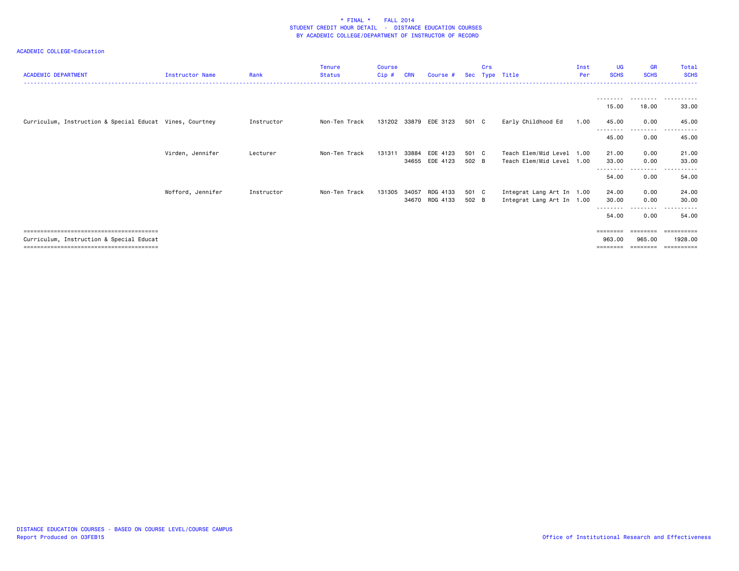| <b>ACADEMIC DEPARTMENT</b>                               | Instructor Name   | Rank       | <b>Tenure</b><br><b>Status</b> | Course<br>$Cip$ # | <b>CRN</b> | Course # | <b>Sec</b> | Crs | Type Title                | Inst<br>Per | <b>UG</b><br><b>SCHS</b> | <b>GR</b><br><b>SCHS</b> | Total<br><b>SCHS</b> |
|----------------------------------------------------------|-------------------|------------|--------------------------------|-------------------|------------|----------|------------|-----|---------------------------|-------------|--------------------------|--------------------------|----------------------|
|                                                          |                   |            |                                |                   |            |          |            |     |                           |             |                          | .                        | .                    |
|                                                          |                   |            |                                |                   |            |          |            |     |                           |             | 15.00                    | 18.00                    | 33.00                |
| Curriculum, Instruction & Special Educat Vines, Courtney |                   | Instructor | Non-Ten Track                  | 131202 33879      |            | EDE 3123 | 501 C      |     | Early Childhood Ed        | 1.00        | 45.00<br>---------       | 0.00<br>--------         | 45.00<br>.           |
|                                                          |                   |            |                                |                   |            |          |            |     |                           |             | 45.00                    | 0.00                     | 45.00                |
|                                                          | Virden, Jennifer  | Lecturer   | Non-Ten Track                  | 131311            | 33884      | EDE 4123 | 501 C      |     | Teach Elem/Mid Level 1.00 |             | 21.00                    | 0.00                     | 21.00                |
|                                                          |                   |            |                                |                   | 34655      | EDE 4123 | 502 B      |     | Teach Elem/Mid Level 1.00 |             | 33.00                    | 0.00<br>$\cdots$         | 33.00                |
|                                                          |                   |            |                                |                   |            |          |            |     |                           |             | 54.00                    | 0.00                     | 54.00                |
|                                                          | Wofford, Jennifer | Instructor | Non-Ten Track                  | 131305            | 34057      | RDG 4133 | 501 C      |     | Integrat Lang Art In 1.00 |             | 24.00                    | 0.00                     | 24.00                |
|                                                          |                   |            |                                |                   | 34670      | RDG 4133 | 502 B      |     | Integrat Lang Art In 1.00 |             | 30.00<br>---------       | 0.00<br>. <sub>.</sub>   | 30.00                |
|                                                          |                   |            |                                |                   |            |          |            |     |                           |             | 54.00                    | 0.00                     | 54.00                |
|                                                          |                   |            |                                |                   |            |          |            |     |                           |             | $=$ = = = = = = =        | ========                 |                      |
| Curriculum, Instruction & Special Educat                 |                   |            |                                |                   |            |          |            |     |                           |             | 963.00<br>========       | 965,00<br>========       | 1928.00              |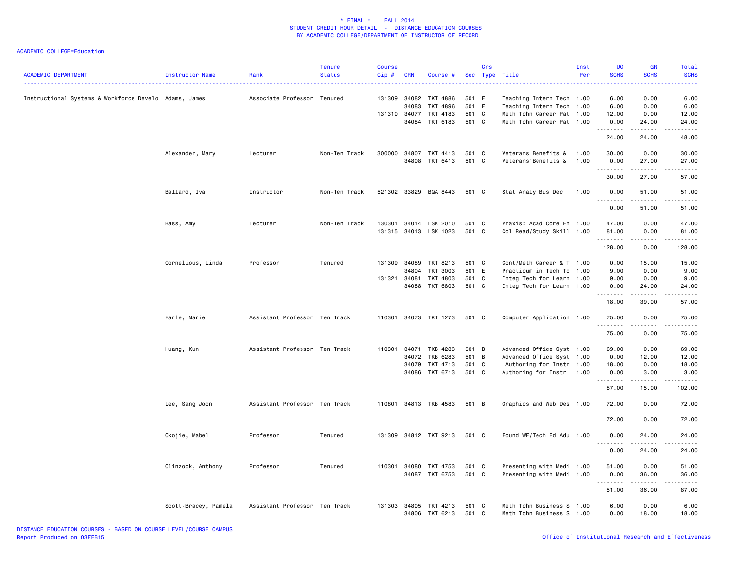| <b>ACADEMIC DEPARTMENT</b>                            | Instructor Name      | Rank                          | <b>Tenure</b><br><b>Status</b> | <b>Course</b><br>Cip#  | <b>CRN</b>                       | Course                                       | Sec                              | Crs | Type Title                                                                                                       | Inst<br>Per  | <b>UG</b><br><b>SCHS</b>       | <b>GR</b><br><b>SCHS</b>                                                                                                                                      | <b>Total</b><br><b>SCHS</b>                                                                                                   |
|-------------------------------------------------------|----------------------|-------------------------------|--------------------------------|------------------------|----------------------------------|----------------------------------------------|----------------------------------|-----|------------------------------------------------------------------------------------------------------------------|--------------|--------------------------------|---------------------------------------------------------------------------------------------------------------------------------------------------------------|-------------------------------------------------------------------------------------------------------------------------------|
| Instructional Systems & Workforce Develo Adams, James |                      | Associate Professor           | Tenured                        | 131309<br>131310 34077 | 34082<br>34083<br>34084          | TKT 4886<br>TKT 4896<br>TKT 4183<br>TKT 6183 | 501 F<br>501 F<br>501 C<br>501 C |     | Teaching Intern Tech 1.00<br>Teaching Intern Tech 1.00<br>Meth Tchn Career Pat 1.00<br>Meth Tchn Career Pat 1.00 |              | 6.00<br>6.00<br>12.00<br>0.00  | 0.00<br>0.00<br>0.00<br>24.00                                                                                                                                 | 6.00<br>6.00<br>12.00<br>24.00                                                                                                |
|                                                       |                      |                               |                                |                        |                                  |                                              |                                  |     |                                                                                                                  |              | <u>.</u><br>24.00              | $\frac{1}{2} \left( \frac{1}{2} \right) \left( \frac{1}{2} \right) \left( \frac{1}{2} \right) \left( \frac{1}{2} \right) \left( \frac{1}{2} \right)$<br>24.00 | .<br>48.00                                                                                                                    |
|                                                       | Alexander, Mary      | Lecturer                      | Non-Ten Track                  | 300000                 | 34807<br>34808                   | TKT 4413<br>TKT 6413                         | 501 C<br>501 C                   |     | Veterans Benefits &<br>Veterans'Benefits &                                                                       | 1.00<br>1.00 | 30.00<br>0.00                  | 0.00<br>27.00                                                                                                                                                 | 30.00<br>27.00                                                                                                                |
|                                                       |                      |                               |                                |                        |                                  |                                              |                                  |     |                                                                                                                  |              | 30.00                          | $\omega$ is $\omega$ in $\omega$<br>27.00                                                                                                                     | بالأبادي<br>57.00                                                                                                             |
|                                                       | Ballard, Iva         | Instructor                    | Non-Ten Track                  |                        |                                  | 521302 33829 BQA 8443                        | 501 C                            |     | Stat Analy Bus Dec                                                                                               | 1.00         | 0.00<br>$\frac{1}{2}$          | 51.00<br>.                                                                                                                                                    | 51.00<br>$\frac{1}{2}$                                                                                                        |
|                                                       |                      |                               |                                |                        |                                  |                                              |                                  |     |                                                                                                                  |              | 0.00                           | 51.00                                                                                                                                                         | 51.00                                                                                                                         |
|                                                       | Bass, Amy            | Lecturer                      | Non-Ten Track                  | 130301<br>131315       | 34014                            | LSK 2010<br>34013 LSK 1023                   | 501 C<br>501 C                   |     | Praxis: Acad Core En 1.00<br>Col Read/Study Skill 1.00                                                           |              | 47.00<br>81.00<br>.            | 0.00<br>0.00<br>$2 - 2 - 2 - 2$                                                                                                                               | 47.00<br>81.00<br>$\begin{array}{cccccccccc} \bullet & \bullet & \bullet & \bullet & \bullet & \bullet & \bullet \end{array}$ |
|                                                       |                      |                               |                                |                        |                                  |                                              |                                  |     |                                                                                                                  |              | 128,00                         | 0.00                                                                                                                                                          | 128.00                                                                                                                        |
|                                                       | Cornelious, Linda    | Professor                     | Tenured                        | 131309<br>131321 34081 | 34089<br>34804                   | TKT 8213<br>TKT 3003<br>TKT 4803             | 501 C<br>501 E<br>501            | C   | Cont/Meth Career & T 1.00<br>Practicum in Tech Tc 1.00<br>Integ Tech for Learn 1.00                              |              | 0.00<br>9.00<br>9.00           | 15.00<br>0.00<br>0.00                                                                                                                                         | 15.00<br>9.00<br>9.00                                                                                                         |
|                                                       |                      |                               |                                |                        | 34088                            | TKT 6803                                     | 501 C                            |     | Integ Tech for Learn 1.00                                                                                        |              | 0.00<br>.                      | 24.00<br>$\frac{1}{2} \left( \frac{1}{2} \right) \left( \frac{1}{2} \right) \left( \frac{1}{2} \right) \left( \frac{1}{2} \right) \left( \frac{1}{2} \right)$ | 24.00<br>بالأبال                                                                                                              |
|                                                       |                      |                               |                                |                        |                                  |                                              |                                  |     |                                                                                                                  |              | 18.00                          | 39.00                                                                                                                                                         | 57.00                                                                                                                         |
|                                                       | Earle, Marie         | Assistant Professor Ten Track |                                | 110301                 |                                  | 34073 TKT 1273                               | 501 C                            |     | Computer Application 1.00                                                                                        |              | 75.00<br>.                     | 0.00<br>.                                                                                                                                                     | 75.00<br>.                                                                                                                    |
|                                                       |                      |                               |                                |                        |                                  |                                              |                                  |     |                                                                                                                  |              | 75.00                          | 0.00                                                                                                                                                          | 75.00                                                                                                                         |
|                                                       | Huang, Kun           | Assistant Professor Ten Track |                                | 110301                 | 34071<br>34072<br>34079<br>34086 | TKB 4283<br>TKB 6283<br>TKT 4713<br>TKT 6713 | 501 B<br>501 B<br>501 C<br>501 C |     | Advanced Office Syst 1.00<br>Advanced Office Syst 1.00<br>Authoring for Instr 1.00<br>Authoring for Instr        | 1.00         | 69.00<br>0.00<br>18.00<br>0.00 | 0.00<br>12.00<br>0.00<br>3.00                                                                                                                                 | 69.00<br>12.00<br>18.00<br>3.00                                                                                               |
|                                                       |                      |                               |                                |                        |                                  |                                              |                                  |     |                                                                                                                  |              | .<br>87.00                     | $\frac{1}{2} \left( \frac{1}{2} \right) \left( \frac{1}{2} \right) \left( \frac{1}{2} \right) \left( \frac{1}{2} \right) \left( \frac{1}{2} \right)$<br>15.00 | .<br>102.00                                                                                                                   |
|                                                       | Lee, Sang Joon       | Assistant Professor Ten Track |                                | 110801                 |                                  | 34813 TKB 4583                               | 501 B                            |     | Graphics and Web Des 1.00                                                                                        |              | 72.00<br>.                     | 0.00<br>.                                                                                                                                                     | 72.00<br>.                                                                                                                    |
|                                                       |                      |                               |                                |                        |                                  |                                              |                                  |     |                                                                                                                  |              | 72.00                          | 0.00                                                                                                                                                          | 72.00                                                                                                                         |
|                                                       | Okojie, Mabel        | Professor                     | Tenured                        | 131309                 |                                  | 34812 TKT 9213                               | 501 C                            |     | Found WF/Tech Ed Adu 1.00                                                                                        |              | 0.00<br>.                      | 24.00<br>$- - - - -$                                                                                                                                          | 24.00<br>. <u>.</u> .                                                                                                         |
|                                                       |                      |                               |                                |                        |                                  |                                              |                                  |     |                                                                                                                  |              | 0.00                           | 24.00                                                                                                                                                         | 24.00                                                                                                                         |
|                                                       | Olinzock, Anthony    | Professor                     | Tenured                        | 110301                 | 34080                            | TKT 4753<br>34087 TKT 6753                   | 501 C<br>501 C                   |     | Presenting with Medi 1.00<br>Presenting with Medi 1.00                                                           |              | 51.00<br>0.00<br>.             | 0.00<br>36.00                                                                                                                                                 | 51.00<br>36.00<br>$\sim$ $\sim$ $\sim$ $\sim$ $\sim$                                                                          |
|                                                       |                      |                               |                                |                        |                                  |                                              |                                  |     |                                                                                                                  |              | 51.00                          | 36.00                                                                                                                                                         | 87.00                                                                                                                         |
|                                                       | Scott-Bracey, Pamela | Assistant Professor Ten Track |                                |                        | 131303 34805<br>34806            | TKT 4213<br>TKT 6213                         | 501 C<br>501 C                   |     | Meth Tchn Business S 1.00<br>Meth Tchn Business S 1.00                                                           |              | 6.00<br>0.00                   | 0.00<br>18.00                                                                                                                                                 | 6.00<br>18.00                                                                                                                 |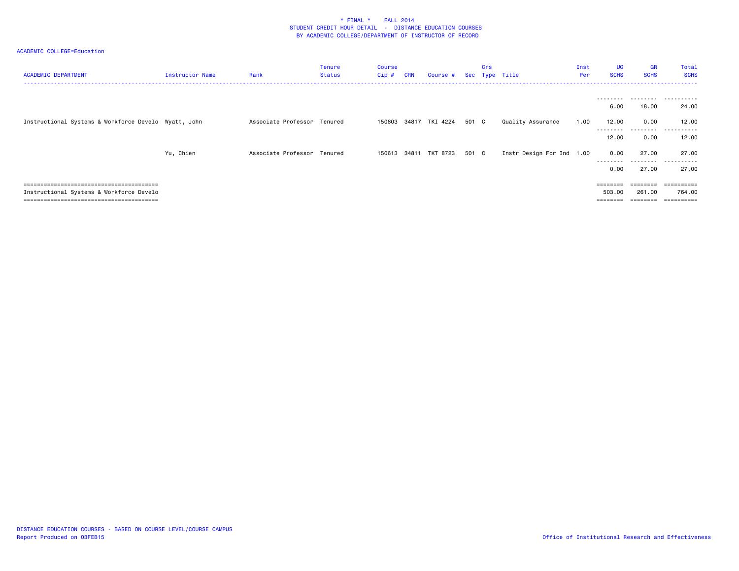| <b>ACADEMIC DEPARTMENT</b>                           | Instructor Name | Rank                        | Tenure<br><b>Status</b> | Course<br>Cip# | <b>CRN</b> | Course #              |       | Crs | Sec Type Title            | Inst<br>Per | <b>UG</b><br><b>SCHS</b> | <b>GR</b><br><b>SCHS</b> | Total<br><b>SCHS</b>      |
|------------------------------------------------------|-----------------|-----------------------------|-------------------------|----------------|------------|-----------------------|-------|-----|---------------------------|-------------|--------------------------|--------------------------|---------------------------|
|                                                      |                 |                             |                         |                |            |                       |       |     |                           |             |                          |                          |                           |
|                                                      |                 |                             |                         |                |            |                       |       |     |                           |             | 6.00                     | 18.00                    | 24.00                     |
| Instructional Systems & Workforce Develo Wyatt, John |                 | Associate Professor Tenured |                         |                |            | 150603 34817 TKI 4224 | 501 C |     | Quality Assurance         | 1.00        | 12.00                    | 0.00                     | 12.00                     |
|                                                      |                 |                             |                         |                |            |                       |       |     |                           |             | 12.00                    | 0.00                     | 12.00                     |
|                                                      | Yu, Chien       | Associate Professor Tenured |                         |                |            | 150613 34811 TKT 8723 | 501 C |     | Instr Design For Ind 1.00 |             | 0.00<br>--------         | 27.00<br>- - - - -       | 27.00<br>- - - - - -<br>. |
|                                                      |                 |                             |                         |                |            |                       |       |     |                           |             | 0.00                     | 27.00                    | 27.00                     |
|                                                      |                 |                             |                         |                |            |                       |       |     |                           |             |                          | ========                 | -----------               |
| Instructional Systems & Workforce Develo             |                 |                             |                         |                |            |                       |       |     |                           |             | 503.00                   | 261.00                   | 764.00                    |
|                                                      |                 |                             |                         |                |            |                       |       |     |                           |             | ========                 | --------                 | ==========                |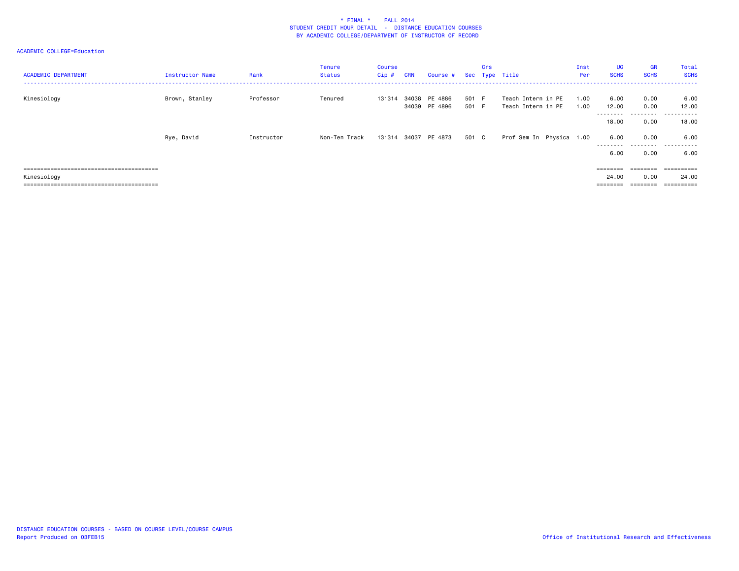| <b>ACADEMIC DEPARTMENT</b> | <b>Instructor Name</b> | Rank       | <b>Tenure</b><br>Status | Course<br>$Cip$ # | <b>CRN</b> | Course #                       |            | Crs | Sec Type Title                           | Inst<br>Per  | <b>UG</b><br><b>SCHS</b> | <b>GR</b><br><b>SCHS</b> | Total<br><b>SCHS</b> |
|----------------------------|------------------------|------------|-------------------------|-------------------|------------|--------------------------------|------------|-----|------------------------------------------|--------------|--------------------------|--------------------------|----------------------|
| Kinesiology                | Brown, Stanley         | Professor  | Tenured                 | 131314            |            | 34038 PE 4886<br>34039 PE 4896 | 501<br>501 | - F | Teach Intern in PE<br>Teach Intern in PE | 1.00<br>1.00 | 6.00<br>12.00<br>.       | 0.00<br>0.00<br>.        | 6.00<br>12.00<br>.   |
|                            |                        |            |                         |                   |            |                                |            |     |                                          |              | 18.00                    | 0.00                     | 18.00                |
|                            | Rye, David             | Instructor | Non-Ten Track           |                   |            | 131314 34037 PE 4873           | 501 C      |     | Prof Sem In Physica 1.00                 |              | 6.00<br>.<br>6.00        | 0.00<br>0.00             | 6.00<br><br>6.00     |
|                            |                        |            |                         |                   |            |                                |            |     |                                          |              | ========                 | ========                 | ==========           |
| Kinesiology                |                        |            |                         |                   |            |                                |            |     |                                          |              | 24.00                    | 0.00                     | 24.00                |
|                            |                        |            |                         |                   |            |                                |            |     |                                          |              | ========                 | ========                 | ==========           |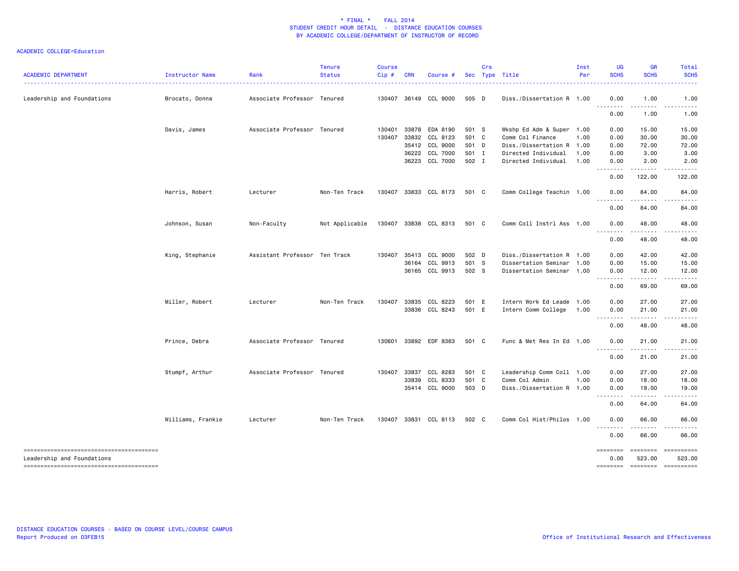| <b>ACADEMIC DEPARTMENT</b> | Instructor Name   | Rank                          | <b>Tenure</b><br><b>Status</b> | <b>Course</b><br>Cip# | <b>CRN</b> | Course #              |       | Crs | Sec Type Title            | Inst<br>Per | UG<br><b>SCHS</b> | <b>GR</b><br><b>SCHS</b>                                                                                                       | <b>Total</b><br><b>SCHS</b> |
|----------------------------|-------------------|-------------------------------|--------------------------------|-----------------------|------------|-----------------------|-------|-----|---------------------------|-------------|-------------------|--------------------------------------------------------------------------------------------------------------------------------|-----------------------------|
| Leadership and Foundations | Brocato, Donna    | Associate Professor Tenured   |                                | 130407                | 36149      | CCL 9000              | 505 D |     | Diss./Dissertation R 1.00 |             | 0.00              | 1.00                                                                                                                           | 1.00                        |
|                            |                   |                               |                                |                       |            |                       |       |     |                           |             | <u>.</u><br>0.00  | 1.00                                                                                                                           | 1.00                        |
|                            | Davis, James      | Associate Professor Tenured   |                                | 130401                |            | 33878 EDA 8190        | 501 S |     | Wkshp Ed Adm & Super 1.00 |             | 0.00              | 15.00                                                                                                                          | 15.00                       |
|                            |                   |                               |                                | 130407                |            | 33832 CCL 8123        | 501 C |     | Comm Col Finance          | 1.00        | 0.00              | 30.00                                                                                                                          | 30.00                       |
|                            |                   |                               |                                |                       |            | 35412 CCL 9000        | 501 D |     | Diss./Dissertation R 1.00 |             | 0.00              | 72.00                                                                                                                          | 72.00                       |
|                            |                   |                               |                                |                       |            | 36222 CCL 7000        | 501 I |     | Directed Individual       | 1.00        | 0.00              | 3.00                                                                                                                           | 3.00                        |
|                            |                   |                               |                                |                       |            | 36223 CCL 7000        | 502 I |     | Directed Individual       | 1.00        | 0.00<br><u>.</u>  | 2.00<br>$\cdots$                                                                                                               | 2.00                        |
|                            |                   |                               |                                |                       |            |                       |       |     |                           |             | 0.00              | 122.00                                                                                                                         | 122.00                      |
|                            | Harris, Robert    | Lecturer                      | Non-Ten Track                  |                       |            | 130407 33833 CCL 8173 | 501 C |     | Comm College Teachin 1.00 |             | 0.00              | 84.00                                                                                                                          | 84.00                       |
|                            |                   |                               |                                |                       |            |                       |       |     |                           |             | <u>.</u><br>0.00  | .<br>84.00                                                                                                                     | 84.00                       |
|                            | Johnson, Susan    | Non-Faculty                   | Not Applicable                 | 130407                |            | 33838 CCL 8313        | 501 C |     | Comm Coll Instrl Ass 1.00 |             | 0.00<br><u>.</u>  | 48.00                                                                                                                          | 48.00                       |
|                            |                   |                               |                                |                       |            |                       |       |     |                           |             | 0.00              | 48.00                                                                                                                          | 48.00                       |
|                            | King, Stephanie   | Assistant Professor Ten Track |                                |                       |            | 130407 35413 CCL 9000 | 502 D |     | Diss./Dissertation R 1.00 |             | 0.00              | 42.00                                                                                                                          | 42.00                       |
|                            |                   |                               |                                |                       |            | 36164 CCL 9913        | 501 S |     | Dissertation Seminar 1.00 |             | 0.00              | 15.00                                                                                                                          | 15.00                       |
|                            |                   |                               |                                |                       |            | 36165 CCL 9913        | 502 S |     | Dissertation Seminar 1.00 |             | 0.00<br>.         | 12.00<br>$\begin{array}{cccccccccc} \bullet & \bullet & \bullet & \bullet & \bullet & \bullet & \bullet & \bullet \end{array}$ | 12.00<br>.                  |
|                            |                   |                               |                                |                       |            |                       |       |     |                           |             | 0.00              | 69.00                                                                                                                          | 69.00                       |
|                            | Miller, Robert    | Lecturer                      | Non-Ten Track                  | 130407                | 33835      | CCL 8223              | 501 E |     | Intern Work Ed Leade 1.00 |             | 0.00              | 27.00                                                                                                                          | 27.00                       |
|                            |                   |                               |                                |                       |            | 33836 CCL 8243        | 501 E |     | Intern Comm College       | 1.00        | 0.00              | 21.00                                                                                                                          | 21.00                       |
|                            |                   |                               |                                |                       |            |                       |       |     |                           |             | .<br>0.00         | 48.00                                                                                                                          | 48.00                       |
|                            | Prince, Debra     | Associate Professor Tenured   |                                | 130601                |            | 33892 EDF 8363        | 501 C |     | Func & Met Res In Ed 1.00 |             | 0.00<br>.         | 21.00<br><b>.</b>                                                                                                              | 21.00<br>.                  |
|                            |                   |                               |                                |                       |            |                       |       |     |                           |             | 0.00              | 21.00                                                                                                                          | 21.00                       |
|                            | Stumpf, Arthur    | Associate Professor Tenured   |                                | 130407                |            | 33837 CCL 8283        | 501 C |     | Leadership Comm Coll 1.00 |             | 0.00              | 27.00                                                                                                                          | 27.00                       |
|                            |                   |                               |                                |                       | 33839      | CCL 8333              | 501 C |     | Comm Col Admin            | 1.00        | 0.00              | 18.00                                                                                                                          | 18.00                       |
|                            |                   |                               |                                |                       |            | 35414 CCL 9000        | 503 D |     | Diss./Dissertation R 1.00 |             | 0.00<br>.         | 19.00                                                                                                                          | 19.00                       |
|                            |                   |                               |                                |                       |            |                       |       |     |                           |             | 0.00              | $\frac{1}{2}$<br>64.00                                                                                                         | 64.00                       |
|                            | Williams, Frankie | Lecturer                      | Non-Ten Track                  |                       |            | 130407 33831 CCL 8113 | 502 C |     | Comm Col Hist/Philos 1.00 |             | 0.00<br>.         | 66.00                                                                                                                          | 66.00                       |
|                            |                   |                               |                                |                       |            |                       |       |     |                           |             | 0.00              | 66.00                                                                                                                          | 66.00                       |
| Leadership and Foundations |                   |                               |                                |                       |            |                       |       |     |                           |             | ========<br>0.00  | ========<br>523.00                                                                                                             | ==========<br>523.00        |
|                            |                   |                               |                                |                       |            |                       |       |     |                           |             | ========          |                                                                                                                                |                             |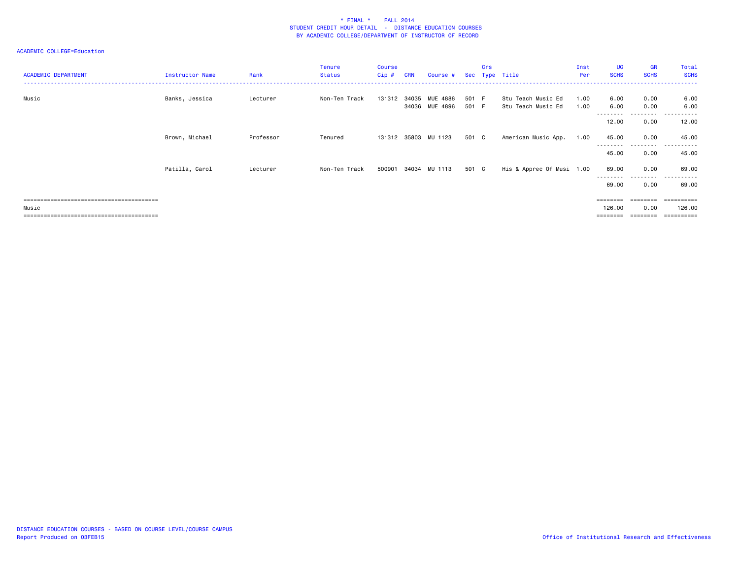| <b>ACADEMIC DEPARTMENT</b> | Instructor Name | Rank      | <b>Tenure</b><br><b>Status</b> | Course<br>Cip# | <b>CRN</b> | Course #                   |                | Crs | Sec Type Title                           | Inst<br>Per  | <b>UG</b><br><b>SCHS</b>    | <b>GR</b><br><b>SCHS</b> | Total<br><b>SCHS</b>        |
|----------------------------|-----------------|-----------|--------------------------------|----------------|------------|----------------------------|----------------|-----|------------------------------------------|--------------|-----------------------------|--------------------------|-----------------------------|
| Music                      | Banks, Jessica  | Lecturer  | Non-Ten Track                  | 131312         | 34035      | MUE 4886<br>34036 MUE 4896 | 501 F<br>501 F |     | Stu Teach Music Ed<br>Stu Teach Music Ed | 1.00<br>1.00 | 6.00<br>6.00                | 0.00<br>0.00             | 6.00<br>6.00                |
|                            |                 |           |                                |                |            |                            |                |     |                                          |              | 12.00                       | .<br>0.00                | ------<br>$\cdots$<br>12.00 |
|                            | Brown, Michael  | Professor | Tenured                        |                |            | 131312 35803 MU 1123       | 501 C          |     | American Music App.                      | 1.00         | 45.00<br>--------           | 0.00<br>---------        | 45.00<br>.                  |
|                            |                 |           |                                |                |            |                            |                |     |                                          |              | 45.00                       | 0.00                     | 45.00                       |
|                            | Patilla, Carol  | Lecturer  | Non-Ten Track                  | 500901         | 34034      | MU 1113                    | 501 C          |     | His & Apprec Of Musi 1.00                |              | 69.00                       | 0.00<br>----             | 69.00<br>.                  |
|                            |                 |           |                                |                |            |                            |                |     |                                          |              | 69.00                       | 0.00                     | 69.00                       |
| Music                      |                 |           |                                |                |            |                            |                |     |                                          |              | $=$ = = = = = = =<br>126.00 | ========<br>0.00         | ==========<br>126.00        |
|                            |                 |           |                                |                |            |                            |                |     |                                          |              | ========                    | --------                 | ==========                  |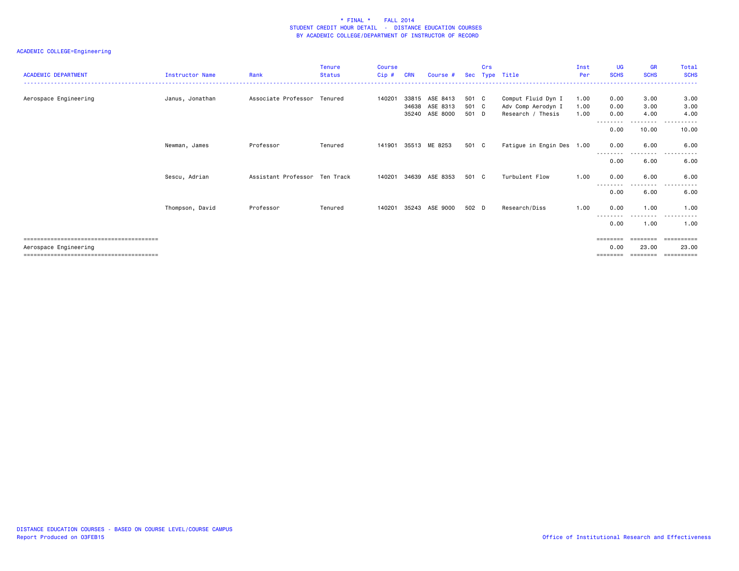| <b>ACADEMIC DEPARTMENT</b> | <b>Instructor Name</b> | Rank                        | <b>Tenure</b><br><b>Status</b> | <b>Course</b><br>$Cip$ # | <b>CRN</b>              | Course #                         | Sec                     | Crs | Type Title                                                    | Inst<br>Per          | <b>UG</b><br><b>SCHS</b> | <b>GR</b><br><b>SCHS</b> | Total<br><b>SCHS</b>    |
|----------------------------|------------------------|-----------------------------|--------------------------------|--------------------------|-------------------------|----------------------------------|-------------------------|-----|---------------------------------------------------------------|----------------------|--------------------------|--------------------------|-------------------------|
| Aerospace Engineering      | Janus, Jonathan        | Associate Professor Tenured |                                | 140201                   | 33815<br>34638<br>35240 | ASE 8413<br>ASE 8313<br>ASE 8000 | 501 C<br>501 C<br>501 D |     | Comput Fluid Dyn I<br>Adv Comp Aerodyn I<br>Research / Thesis | 1.00<br>1.00<br>1.00 | 0.00<br>0.00<br>0.00     | 3.00<br>3.00<br>4.00     | 3.00<br>3.00<br>4.00    |
|                            |                        |                             |                                |                          |                         |                                  |                         |     |                                                               |                      | --------<br>0.00         | ---------<br>10.00       | .<br>10.00              |
|                            | Newman, James          | Professor                   | Tenured                        | 141901                   |                         | 35513 ME 8253                    | 501 C                   |     | Fatigue in Engin Des 1.00                                     |                      | 0.00                     | 6.00                     | 6.00                    |
|                            |                        |                             |                                |                          |                         |                                  |                         |     |                                                               |                      | 0.00                     | 6.00                     | 6.00                    |
|                            | Sescu, Adrian          | Assistant Professor         | Ten Track                      | 140201                   | 34639                   | ASE 8353                         | 501 C                   |     | Turbulent Flow                                                | 1.00                 | 0.00<br>0.00             | 6.00<br>.<br>6.00        | 6.00<br>$- - -$<br>6.00 |
|                            | Thompson, David        | Professor                   | Tenured                        | 140201                   | 35243                   | ASE 9000                         | 502 D                   |     | Research/Diss                                                 | 1.00                 | 0.00                     | 1.00                     | 1.00                    |
|                            |                        |                             |                                |                          |                         |                                  |                         |     |                                                               |                      | --------<br>0.00         | - - - -<br>1.00          | 1.00                    |
| Aerospace Engineering      |                        |                             |                                |                          |                         |                                  |                         |     |                                                               |                      | 0.00                     | ========<br>23.00        | 23.00<br>==========     |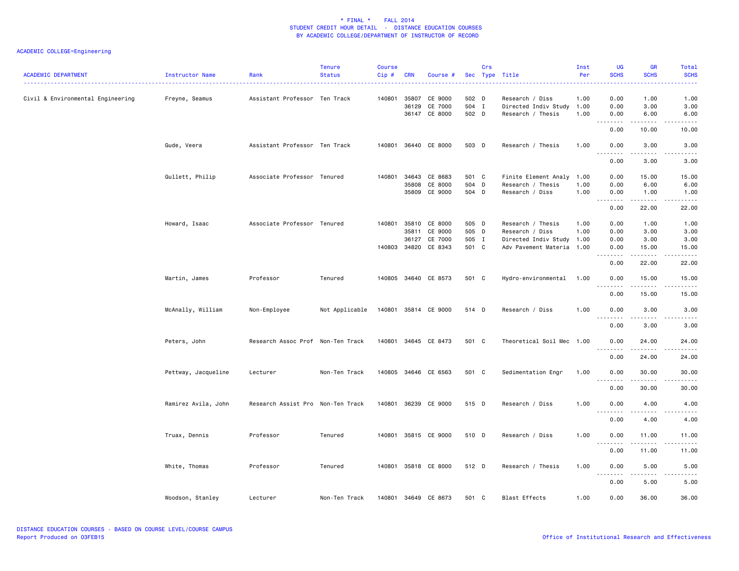| <b>ACADEMIC DEPARTMENT</b>        | Instructor Name<br><u>.</u> | Rank                              | <b>Tenure</b><br><b>Status</b>      | <b>Course</b><br>Cip# | <b>CRN</b>              | Course #                                       |                                  | Crs | Sec Type Title                                                                                 | Inst<br>Per          | <b>UG</b><br><b>SCHS</b>                                                                                                                                  | <b>GR</b><br><b>SCHS</b>                                  | Total<br><b>SCHS</b><br>.                                                                                                                                                             |
|-----------------------------------|-----------------------------|-----------------------------------|-------------------------------------|-----------------------|-------------------------|------------------------------------------------|----------------------------------|-----|------------------------------------------------------------------------------------------------|----------------------|-----------------------------------------------------------------------------------------------------------------------------------------------------------|-----------------------------------------------------------|---------------------------------------------------------------------------------------------------------------------------------------------------------------------------------------|
| Civil & Environmental Engineering | Freyne, Seamus              | Assistant Professor Ten Track     |                                     | 140801                | 35807<br>36129<br>36147 | CE 9000<br>CE 7000<br>CE 8000                  | 502 D<br>504 I<br>502 D          |     | Research / Diss<br>Directed Indiv Study 1.00<br>Research / Thesis                              | 1.00<br>1.00         | 0.00<br>0.00<br>0.00                                                                                                                                      | 1.00<br>3.00<br>6.00                                      | 1.00<br>3.00<br>6.00                                                                                                                                                                  |
|                                   |                             |                                   |                                     |                       |                         |                                                |                                  |     |                                                                                                |                      | .<br>0.00                                                                                                                                                 | .<br>10.00                                                | .<br>10.00                                                                                                                                                                            |
|                                   | Gude, Veera                 | Assistant Professor Ten Track     |                                     |                       |                         | 140801 36440 CE 8000                           | 503 D                            |     | Research / Thesis                                                                              | 1.00                 | 0.00<br>$\sim$ $\sim$<br>.                                                                                                                                | 3.00<br>.                                                 | 3.00<br>-----                                                                                                                                                                         |
|                                   |                             |                                   |                                     |                       |                         |                                                |                                  |     |                                                                                                |                      | 0.00                                                                                                                                                      | 3.00                                                      | 3.00                                                                                                                                                                                  |
|                                   | Gullett, Philip             | Associate Professor Tenured       |                                     | 140801                | 34643<br>35808<br>35809 | CE 8683<br>CE 8000<br>CE 9000                  | 501 C<br>504 D<br>504 D          |     | Finite Element Analy<br>Research / Thesis<br>Research / Diss                                   | 1.00<br>1.00<br>1.00 | 0.00<br>0.00<br>0.00<br>$\sim$ $\sim$<br>.                                                                                                                | 15.00<br>6.00<br>1.00<br>$\omega$ is $\omega$ in $\omega$ | 15.00<br>6.00<br>1.00<br>$\frac{1}{2} \left( \frac{1}{2} \right) \left( \frac{1}{2} \right) \left( \frac{1}{2} \right) \left( \frac{1}{2} \right) \left( \frac{1}{2} \right)$         |
|                                   |                             |                                   |                                     |                       |                         |                                                |                                  |     |                                                                                                |                      | 0.00                                                                                                                                                      | 22.00                                                     | 22.00                                                                                                                                                                                 |
|                                   | Howard, Isaac               | Associate Professor Tenured       |                                     | 140801<br>140803      | 35810<br>35811<br>36127 | CE 8000<br>CE 9000<br>CE 7000<br>34820 CE 8343 | 505 D<br>505 D<br>505 I<br>501 C |     | Research / Thesis<br>Research / Diss<br>Directed Indiv Study 1.00<br>Adv Pavement Materia 1.00 | 1.00<br>1.00         | 0.00<br>0.00<br>0.00<br>0.00<br>$\frac{1}{2} \left( \frac{1}{2} \right) \left( \frac{1}{2} \right) \left( \frac{1}{2} \right) \left( \frac{1}{2} \right)$ | 1.00<br>3.00<br>3.00<br>15.00<br>.                        | 1.00<br>3.00<br>3.00<br>15.00<br>$\frac{1}{2} \left( \frac{1}{2} \right) \left( \frac{1}{2} \right) \left( \frac{1}{2} \right) \left( \frac{1}{2} \right) \left( \frac{1}{2} \right)$ |
|                                   |                             |                                   |                                     |                       |                         |                                                |                                  |     |                                                                                                |                      | 0.00                                                                                                                                                      | 22.00                                                     | 22.00                                                                                                                                                                                 |
|                                   | Martin, James               | Professor                         | Tenured                             | 140805                |                         | 34640 CE 8573                                  | 501 C                            |     | Hydro-environmental                                                                            | 1.00                 | 0.00<br>.<br>$\sim$ $\sim$ .                                                                                                                              | 15.00<br>$- - - - -$                                      | 15.00<br>$\omega$ is $\omega$ in $\omega$                                                                                                                                             |
|                                   | McAnally, William           | Non-Employee                      | Not Applicable 140801 35814 CE 9000 |                       |                         |                                                | 514 D                            |     | Research / Diss                                                                                | 1.00                 | 0.00<br>0.00                                                                                                                                              | 15.00<br>3.00                                             | 15.00<br>3.00                                                                                                                                                                         |
|                                   |                             |                                   |                                     |                       |                         |                                                |                                  |     |                                                                                                |                      | $\sim$ $\sim$<br>0.00                                                                                                                                     | 3.00                                                      | 3.00                                                                                                                                                                                  |
|                                   | Peters, John                | Research Assoc Prof Non-Ten Track |                                     |                       |                         | 140801 34645 CE 8473                           | 501 C                            |     | Theoretical Soil Mec 1.00                                                                      |                      | 0.00<br>$\sim$ $\sim$                                                                                                                                     | 24.00<br>.                                                | 24.00<br>-----                                                                                                                                                                        |
|                                   |                             |                                   |                                     |                       |                         |                                                |                                  |     |                                                                                                |                      | 0.00                                                                                                                                                      | 24.00                                                     | 24.00                                                                                                                                                                                 |
|                                   | Pettway, Jacqueline         | Lecturer                          | Non-Ten Track                       |                       |                         | 140805 34646 CE 6563                           | 501 C                            |     | Sedimentation Engr                                                                             | 1.00                 | 0.00<br>.                                                                                                                                                 | 30.00<br>المتمالين                                        | 30.00<br>$\omega$ is $\omega$ in $\omega$                                                                                                                                             |
|                                   |                             |                                   |                                     |                       |                         |                                                |                                  |     |                                                                                                |                      | 0.00                                                                                                                                                      | 30.00                                                     | 30.00                                                                                                                                                                                 |
|                                   | Ramirez Avila, John         | Research Assist Pro Non-Ten Track |                                     |                       |                         | 140801 36239 CE 9000                           | 515 D                            |     | Research / Diss                                                                                | 1.00                 | 0.00<br>$ -$                                                                                                                                              | 4.00                                                      | 4.00                                                                                                                                                                                  |
|                                   |                             |                                   |                                     |                       |                         |                                                |                                  |     |                                                                                                |                      | 0.00                                                                                                                                                      | 4.00                                                      | 4.00                                                                                                                                                                                  |
|                                   | Truax, Dennis               | Professor                         | Tenured                             |                       |                         | 140801 35815 CE 9000                           | 510 D                            |     | Research / Diss                                                                                | 1.00                 | 0.00<br>$\sim$ $\sim$<br>$- - - -$                                                                                                                        | 11.00<br>.                                                | 11.00<br>$\frac{1}{2}$                                                                                                                                                                |
|                                   |                             |                                   |                                     |                       |                         |                                                |                                  |     |                                                                                                |                      | 0.00                                                                                                                                                      | 11.00                                                     | 11.00                                                                                                                                                                                 |
|                                   | White, Thomas               | Professor                         | Tenured                             |                       |                         | 140801 35818 CE 8000                           | 512 D                            |     | Research / Thesis                                                                              | 1.00                 | 0.00<br>$\sim$ $\sim$<br>.                                                                                                                                | 5.00<br>.                                                 | 5.00<br>.                                                                                                                                                                             |
|                                   |                             |                                   |                                     |                       |                         |                                                |                                  |     |                                                                                                |                      | 0.00                                                                                                                                                      | 5.00                                                      | 5.00                                                                                                                                                                                  |
|                                   | Woodson, Stanley            | Lecturer                          | Non-Ten Track                       | 140801                |                         | 34649 CE 8673                                  | 501 C                            |     | Blast Effects                                                                                  | 1.00                 | 0.00                                                                                                                                                      | 36.00                                                     | 36.00                                                                                                                                                                                 |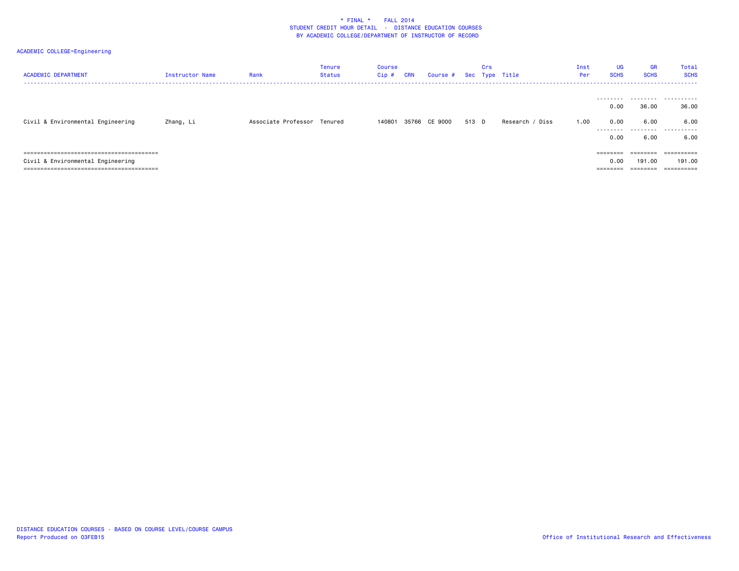| <b>ACADEMIC DEPARTMENT</b>        | <b>Instructor Name</b> | Rank                        | <b>Tenure</b><br>Status | <b>Course</b><br>Cip# | <b>CRN</b> | Course #      |       | Crs | Sec Type Title  | Inst<br>Per | <b>UG</b><br><b>SCHS</b>  | <b>GR</b><br><b>SCHS</b> | Total<br><b>SCHS</b><br>------ |
|-----------------------------------|------------------------|-----------------------------|-------------------------|-----------------------|------------|---------------|-------|-----|-----------------|-------------|---------------------------|--------------------------|--------------------------------|
| Civil & Environmental Engineering | Zhang, Li              | Associate Professor Tenured |                         | 140801                |            | 35766 CE 9000 | 513 D |     | Research / Diss | 1.00        | 0.00<br>0.00<br>.<br>0.00 | 36.00<br>6.00<br>6.00    | <br>36.00<br>6.00<br><br>6.00  |
|                                   |                        |                             |                         |                       |            |               |       |     |                 |             | ========                  | ========                 | ==========                     |
| Civil & Environmental Engineering |                        |                             |                         |                       |            |               |       |     |                 |             | 0.00                      | 191.00                   | 191.00                         |
|                                   |                        |                             |                         |                       |            |               |       |     |                 |             | $=$ = = = = = = =         | ========                 |                                |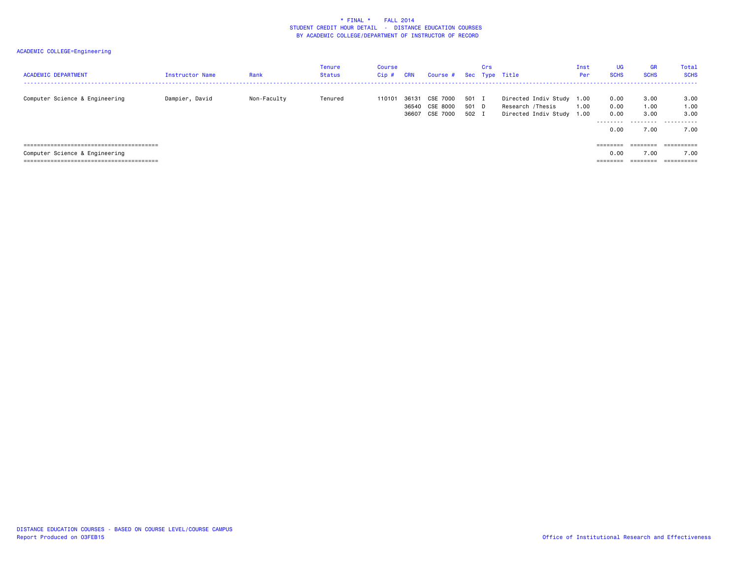| <b>ACADEMIC DEPARTMENT</b>     | <b>Instructor Name</b> | Rank        | <b>Tenure</b><br>Status | Course<br>$Cip$ # | <b>CRN</b>     | Course #                               |                         | Crs | Sec Type Title                                                        | Inst<br>Per  | UG<br><b>SCHS</b>    | <b>GR</b><br><b>SCHS</b> | Total<br><b>SCHS</b> |
|--------------------------------|------------------------|-------------|-------------------------|-------------------|----------------|----------------------------------------|-------------------------|-----|-----------------------------------------------------------------------|--------------|----------------------|--------------------------|----------------------|
| Computer Science & Engineering | Dampier, David         | Non-Faculty | Tenured                 | 110101            | 36131<br>36540 | CSE 7000<br>CSE 8000<br>36607 CSE 7000 | 501 I<br>501 D<br>502 I |     | Directed Indiv Study 1.00<br>Research /Thesis<br>Directed Indiv Study | 1.00<br>1.00 | 0.00<br>0.00<br>0.00 | 3.00<br>1.00<br>3.00     | 3.00<br>1.00<br>3.00 |
|                                |                        |             |                         |                   |                |                                        |                         |     |                                                                       |              | --------<br>0.00     | .<br>7.00                | .<br>7.00            |
|                                |                        |             |                         |                   |                |                                        |                         |     |                                                                       |              | ========             | --------                 | ==========           |
| Computer Science & Engineering |                        |             |                         |                   |                |                                        |                         |     |                                                                       |              | 0.00                 | 7.00                     | 7.00                 |
|                                |                        |             |                         |                   |                |                                        |                         |     |                                                                       |              | ========             | ========                 | ==========           |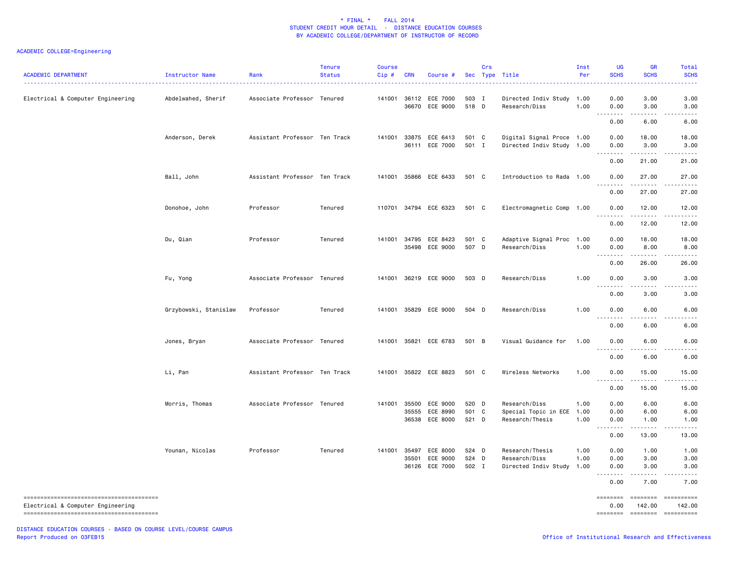| <b>ACADEMIC DEPARTMENT</b>        | Instructor Name       | Rank                          | <b>Tenure</b><br><b>Status</b> | <b>Course</b><br>$Cip$ # | <b>CRN</b> | Course #                                            |                         | Crs | Sec Type Title                                                | Inst<br>Per          | <b>UG</b><br><b>SCHS</b>                                                                                                                                     | <b>GR</b><br><b>SCHS</b>                   | Total<br><b>SCHS</b> |
|-----------------------------------|-----------------------|-------------------------------|--------------------------------|--------------------------|------------|-----------------------------------------------------|-------------------------|-----|---------------------------------------------------------------|----------------------|--------------------------------------------------------------------------------------------------------------------------------------------------------------|--------------------------------------------|----------------------|
| Electrical & Computer Engineering | Abdelwahed, Sherif    | Associate Professor Tenured   |                                | 141001                   |            | 36112 ECE 7000<br>36670 ECE 9000                    | 503 I<br>518 D          |     | Directed Indiv Study 1.00<br>Research/Diss                    | 1.00                 | 0.00<br>0.00                                                                                                                                                 | 3.00<br>3.00                               | 3.00<br>3.00         |
|                                   |                       |                               |                                |                          |            |                                                     |                         |     |                                                               |                      | 0.00                                                                                                                                                         | $\sim$ $\sim$ $\sim$ $\sim$<br>6.00        | 6.00                 |
|                                   | Anderson, Derek       | Assistant Professor Ten Track |                                |                          |            | 141001 33875 ECE 6413<br>36111 ECE 7000             | 501 C<br>501 I          |     | Digital Signal Proce 1.00<br>Directed Indiv Study 1.00        |                      | 0.00<br>0.00                                                                                                                                                 | 18.00<br>3.00                              | 18.00<br>3.00        |
|                                   |                       |                               |                                |                          |            |                                                     |                         |     |                                                               |                      | <u>.</u><br>0.00                                                                                                                                             | .<br>21.00                                 | .<br>21.00           |
|                                   | Ball, John            | Assistant Professor Ten Track |                                | 141001                   |            | 35866 ECE 6433                                      | 501 C                   |     | Introduction to Rada 1.00                                     |                      | 0.00                                                                                                                                                         | 27.00                                      | 27.00                |
|                                   |                       |                               |                                |                          |            |                                                     |                         |     |                                                               |                      | 0.00                                                                                                                                                         | 27.00                                      | 27.00                |
|                                   | Donohoe, John         | Professor                     | Tenured                        |                          |            | 110701 34794 ECE 6323                               | 501 C                   |     | Electromagnetic Comp 1.00                                     |                      | 0.00                                                                                                                                                         | 12.00                                      | 12.00                |
|                                   |                       |                               |                                |                          |            |                                                     |                         |     |                                                               |                      | 0.00                                                                                                                                                         | 12.00                                      | 12.00                |
|                                   | Du, Qian              | Professor                     | Tenured                        | 141001                   |            | 34795 ECE 8423<br>35498 ECE 9000                    | 501 C<br>507 D          |     | Adaptive Signal Proc 1.00<br>Research/Diss                    | 1.00                 | 0.00<br>0.00<br>.                                                                                                                                            | 18.00<br>8.00<br>$\sim$ $\sim$ $\sim$      | 18.00<br>8.00        |
|                                   |                       |                               |                                |                          |            |                                                     |                         |     |                                                               |                      | 0.00                                                                                                                                                         | 26.00                                      | 26.00                |
|                                   | Fu, Yong              | Associate Professor Tenured   |                                |                          |            | 141001 36219 ECE 9000                               | 503 D                   |     | Research/Diss                                                 | 1.00                 | 0.00<br>.                                                                                                                                                    | 3.00<br>.                                  | 3.00                 |
|                                   |                       |                               |                                |                          |            |                                                     |                         |     |                                                               |                      | 0.00                                                                                                                                                         | 3.00                                       | 3.00                 |
|                                   | Grzybowski, Stanislaw | Professor                     | Tenured                        | 141001                   |            | 35829 ECE 9000                                      | 504 D                   |     | Research/Diss                                                 | 1.00                 | 0.00<br>.<br>0.00                                                                                                                                            | 6.00<br>.<br>6.00                          | 6.00<br>.<br>6.00    |
|                                   | Jones, Bryan          | Associate Professor Tenured   |                                |                          |            | 141001 35821 ECE 6783                               | 501 B                   |     | Visual Guidance for                                           | 1.00                 | 0.00                                                                                                                                                         | 6.00                                       | 6.00                 |
|                                   |                       |                               |                                |                          |            |                                                     |                         |     |                                                               |                      | $\frac{1}{2} \left( \frac{1}{2} \right) \left( \frac{1}{2} \right) \left( \frac{1}{2} \right) \left( \frac{1}{2} \right) \left( \frac{1}{2} \right)$<br>0.00 | 6.00                                       | 6.00                 |
|                                   | Li, Pan               | Assistant Professor Ten Track |                                | 141001                   |            | 35822 ECE 8823                                      | 501 C                   |     | Wireless Networks                                             | 1.00                 | 0.00<br>--------                                                                                                                                             | 15.00<br>.                                 | 15.00                |
|                                   |                       |                               |                                |                          |            |                                                     |                         |     |                                                               |                      | 0.00                                                                                                                                                         | 15.00                                      | 15.00                |
|                                   | Morris, Thomas        | Associate Professor Tenured   |                                | 141001                   |            | 35500 ECE 9000<br>35555 ECE 8990<br>36538 ECE 8000  | 520 D<br>501 C<br>521 D |     | Research/Diss<br>Special Topic in ECE 1.00<br>Research/Thesis | 1.00<br>1.00         | 0.00<br>0.00<br>0.00                                                                                                                                         | 6.00<br>6.00<br>1.00<br>$- - - -$          | 6.00<br>6.00<br>1.00 |
|                                   |                       |                               |                                |                          |            |                                                     |                         |     |                                                               |                      | <u>.</u><br>0.00                                                                                                                                             | 13.00                                      | .<br>13.00           |
|                                   | Younan, Nicolas       | Professor                     | Tenured                        |                          | 35501      | 141001 35497 ECE 8000<br>ECE 9000<br>36126 ECE 7000 | 524 D<br>524<br>502 I   | D   | Research/Thesis<br>Research/Diss<br>Directed Indiv Study      | 1.00<br>1.00<br>1.00 | 0.00<br>0.00<br>0.00                                                                                                                                         | 1.00<br>3.00<br>3.00                       | 1.00<br>3.00<br>3.00 |
|                                   |                       |                               |                                |                          |            |                                                     |                         |     |                                                               |                      | .<br>0.00                                                                                                                                                    | 7.00                                       | 7.00                 |
| Electrical & Computer Engineering |                       |                               |                                |                          |            |                                                     |                         |     |                                                               |                      | ========<br>0.00<br>========                                                                                                                                 | <b>EDESSERS</b><br>142.00<br>$= 222222222$ | 142.00<br>========== |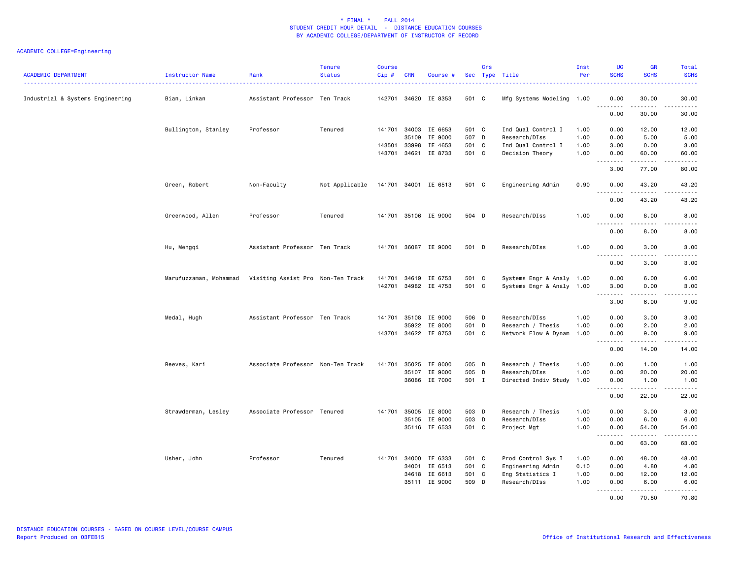| <b>ACADEMIC DEPARTMENT</b>       | Instructor Name<br>.   | Rank                              | <b>Tenure</b><br><b>Status</b> | <b>Course</b><br>Cip# | <b>CRN</b>   | Course #             |                | Crs | Sec Type Title                        | Inst<br>Per  | UG<br><b>SCHS</b>                                                                                                                                                                                                                                                                                                                                                                                                                                                                              | <b>GR</b><br><b>SCHS</b> | Total<br><b>SCHS</b>                                                                                                                                          |
|----------------------------------|------------------------|-----------------------------------|--------------------------------|-----------------------|--------------|----------------------|----------------|-----|---------------------------------------|--------------|------------------------------------------------------------------------------------------------------------------------------------------------------------------------------------------------------------------------------------------------------------------------------------------------------------------------------------------------------------------------------------------------------------------------------------------------------------------------------------------------|--------------------------|---------------------------------------------------------------------------------------------------------------------------------------------------------------|
| Industrial & Systems Engineering | Bian, Linkan           | Assistant Professor Ten Track     |                                |                       |              | 142701 34620 IE 8353 | 501 C          |     | Mfg Systems Modeling 1.00             |              | 0.00                                                                                                                                                                                                                                                                                                                                                                                                                                                                                           | 30.00                    | 30.00                                                                                                                                                         |
|                                  |                        |                                   |                                |                       |              |                      |                |     |                                       |              | $\omega$ is a<br>22222<br>0.00                                                                                                                                                                                                                                                                                                                                                                                                                                                                 | .<br>30.00               | .<br>30.00                                                                                                                                                    |
|                                  | Bullington, Stanley    | Professor                         | Tenured                        |                       | 141701 34003 | IE 6653              | 501 C          |     | Ind Qual Control I                    | 1.00         | 0.00                                                                                                                                                                                                                                                                                                                                                                                                                                                                                           | 12.00                    | 12.00                                                                                                                                                         |
|                                  |                        |                                   |                                |                       | 35109        | IE 9000              | 507 D          |     | Research/DIss                         | 1.00         | 0.00                                                                                                                                                                                                                                                                                                                                                                                                                                                                                           | 5.00                     | 5.00                                                                                                                                                          |
|                                  |                        |                                   |                                | 143501 33998          | 143701 34621 | IE 4653<br>IE 8733   | 501 C<br>501 C |     | Ind Qual Control I<br>Decision Theory | 1.00<br>1.00 | 3.00<br>0.00                                                                                                                                                                                                                                                                                                                                                                                                                                                                                   | 0.00<br>60.00            | 3.00<br>60.00                                                                                                                                                 |
|                                  |                        |                                   |                                |                       |              |                      |                |     |                                       |              | $\begin{array}{cccccccccccccc} \multicolumn{2}{c}{} & \multicolumn{2}{c}{} & \multicolumn{2}{c}{} & \multicolumn{2}{c}{} & \multicolumn{2}{c}{} & \multicolumn{2}{c}{} & \multicolumn{2}{c}{} & \multicolumn{2}{c}{} & \multicolumn{2}{c}{} & \multicolumn{2}{c}{} & \multicolumn{2}{c}{} & \multicolumn{2}{c}{} & \multicolumn{2}{c}{} & \multicolumn{2}{c}{} & \multicolumn{2}{c}{} & \multicolumn{2}{c}{} & \multicolumn{2}{c}{} & \multicolumn{2}{c}{} & \multicolumn{2}{c}{} & \$<br>3.00 | .<br>77.00               | المستملة<br>80.00                                                                                                                                             |
|                                  | Green, Robert          | Non-Faculty                       | Not Applicable                 |                       |              | 141701 34001 IE 6513 | 501 C          |     | Engineering Admin                     | 0.90         | 0.00                                                                                                                                                                                                                                                                                                                                                                                                                                                                                           | 43.20                    | 43.20                                                                                                                                                         |
|                                  |                        |                                   |                                |                       |              |                      |                |     |                                       |              | <u>.</u><br>0.00                                                                                                                                                                                                                                                                                                                                                                                                                                                                               | .<br>43.20               | $\frac{1}{2} \left( \frac{1}{2} \right) \left( \frac{1}{2} \right) \left( \frac{1}{2} \right) \left( \frac{1}{2} \right) \left( \frac{1}{2} \right)$<br>43.20 |
|                                  | Greenwood, Allen       | Professor                         | Tenured                        |                       |              | 141701 35106 IE 9000 | 504 D          |     | Research/DIss                         | 1.00         | 0.00                                                                                                                                                                                                                                                                                                                                                                                                                                                                                           | 8.00                     | 8.00                                                                                                                                                          |
|                                  |                        |                                   |                                |                       |              |                      |                |     |                                       |              | $\sim$ $\sim$ $\sim$<br>$\frac{1}{2}$<br>0.00                                                                                                                                                                                                                                                                                                                                                                                                                                                  | 8.00                     | 8.00                                                                                                                                                          |
|                                  | Hu, Mengqi             | Assistant Professor Ten Track     |                                |                       |              | 141701 36087 IE 9000 | 501 D          |     | Research/DIss                         | 1.00         | 0.00<br>.                                                                                                                                                                                                                                                                                                                                                                                                                                                                                      | 3.00<br>$\frac{1}{2}$    | 3.00<br>.                                                                                                                                                     |
|                                  |                        |                                   |                                |                       |              |                      |                |     |                                       |              | 0.00                                                                                                                                                                                                                                                                                                                                                                                                                                                                                           | 3.00                     | 3.00                                                                                                                                                          |
|                                  | Marufuzzaman, Mohammad | Visiting Assist Pro Non-Ten Track |                                | 141701 34619          |              | IE 6753              | 501 C          |     | Systems Engr & Analy 1.00             |              | 0.00                                                                                                                                                                                                                                                                                                                                                                                                                                                                                           | 6.00                     | 6.00                                                                                                                                                          |
|                                  |                        |                                   |                                |                       |              | 142701 34982 IE 4753 | 501 C          |     | Systems Engr & Analy 1.00             |              | 3.00<br><u>.</u>                                                                                                                                                                                                                                                                                                                                                                                                                                                                               | 0.00<br>.                | 3.00<br>.                                                                                                                                                     |
|                                  |                        |                                   |                                |                       |              |                      |                |     |                                       |              | 3.00                                                                                                                                                                                                                                                                                                                                                                                                                                                                                           | 6.00                     | 9.00                                                                                                                                                          |
|                                  | Medal, Hugh            | Assistant Professor Ten Track     |                                |                       | 141701 35108 | IE 9000              | 506 D          |     | Research/DIss                         | 1.00         | 0.00                                                                                                                                                                                                                                                                                                                                                                                                                                                                                           | 3.00                     | 3.00                                                                                                                                                          |
|                                  |                        |                                   |                                |                       | 35922        | IE 8000              | 501 D          |     | Research / Thesis                     | 1.00         | 0.00                                                                                                                                                                                                                                                                                                                                                                                                                                                                                           | 2.00                     | 2.00                                                                                                                                                          |
|                                  |                        |                                   |                                |                       |              | 143701 34622 IE 8753 | 501 C          |     | Network Flow & Dynam                  | 1.00         | 0.00<br>$\sim$ $\sim$ .<br>.                                                                                                                                                                                                                                                                                                                                                                                                                                                                   | 9.00<br>.                | 9.00<br>.                                                                                                                                                     |
|                                  |                        |                                   |                                |                       |              |                      |                |     |                                       |              | 0.00                                                                                                                                                                                                                                                                                                                                                                                                                                                                                           | 14.00                    | 14.00                                                                                                                                                         |
|                                  | Reeves, Kari           | Associate Professor Non-Ten Track |                                | 141701 35025          |              | IE 8000              | 505 D          |     | Research / Thesis                     | 1.00         | 0.00                                                                                                                                                                                                                                                                                                                                                                                                                                                                                           | 1.00                     | 1.00                                                                                                                                                          |
|                                  |                        |                                   |                                |                       | 35107        | IE 9000              | 505 D          |     | Research/DIss                         | 1.00         | 0.00                                                                                                                                                                                                                                                                                                                                                                                                                                                                                           | 20.00                    | 20.00                                                                                                                                                         |
|                                  |                        |                                   |                                |                       |              | 36086 IE 7000        | 501 I          |     | Directed Indiv Study 1.00             |              | 0.00<br>$\sim$ $\sim$<br>.                                                                                                                                                                                                                                                                                                                                                                                                                                                                     | 1.00<br>.                | 1.00<br>.                                                                                                                                                     |
|                                  |                        |                                   |                                |                       |              |                      |                |     |                                       |              | 0.00                                                                                                                                                                                                                                                                                                                                                                                                                                                                                           | 22.00                    | 22.00                                                                                                                                                         |
|                                  | Strawderman, Lesley    | Associate Professor Tenured       |                                | 141701 35005          |              | IE 8000              | 503 D          |     | Research / Thesis                     | 1.00         | 0.00                                                                                                                                                                                                                                                                                                                                                                                                                                                                                           | 3.00                     | 3.00                                                                                                                                                          |
|                                  |                        |                                   |                                |                       | 35105        | IE 9000              | 503 D          |     | Research/DIss                         | 1.00         | 0.00                                                                                                                                                                                                                                                                                                                                                                                                                                                                                           | 6.00                     | 6.00                                                                                                                                                          |
|                                  |                        |                                   |                                |                       |              | 35116 IE 6533        | 501 C          |     | Project Mgt                           | 1.00         | 0.00<br><u>.</u>                                                                                                                                                                                                                                                                                                                                                                                                                                                                               | 54.00<br>.               | 54.00<br><u>.</u>                                                                                                                                             |
|                                  |                        |                                   |                                |                       |              |                      |                |     |                                       |              | 0.00                                                                                                                                                                                                                                                                                                                                                                                                                                                                                           | 63.00                    | 63.00                                                                                                                                                         |
|                                  | Usher, John            | Professor                         | Tenured                        |                       |              | 141701 34000 IE 6333 | 501 C          |     | Prod Control Sys I                    | 1.00         | 0.00                                                                                                                                                                                                                                                                                                                                                                                                                                                                                           | 48.00                    | 48.00                                                                                                                                                         |
|                                  |                        |                                   |                                |                       | 34001        | IE 6513              | 501 C          |     | Engineering Admin                     | 0.10         | 0.00                                                                                                                                                                                                                                                                                                                                                                                                                                                                                           | 4.80                     | 4.80                                                                                                                                                          |
|                                  |                        |                                   |                                |                       | 34618        | IE 6613              | 501 C          |     | Eng Statistics I                      | 1.00         | 0.00                                                                                                                                                                                                                                                                                                                                                                                                                                                                                           | 12.00                    | 12.00                                                                                                                                                         |
|                                  |                        |                                   |                                |                       |              | 35111 IE 9000        | 509 D          |     | Research/DIss                         | 1.00         | 0.00<br>$- - - - -$                                                                                                                                                                                                                                                                                                                                                                                                                                                                            | 6.00<br>. <u>.</u>       | 6.00<br><u>.</u>                                                                                                                                              |
|                                  |                        |                                   |                                |                       |              |                      |                |     |                                       |              | 0.00                                                                                                                                                                                                                                                                                                                                                                                                                                                                                           | 70.80                    | 70.80                                                                                                                                                         |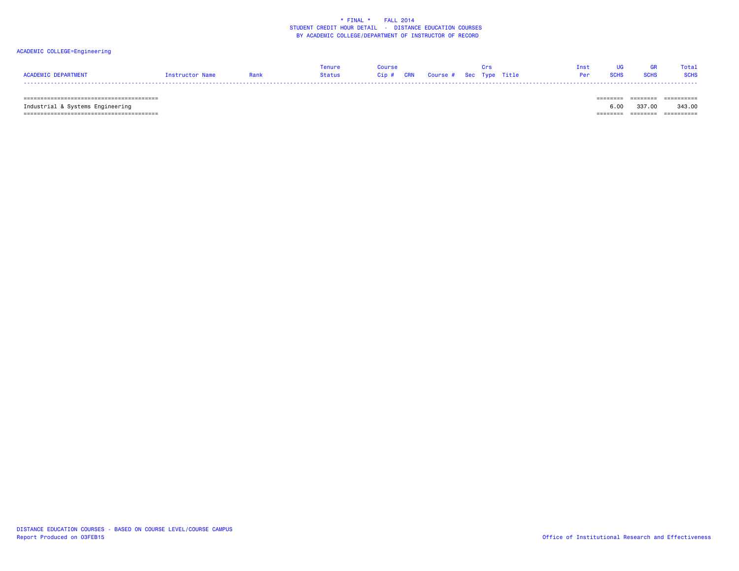### ACADEMIC COLLEGE=Engineering

|                     |                 |             | Tenure | <b>Course</b> | <b>Crs</b> |  | Inst UG GR Total   |  |
|---------------------|-----------------|-------------|--------|---------------|------------|--|--------------------|--|
| ACADEMIC DEPARTMENT | Instructor Name | <b>Rank</b> |        |               |            |  | Per SCHS SCHS SCHS |  |

======================================== ======== ======== ==========

======================================== ======== ======== ==========

======== ======== ========= Industrial & Systems Engineering 6.00 337.00 343.00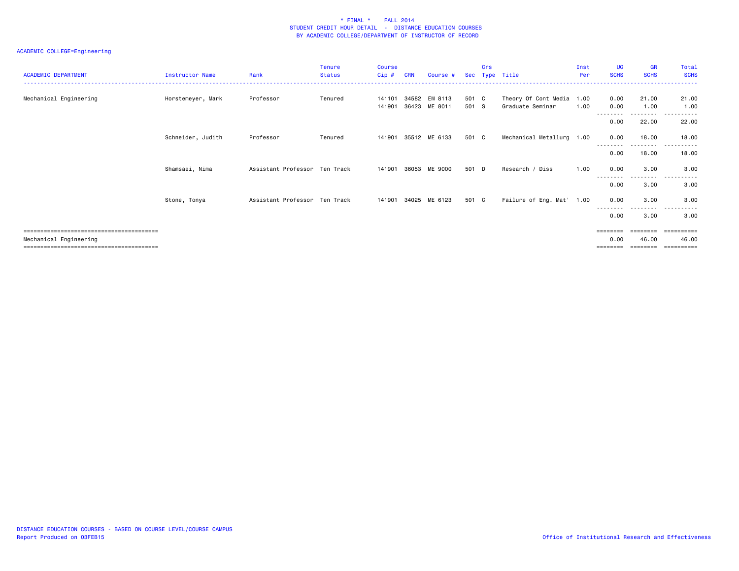| <b>ACADEMIC DEPARTMENT</b> | Instructor Name   | Rank                          | <b>Tenure</b><br><b>Status</b> | <b>Course</b><br>Cip# | <b>CRN</b> | Course #      | Sec   | Crs | Type Title                | Inst<br>Per | <b>UG</b><br><b>SCHS</b> | <b>GR</b><br><b>SCHS</b> | Total<br><b>SCHS</b> |
|----------------------------|-------------------|-------------------------------|--------------------------------|-----------------------|------------|---------------|-------|-----|---------------------------|-------------|--------------------------|--------------------------|----------------------|
| Mechanical Engineering     | Horstemeyer, Mark | Professor                     | Tenured                        | 141101                | 34582      | EM 8113       | 501 C |     | Theory Of Cont Media 1.00 |             | 0.00                     | 21.00                    | 21.00                |
|                            |                   |                               |                                | 141901                | 36423      | ME 8011       | 501 S |     | Graduate Seminar          | 1.00        | 0.00                     | 1.00<br>--------         | 1.00<br>$\cdots$     |
|                            |                   |                               |                                |                       |            |               |       |     |                           |             | 0.00                     | 22.00                    | 22.00                |
|                            | Schneider, Judith | Professor                     | Tenured                        | 141901                |            | 35512 ME 6133 | 501 C |     | Mechanical Metallurg 1.00 |             | 0.00                     | 18.00                    | 18.00                |
|                            |                   |                               |                                |                       |            |               |       |     |                           |             | 0.00                     | 18.00                    | 18.00                |
|                            | Shamsaei, Nima    | Assistant Professor Ten Track |                                | 141901                | 36053      | ME 9000       | 501 D |     | Research / Diss           | 1.00        | 0.00                     | 3.00                     | 3.00                 |
|                            |                   |                               |                                |                       |            |               |       |     |                           |             | --------<br>0.00         | ---------<br>3.00        | $\cdots$<br>3.00     |
|                            | Stone, Tonya      | Assistant Professor Ten Track |                                | 141901                |            | 34025 ME 6123 | 501 C |     | Failure of Eng. Mat' 1.00 |             | 0.00                     | 3.00                     | 3.00                 |
|                            |                   |                               |                                |                       |            |               |       |     |                           |             | 0.00                     | 3.00                     | 3.00                 |
|                            |                   |                               |                                |                       |            |               |       |     |                           |             | $=$ = = = = = = =        |                          | ==========           |
| Mechanical Engineering     |                   |                               |                                |                       |            |               |       |     |                           |             | 0.00                     | 46.00                    | 46.00                |
|                            |                   |                               |                                |                       |            |               |       |     |                           |             | ========                 | ========                 | ==========           |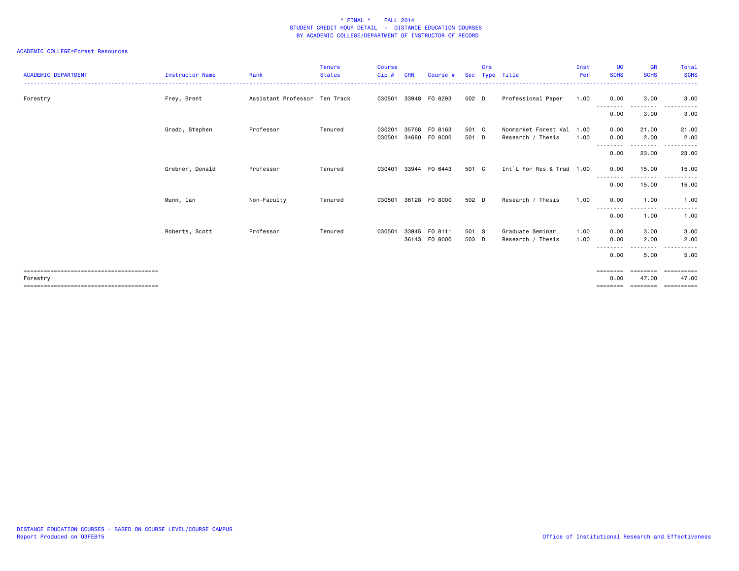### ACADEMIC COLLEGE=Forest Resources

| <b>ACADEMIC DEPARTMENT</b> | Instructor Name | Rank                          | <b>Tenure</b><br><b>Status</b> | <b>Course</b><br>$Cip$ # | <b>CRN</b> | Course #                 |                | Crs | Sec Type Title                            | Inst<br>Per  | <b>UG</b><br><b>SCHS</b>              | <b>GR</b><br><b>SCHS</b>            | Total<br><b>SCHS</b>               |
|----------------------------|-----------------|-------------------------------|--------------------------------|--------------------------|------------|--------------------------|----------------|-----|-------------------------------------------|--------------|---------------------------------------|-------------------------------------|------------------------------------|
| Forestry                   | Frey, Brent     | Assistant Professor Ten Track |                                | 030501                   |            | 33948 FO 8293            | 502 D          |     | Professional Paper                        | 1.00         | 0.00                                  | 3.00                                | 3.00                               |
|                            |                 |                               |                                |                          |            |                          |                |     |                                           |              | --------<br>0.00                      | -----<br>3.00                       | .<br>3.00                          |
|                            | Grado, Stephen  | Professor                     | Tenured                        | 030201<br>030501         | 35768      | F0 8163<br>34680 F0 8000 | 501 C<br>501 D |     | Nonmarket Forest Val<br>Research / Thesis | 1.00<br>1.00 | 0.00<br>0.00                          | 21.00<br>2.00                       | 21.00<br>2.00                      |
|                            |                 |                               |                                |                          |            |                          |                |     |                                           |              | --------<br>0.00                      | .<br>23.00                          | 23.00                              |
|                            | Grebner, Donald | Professor                     | Tenured                        | 030401                   |            | 33944 FO 6443            | 501 C          |     | Int`L For Res & Trad 1.00                 |              | 0.00                                  | 15.00                               | 15.00<br>.                         |
|                            |                 |                               |                                |                          |            |                          |                |     |                                           |              | --------<br>0.00                      | --------<br>15.00                   | ------<br>15.00                    |
|                            | Munn, Ian       | Non-Faculty                   | Tenured                        | 030501                   |            | 36128 FO 8000            | 502 D          |     | Research / Thesis                         | 1.00         | 0.00                                  | 1.00                                | 1.00                               |
|                            |                 |                               |                                |                          |            |                          |                |     |                                           |              | $\sim$ $\sim$ $\sim$<br>0.00          | 1.00                                | 1.00                               |
|                            | Roberts, Scott  | Professor                     | Tenured                        | 030501                   | 33945      | FO 8111<br>36143 FO 8000 | 501 S<br>503 D |     | Graduate Seminar<br>Research / Thesis     | 1.00<br>1.00 | 0.00<br>0.00                          | 3.00<br>2.00                        | 3.00<br>2.00                       |
|                            |                 |                               |                                |                          |            |                          |                |     |                                           |              | --------<br>0.00                      | .<br>5.00                           | $  -$<br>5.00                      |
| Forestry                   |                 |                               |                                |                          |            |                          |                |     |                                           |              | $=$ = = = = = = =<br>0.00<br>======== | <b>EBBEERE</b><br>47.00<br>======== | -----------<br>47.00<br>========== |